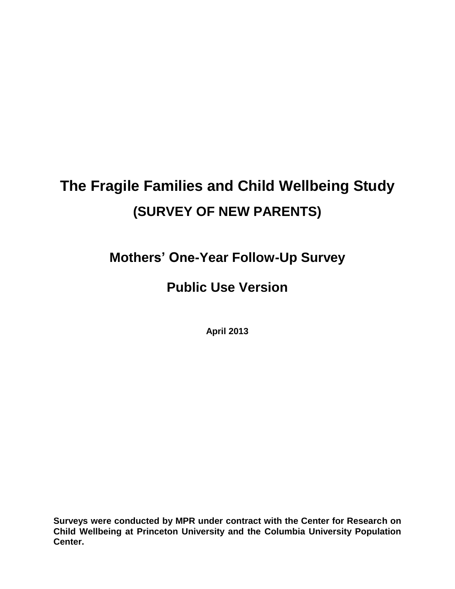# **The Fragile Families and Child Wellbeing Study (SURVEY OF NEW PARENTS)**

**Mothers' One-Year Follow-Up Survey**

## **Public Use Version**

**April 2013**

**Surveys were conducted by MPR under contract with the Center for Research on Child Wellbeing at Princeton University and the Columbia University Population Center.**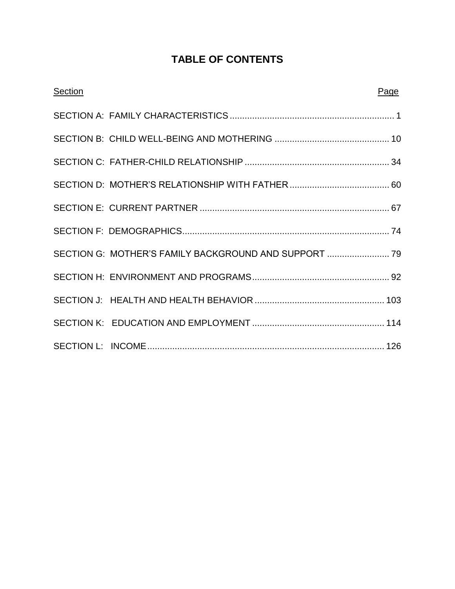## **TABLE OF CONTENTS**

| <b>Section</b> |                                                       | Page |
|----------------|-------------------------------------------------------|------|
|                |                                                       |      |
|                |                                                       |      |
|                |                                                       |      |
|                |                                                       |      |
|                |                                                       |      |
|                |                                                       |      |
|                | SECTION G: MOTHER'S FAMILY BACKGROUND AND SUPPORT  79 |      |
|                |                                                       |      |
|                |                                                       |      |
|                |                                                       |      |
|                |                                                       |      |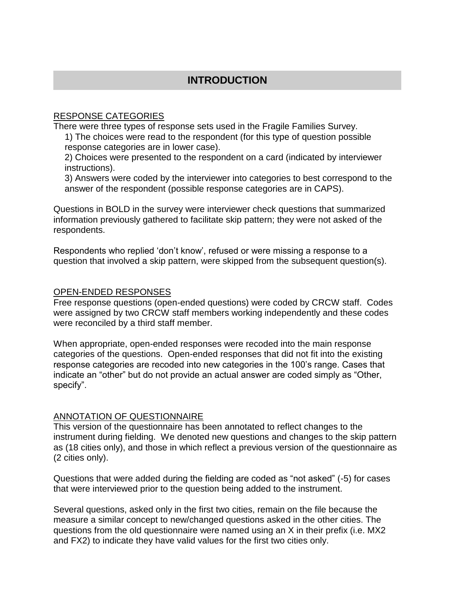## **INTRODUCTION**

#### RESPONSE CATEGORIES

There were three types of response sets used in the Fragile Families Survey.

1) The choices were read to the respondent (for this type of question possible response categories are in lower case).

2) Choices were presented to the respondent on a card (indicated by interviewer instructions).

3) Answers were coded by the interviewer into categories to best correspond to the answer of the respondent (possible response categories are in CAPS).

Questions in BOLD in the survey were interviewer check questions that summarized information previously gathered to facilitate skip pattern; they were not asked of the respondents.

Respondents who replied 'don't know', refused or were missing a response to a question that involved a skip pattern, were skipped from the subsequent question(s).

#### OPEN-ENDED RESPONSES

Free response questions (open-ended questions) were coded by CRCW staff. Codes were assigned by two CRCW staff members working independently and these codes were reconciled by a third staff member.

When appropriate, open-ended responses were recoded into the main response categories of the questions. Open-ended responses that did not fit into the existing response categories are recoded into new categories in the 100's range. Cases that indicate an "other" but do not provide an actual answer are coded simply as "Other, specify".

#### ANNOTATION OF QUESTIONNAIRE

This version of the questionnaire has been annotated to reflect changes to the instrument during fielding. We denoted new questions and changes to the skip pattern as (18 cities only), and those in which reflect a previous version of the questionnaire as (2 cities only).

Questions that were added during the fielding are coded as "not asked" (-5) for cases that were interviewed prior to the question being added to the instrument.

Several questions, asked only in the first two cities, remain on the file because the measure a similar concept to new/changed questions asked in the other cities. The questions from the old questionnaire were named using an X in their prefix (i.e. MX2 and FX2) to indicate they have valid values for the first two cities only.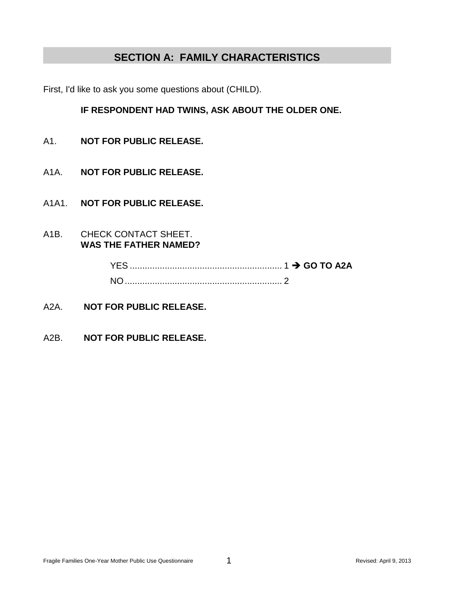## **SECTION A: FAMILY CHARACTERISTICS**

First, I'd like to ask you some questions about (CHILD).

#### **IF RESPONDENT HAD TWINS, ASK ABOUT THE OLDER ONE.**

- A1. **NOT FOR PUBLIC RELEASE.**
- A1A. **NOT FOR PUBLIC RELEASE.**
- A1A1. **NOT FOR PUBLIC RELEASE.**
- A1B. CHECK CONTACT SHEET. **WAS THE FATHER NAMED?**

- A2A. **NOT FOR PUBLIC RELEASE.**
- A2B. **NOT FOR PUBLIC RELEASE.**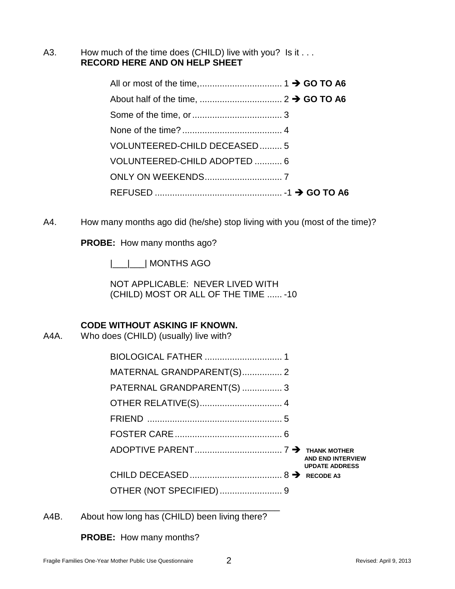A3. How much of the time does (CHILD) live with you? Is it . . . **RECORD HERE AND ON HELP SHEET**

| VOLUNTEERED-CHILD DECEASED5  |  |
|------------------------------|--|
| VOLUNTEERED-CHILD ADOPTED  6 |  |
|                              |  |
|                              |  |

A4. How many months ago did (he/she) stop living with you (most of the time)?

**PROBE:** How many months ago?

|\_\_\_|\_\_\_| MONTHS AGO

NOT APPLICABLE: NEVER LIVED WITH (CHILD) MOST OR ALL OF THE TIME ...... -10

#### **CODE WITHOUT ASKING IF KNOWN.**

A4A. Who does (CHILD) (usually) live with?

| MATERNAL GRANDPARENT(S) 2  |                                                   |
|----------------------------|---------------------------------------------------|
| PATERNAL GRANDPARENT(S)  3 |                                                   |
|                            |                                                   |
|                            |                                                   |
|                            |                                                   |
|                            | <b>AND END INTERVIEW</b><br><b>UPDATE ADDRESS</b> |
|                            |                                                   |
|                            |                                                   |

A4B. About how long has (CHILD) been living there?

\_\_\_\_\_\_\_\_\_\_\_\_\_\_\_\_\_\_\_\_\_\_\_\_\_\_\_\_\_\_\_\_\_\_

**PROBE:** How many months?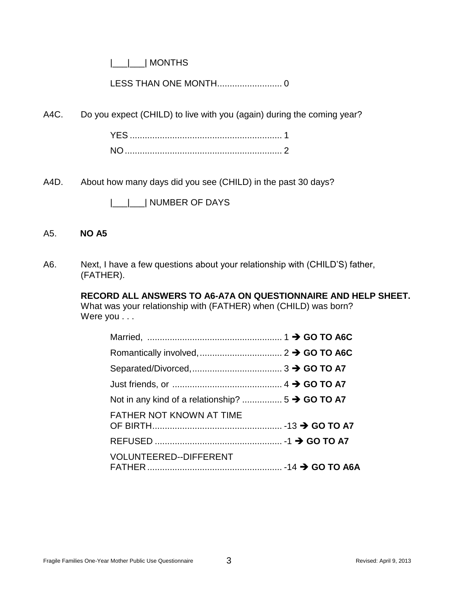|\_\_\_|\_\_\_| MONTHS

LESS THAN ONE MONTH.......................... 0

A4C. Do you expect (CHILD) to live with you (again) during the coming year?

A4D. About how many days did you see (CHILD) in the past 30 days?

|\_\_\_|\_\_\_| NUMBER OF DAYS

#### A5. **NO A5**

A6. Next, I have a few questions about your relationship with (CHILD'S) father, (FATHER).

> **RECORD ALL ANSWERS TO A6-A7A ON QUESTIONNAIRE AND HELP SHEET.** What was your relationship with (FATHER) when (CHILD) was born? Were you . . .

| <b>FATHER NOT KNOWN AT TIME</b> |  |
|---------------------------------|--|
|                                 |  |
| VOLUNTEERED--DIFFERENT          |  |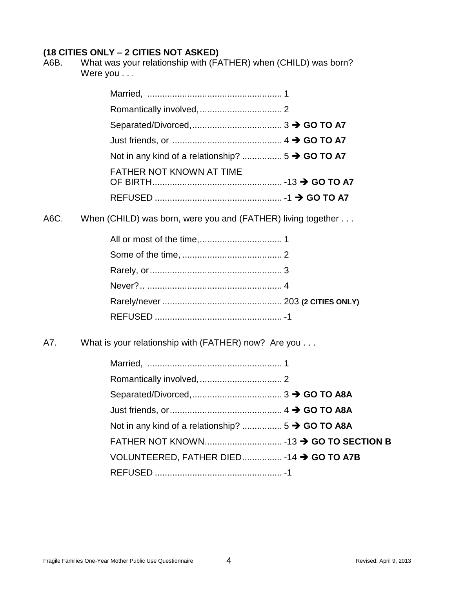A6B. What was your relationship with (FATHER) when (CHILD) was born? Were you . . .

| <b>FATHER NOT KNOWN AT TIME</b> |  |
|---------------------------------|--|
|                                 |  |

A6C. When (CHILD) was born, were you and (FATHER) living together . . .

A7. What is your relationship with (FATHER) now? Are you . . .

| VOLUNTEERED, FATHER DIED -14 → GO TO A7B |  |
|------------------------------------------|--|
|                                          |  |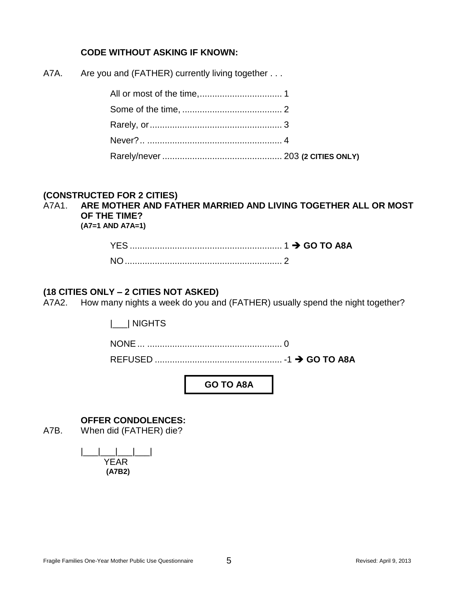#### **CODE WITHOUT ASKING IF KNOWN:**

| A7A. |  |  |  | Are you and (FATHER) currently living together |  |
|------|--|--|--|------------------------------------------------|--|
|------|--|--|--|------------------------------------------------|--|

#### **(CONSTRUCTED FOR 2 CITIES)**

## A7A1. **ARE MOTHER AND FATHER MARRIED AND LIVING TOGETHER ALL OR MOST OF THE TIME?**

**(A7=1 AND A7A=1)**

#### **(18 CITIES ONLY – 2 CITIES NOT ASKED)**

A7A2. How many nights a week do you and (FATHER) usually spend the night together?

|\_\_\_| NIGHTS

NONE... ...................................................... 0

REFUSED ................................................... -1 **GO TO A8A**

**GO TO A8A**

#### **OFFER CONDOLENCES:**

A7B. When did (FATHER) die?

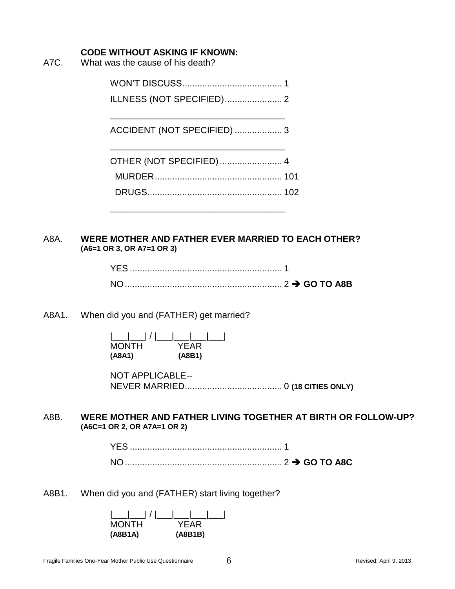#### **CODE WITHOUT ASKING IF KNOWN:**

A7C. What was the cause of his death?

WON'T DISCUSS........................................ 1

ILLNESS (NOT SPECIFIED)....................... 2

ACCIDENT (NOT SPECIFIED) ................... 3

\_\_\_\_\_\_\_\_\_\_\_\_\_\_\_\_\_\_\_\_\_\_\_\_\_\_\_\_\_\_\_\_\_\_\_

| OTHER (NOT SPECIFIED) 4 |  |
|-------------------------|--|
|                         |  |
|                         |  |
|                         |  |

#### A8A. **WERE MOTHER AND FATHER EVER MARRIED TO EACH OTHER? (A6=1 OR 3, OR A7=1 OR 3)**

\_\_\_\_\_\_\_\_\_\_\_\_\_\_\_\_\_\_\_\_\_\_\_\_\_\_\_\_\_\_\_\_\_\_\_

#### A8A1. When did you and (FATHER) get married?

|\_\_\_|\_\_\_| / |\_\_\_|\_\_\_|\_\_\_|\_\_\_| MONTH YEAR **(A8A1) (A8B1)**

NOT APPLICABLE-- NEVER MARRIED....................................... 0 **(18 CITIES ONLY)**

#### A8B. **WERE MOTHER AND FATHER LIVING TOGETHER AT BIRTH OR FOLLOW-UP? (A6C=1 OR 2, OR A7A=1 OR 2)**

A8B1. When did you and (FATHER) start living together?

| MONTH   | YFAR   |
|---------|--------|
| (A8B1A) | (AB1B) |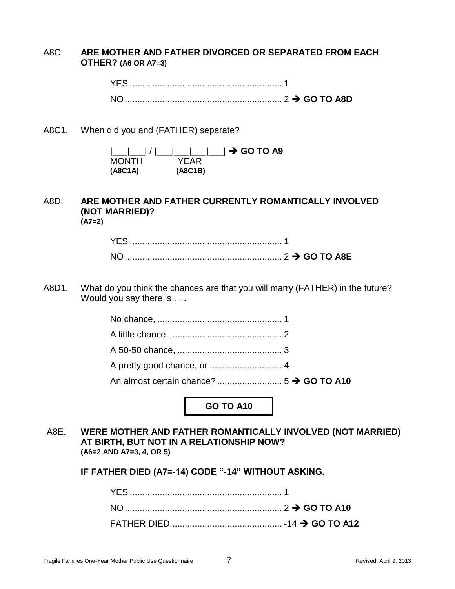#### A8C. **ARE MOTHER AND FATHER DIVORCED OR SEPARATED FROM EACH OTHER? (A6 OR A7=3)**

| <b>NIC</b> |  |  |
|------------|--|--|

A8C1. When did you and (FATHER) separate?

|         | ___ ___  /  ___ ___ ___  → GO TO A9 |  |
|---------|-------------------------------------|--|
| MONTH   | YFAR.                               |  |
| (A8C1A) | (ABC1B)                             |  |

#### A8D. **ARE MOTHER AND FATHER CURRENTLY ROMANTICALLY INVOLVED (NOT MARRIED)? (A7=2)**

A8D1. What do you think the chances are that you will marry (FATHER) in the future? Would you say there is . . .

**GO TO A10**

A8E. **WERE MOTHER AND FATHER ROMANTICALLY INVOLVED (NOT MARRIED) AT BIRTH, BUT NOT IN A RELATIONSHIP NOW? (A6=2 AND A7=3, 4, OR 5)**

**IF FATHER DIED (A7=-14) CODE "-14" WITHOUT ASKING.**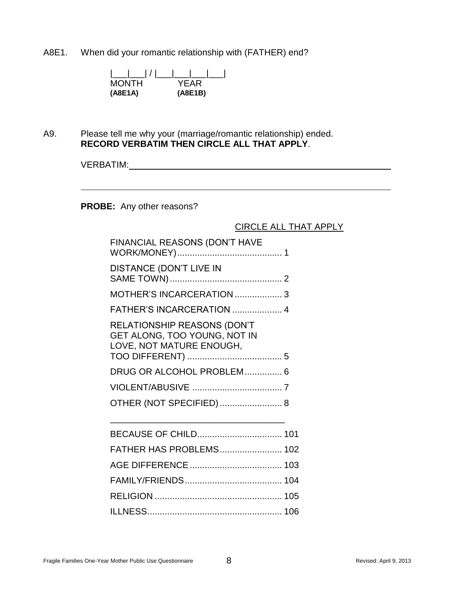A8E1. When did your romantic relationship with (FATHER) end?

| MONTH   | YEAR    |
|---------|---------|
| (A8E1A) | (A8E1B) |

A9. Please tell me why your (marriage/romantic relationship) ended. **RECORD VERBATIM THEN CIRCLE ALL THAT APPLY**.

VERBATIM:

**PROBE:** Any other reasons?

#### CIRCLE ALL THAT APPLY

| FINANCIAL REASONS (DON'T HAVE                                                                  |  |
|------------------------------------------------------------------------------------------------|--|
| <b>DISTANCE (DON'T LIVE IN</b>                                                                 |  |
| MOTHER'S INCARCERATION  3                                                                      |  |
| FATHER'S INCARCERATION  4                                                                      |  |
| <b>RELATIONSHIP REASONS (DON'T</b><br>GET ALONG, TOO YOUNG, NOT IN<br>LOVE, NOT MATURE ENOUGH, |  |
| DRUG OR ALCOHOL PROBLEM 6                                                                      |  |
|                                                                                                |  |
| OTHER (NOT SPECIFIED)  8                                                                       |  |
| BECAUSE OF CHILD 101                                                                           |  |
| FATHER HAS PROBLEMS 102                                                                        |  |
|                                                                                                |  |
|                                                                                                |  |
|                                                                                                |  |
|                                                                                                |  |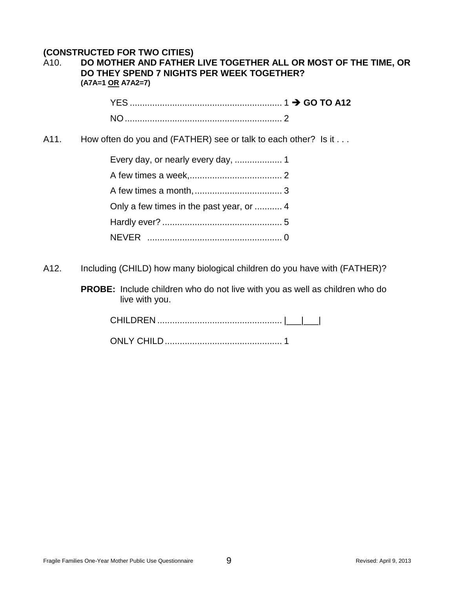#### **(CONSTRUCTED FOR TWO CITIES)**

| A <sub>10</sub> . | DO MOTHER AND FATHER LIVE TOGETHER ALL OR MOST OF THE TIME, OR |
|-------------------|----------------------------------------------------------------|
|                   | DO THEY SPEND 7 NIGHTS PER WEEK TOGETHER?                      |
|                   | (A7A=1 <u>OR</u> A7A2=7)                                       |

A11. How often do you and (FATHER) see or talk to each other? Is it . . .

| Only a few times in the past year, or  4 |
|------------------------------------------|
|                                          |
|                                          |

A12. Including (CHILD) how many biological children do you have with (FATHER)?

**PROBE:** Include children who do not live with you as well as children who do live with you.

CHILDREN .................................................. |\_\_\_|\_\_\_|

ONLY CHILD............................................... 1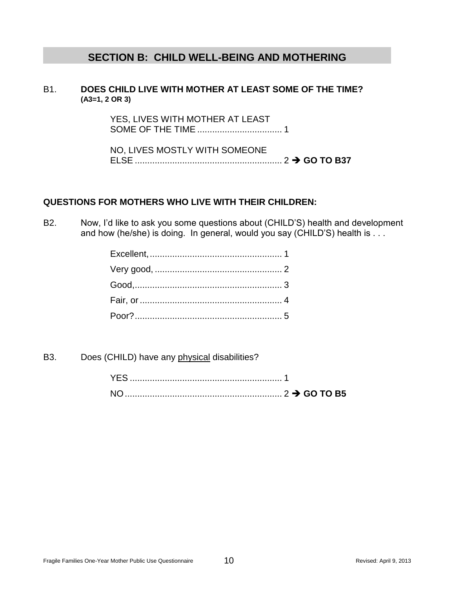## **SECTION B: CHILD WELL-BEING AND MOTHERING**

#### B1. **DOES CHILD LIVE WITH MOTHER AT LEAST SOME OF THE TIME? (A3=1, 2 OR 3)**

YES, LIVES WITH MOTHER AT LEAST SOME OF THE TIME .................................. 1

NO, LIVES MOSTLY WITH SOMEONE ELSE ........................................................... 2 **GO TO B37**

#### **QUESTIONS FOR MOTHERS WHO LIVE WITH THEIR CHILDREN:**

B2. Now, I'd like to ask you some questions about (CHILD'S) health and development and how (he/she) is doing. In general, would you say (CHILD'S) health is . . .

B3. Does (CHILD) have any physical disabilities?

| <b>YFS</b> |  |  |
|------------|--|--|
|            |  |  |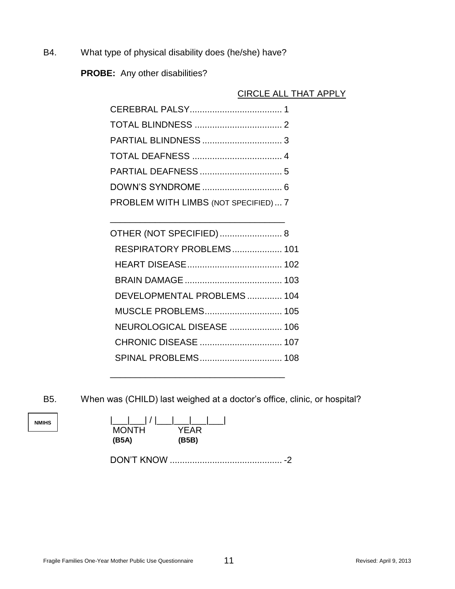B4. What type of physical disability does (he/she) have?

**PROBE:** Any other disabilities?

#### CIRCLE ALL THAT APPLY

| PROBLEM WITH LIMBS (NOT SPECIFIED)  7 |  |
|---------------------------------------|--|

\_\_\_\_\_\_\_\_\_\_\_\_\_\_\_\_\_\_\_\_\_\_\_\_\_\_\_\_\_\_\_\_\_\_\_

| OTHER (NOT SPECIFIED) 8    |  |
|----------------------------|--|
| RESPIRATORY PROBLEMS 101   |  |
|                            |  |
|                            |  |
| DEVELOPMENTAL PROBLEMS 104 |  |
| <b>MUSCLE PROBLEMS 105</b> |  |
| NEUROLOGICAL DISEASE  106  |  |
|                            |  |
| SPINAL PROBLEMS 108        |  |
|                            |  |

B5. When was (CHILD) last weighed at a doctor's office, clinic, or hospital?

**NMIHS**

| YEAR  |
|-------|
| (B5B) |
|       |

DON'T KNOW ............................................. -2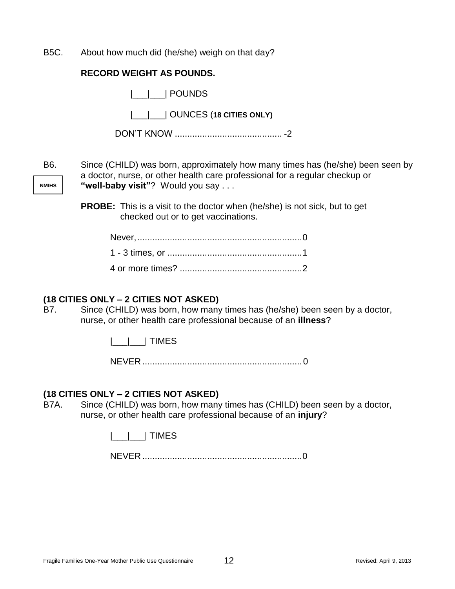B5C. About how much did (he/she) weigh on that day?

|  | <b>RECORD WEIGHT AS POUNDS.</b> |  |
|--|---------------------------------|--|
|--|---------------------------------|--|

|       | POUNDS                                                                                                                                                        |
|-------|---------------------------------------------------------------------------------------------------------------------------------------------------------------|
|       |                                                                                                                                                               |
|       |                                                                                                                                                               |
| B6.   | Since (CHILD) was born, approximately how many times has (he/she) been seen by<br>a doctor, nurse, or other health care professional for a regular checkup or |
| IMIHS | "well-baby visit"? Would you say                                                                                                                              |

**PROBE:** This is a visit to the doctor when (he/she) is not sick, but to get checked out or to get vaccinations.

#### **(18 CITIES ONLY – 2 CITIES NOT ASKED)**

**NMIHS**

B7. Since (CHILD) was born, how many times has (he/she) been seen by a doctor, nurse, or other health care professional because of an **illness**?

|\_\_\_|\_\_\_| TIMES

NEVER ................................................................0

#### **(18 CITIES ONLY – 2 CITIES NOT ASKED)**

B7A. Since (CHILD) was born, how many times has (CHILD) been seen by a doctor, nurse, or other health care professional because of an **injury**?

|\_\_\_|\_\_\_| TIMES

NEVER ................................................................0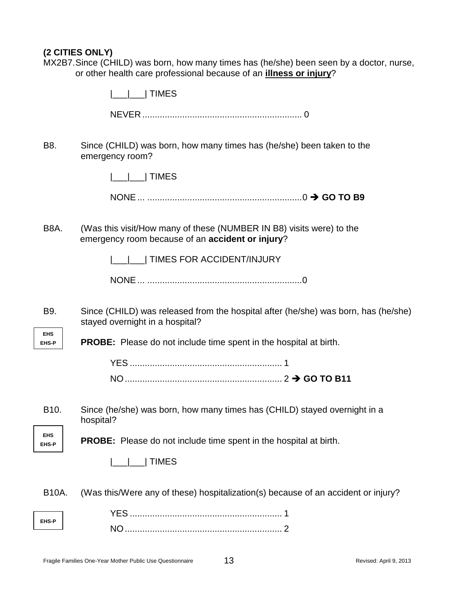#### **(2 CITIES ONLY)**

MX2B7.Since (CHILD) was born, how many times has (he/she) been seen by a doctor, nurse, or other health care professional because of an **illness or injury**?

|  | <b>TIMES</b> |
|--|--------------|
|--|--------------|

NEVER ................................................................ 0

B8. Since (CHILD) was born, how many times has (he/she) been taken to the emergency room?

|\_\_\_|\_\_\_| TIMES

NONE... ..............................................................0 **GO TO B9**

B8A. (Was this visit/How many of these (NUMBER IN B8) visits were) to the emergency room because of an **accident or injury**?

|\_\_\_|\_\_\_| TIMES FOR ACCIDENT/INJURY

NONE... ..............................................................0

B9. Since (CHILD) was released from the hospital after (he/she) was born, has (he/she) stayed overnight in a hospital?

**EHS-P PROBE:** Please do not include time spent in the hospital at birth.

B10. Since (he/she) was born, how many times has (CHILD) stayed overnight in a hospital?

**EHS EHS-P**

**EHS**

**PROBE:** Please do not include time spent in the hospital at birth.



B10A. (Was this/Were any of these) hospitalization(s) because of an accident or injury?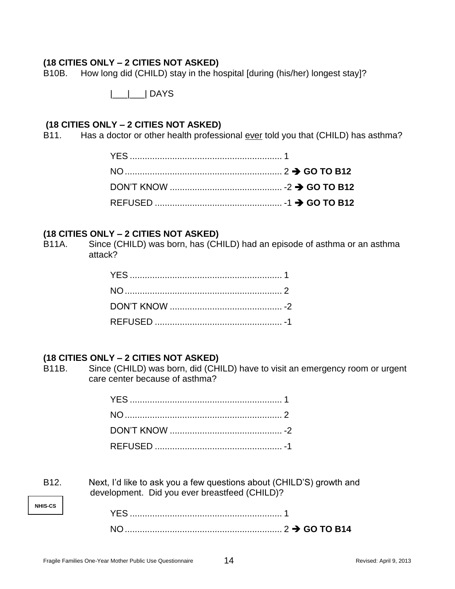B10B. How long did (CHILD) stay in the hospital [during (his/her) longest stay]?

|\_\_\_|\_\_\_| DAYS

#### **(18 CITIES ONLY – 2 CITIES NOT ASKED)**

B11. Has a doctor or other health professional ever told you that (CHILD) has asthma?

#### **(18 CITIES ONLY – 2 CITIES NOT ASKED)**

B11A. Since (CHILD) was born, has (CHILD) had an episode of asthma or an asthma attack?

#### **(18 CITIES ONLY – 2 CITIES NOT ASKED)**

B11B. Since (CHILD) was born, did (CHILD) have to visit an emergency room or urgent care center because of asthma?

| B <sub>12</sub> . | Next, I'd like to ask you a few questions about (CHILD'S) growth and |
|-------------------|----------------------------------------------------------------------|
|                   | development. Did you ever breastfeed (CHILD)?                        |

**NHIS-CS**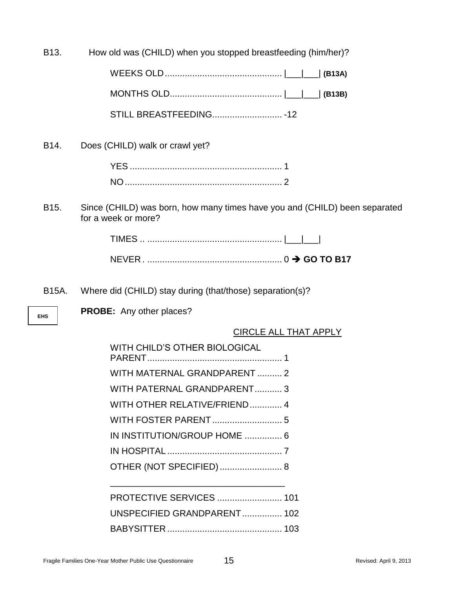B13. How old was (CHILD) when you stopped breastfeeding (him/her)?

B14. Does (CHILD) walk or crawl yet?

| YFS |  |
|-----|--|
|     |  |

B15. Since (CHILD) was born, how many times have you and (CHILD) been separated for a week or more?

B15A. Where did (CHILD) stay during (that/those) separation(s)?

**EHS**

**PROBE:** Any other places?

CIRCLE ALL THAT APPLY

| WITH CHILD'S OTHER BIOLOGICAL |  |
|-------------------------------|--|
| WITH MATERNAL GRANDPARENT  2  |  |
| WITH PATERNAL GRANDPARENT 3   |  |
| WITH OTHER RELATIVE/FRIEND 4  |  |
|                               |  |
| IN INSTITUTION/GROUP HOME  6  |  |
|                               |  |
| OTHER (NOT SPECIFIED)  8      |  |
|                               |  |
| PROTECTIVE SERVICES  101      |  |
| UNSPECIFIED GRANDPARENT 102   |  |
|                               |  |
|                               |  |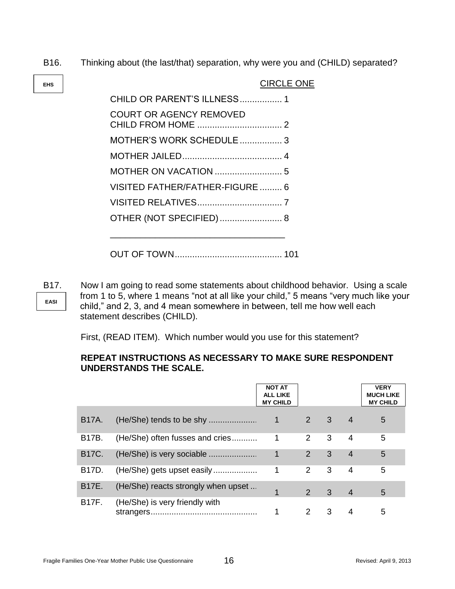B16. Thinking about (the last/that) separation, why were you and (CHILD) separated?

| <b>CIRCLE ONE</b>               |
|---------------------------------|
| CHILD OR PARENT'S ILLNESS 1     |
| <b>COURT OR AGENCY REMOVED</b>  |
| MOTHER'S WORK SCHEDULE 3        |
|                                 |
|                                 |
| VISITED FATHER/FATHER-FIGURE  6 |
|                                 |
| OTHER (NOT SPECIFIED) 8         |
|                                 |
|                                 |

**EASI**

**EHS**

B17. Now I am going to read some statements about childhood behavior. Using a scale from 1 to 5, where 1 means "not at all like your child," 5 means "very much like your child," and 2, 3, and 4 mean somewhere in between, tell me how well each statement describes (CHILD).

First, (READ ITEM). Which number would you use for this statement?

#### **REPEAT INSTRUCTIONS AS NECESSARY TO MAKE SURE RESPONDENT UNDERSTANDS THE SCALE.**

|                    |                                     | <b>NOT AT</b><br><b>ALL LIKE</b><br><b>MY CHILD</b> |               |                         |                | <b>VERY</b><br><b>MUCH LIKE</b><br><b>MY CHILD</b> |
|--------------------|-------------------------------------|-----------------------------------------------------|---------------|-------------------------|----------------|----------------------------------------------------|
| B <sub>17</sub> A. |                                     | $\mathbf{1}$                                        | $2 \quad 3$   |                         | $\overline{4}$ | 5                                                  |
| B17B.              | (He/She) often fusses and cries     | 1                                                   | 2             | 3                       | 4              | 5                                                  |
| <b>B17C.</b>       | (He/She) is very sociable           | 1                                                   | 2             | 3                       | $\overline{4}$ | 5                                                  |
| B17D.              | (He/She) gets upset easily          | 1                                                   | $2^{\circ}$   | 3                       | 4              | 5                                                  |
| <b>B17E.</b>       | (He/She) reacts strongly when upset |                                                     | $\mathcal{P}$ | $\overline{\mathbf{3}}$ | $\overline{4}$ | 5                                                  |
| <b>B17F.</b>       | (He/She) is very friendly with      |                                                     | $\mathcal{P}$ | 3                       | 4              | 5                                                  |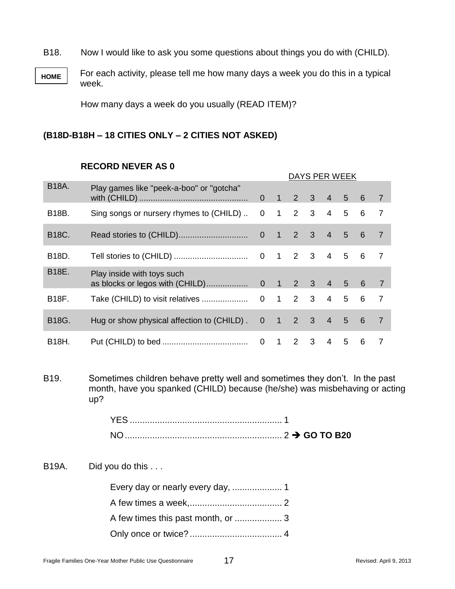B18. Now I would like to ask you some questions about things you do with (CHILD).

**HOME** For each activity, please tell me how many days a week you do this in a typical week.

How many days a week do you usually (READ ITEM)?

#### **(B18D-B18H – 18 CITIES ONLY – 2 CITIES NOT ASKED)**

#### **RECORD NEVER AS 0**

| DAYS PER WEEK |                                                               |                |                |                     |              |                |                 |                 |                |
|---------------|---------------------------------------------------------------|----------------|----------------|---------------------|--------------|----------------|-----------------|-----------------|----------------|
| <b>B18A.</b>  | Play games like "peek-a-boo" or "gotcha"                      | $\overline{0}$ | $\overline{1}$ | $\overline{2}$      |              | $3 \quad 4$    | $5\overline{)}$ | 6               | $\overline{7}$ |
| B18B.         | Sing songs or nursery rhymes to (CHILD)                       | $\mathbf 0$    | $\mathbf{1}$   | 2                   | 3            | $\overline{4}$ | 5               | 6               | $\overline{7}$ |
| B18C.         |                                                               | $\overline{0}$ | $\mathbf{1}$   | $\sqrt{2}$          | 3            | $\overline{4}$ | 5               | $6\phantom{1}$  | $\overline{7}$ |
| B18D.         |                                                               |                | $0 \quad 1$    | $2 \quad 3$         |              | $\overline{4}$ | 5               | 6               | $\overline{7}$ |
| B18E.         | Play inside with toys such<br>as blocks or legos with (CHILD) |                |                | $0 \t1 \t2 \t3 \t4$ |              |                | $5\overline{5}$ | 6               | $\overline{7}$ |
| B18F.         | Take (CHILD) to visit relatives                               | $\mathbf{0}$   | $1 -$          |                     | $2 \quad 3$  | $\overline{4}$ | 5               | 6               | $\overline{7}$ |
| B18G.         | Hug or show physical affection to (CHILD).                    | $\overline{0}$ | $\mathbf{1}$   | $\overline{2}$      | $\mathbf{3}$ | $\overline{4}$ | $5\overline{)}$ | $6\phantom{1}6$ | $\overline{7}$ |
| <b>B18H.</b>  |                                                               | $\mathbf 0$    | $\mathbf{1}$   | 2                   | 3            | $\overline{4}$ | 5               | 6               | $\overline{7}$ |
|               |                                                               |                |                |                     |              |                |                 |                 |                |

B19. Sometimes children behave pretty well and sometimes they don't. In the past month, have you spanked (CHILD) because (he/she) was misbehaving or acting up?

| YES.                                 |  |
|--------------------------------------|--|
| <b>NO</b><br>$\frac{1}{2}$ GO TO B20 |  |

B19A. Did you do this ...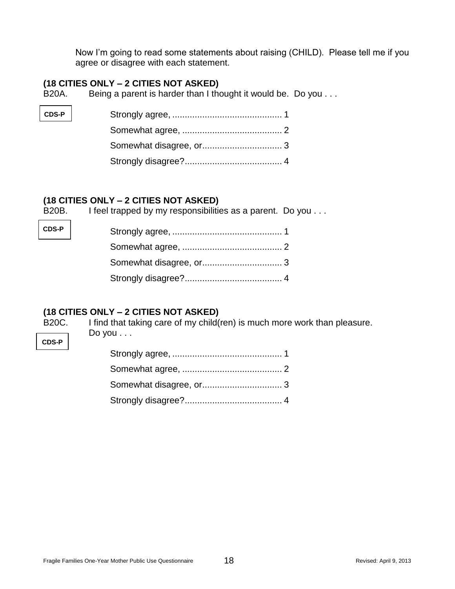Now I'm going to read some statements about raising (CHILD). Please tell me if you agree or disagree with each statement.

#### **(18 CITIES ONLY – 2 CITIES NOT ASKED)**

B20A. Being a parent is harder than I thought it would be. Do you . . .

| $CDS-P$ |  |
|---------|--|
|         |  |
|         |  |
|         |  |

#### **(18 CITIES ONLY – 2 CITIES NOT ASKED)**

B20B. I feel trapped by my responsibilities as a parent. Do you . . .

#### **(18 CITIES ONLY – 2 CITIES NOT ASKED)**

B20C. I find that taking care of my child(ren) is much more work than pleasure. Do you . . .

**CDS-P**

**CDS-P**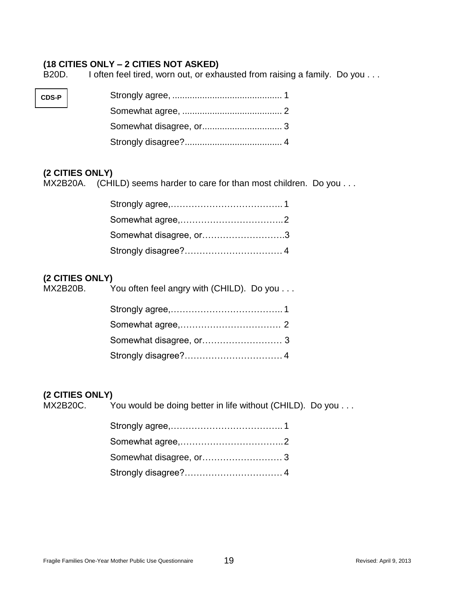B20D. I often feel tired, worn out, or exhausted from raising a family. Do you . . .

| $CDS-P$ |  |
|---------|--|
|         |  |
|         |  |
|         |  |

### **(2 CITIES ONLY)**

MX2B20A. (CHILD) seems harder to care for than most children. Do you . . .

| Somewhat disagree, or3 |  |
|------------------------|--|
|                        |  |

## **(2 CITIES ONLY)**

| MX2B20B. | You often feel angry with (CHILD). Do you |
|----------|-------------------------------------------|
|          |                                           |
|          |                                           |
|          |                                           |
|          |                                           |

#### **(2 CITIES ONLY)**

| MX2B20C. | You would be doing better in life without (CHILD). Do you |
|----------|-----------------------------------------------------------|
|----------|-----------------------------------------------------------|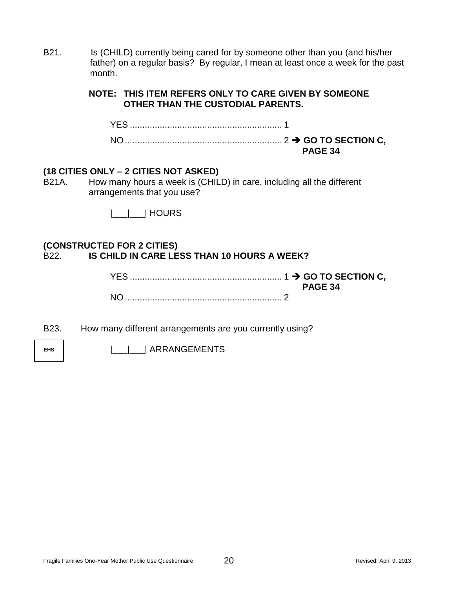B21. Is (CHILD) currently being cared for by someone other than you (and his/her father) on a regular basis? By regular, I mean at least once a week for the past month.

#### **NOTE: THIS ITEM REFERS ONLY TO CARE GIVEN BY SOMEONE OTHER THAN THE CUSTODIAL PARENTS.**

YES ............................................................. 1 NO............................................................... 2 **GO TO SECTION C, PAGE 34**

#### **(18 CITIES ONLY – 2 CITIES NOT ASKED)**

B21A. How many hours a week is (CHILD) in care, including all the different arrangements that you use?

|\_\_\_|\_\_\_| HOURS

#### **(CONSTRUCTED FOR 2 CITIES)** B22. **IS CHILD IN CARE LESS THAN 10 HOURS A WEEK?**

| <b>PAGE 34</b> |
|----------------|
|                |

B23. How many different arrangements are you currently using?

**EHS** |\_\_\_|\_\_\_| ARRANGEMENTS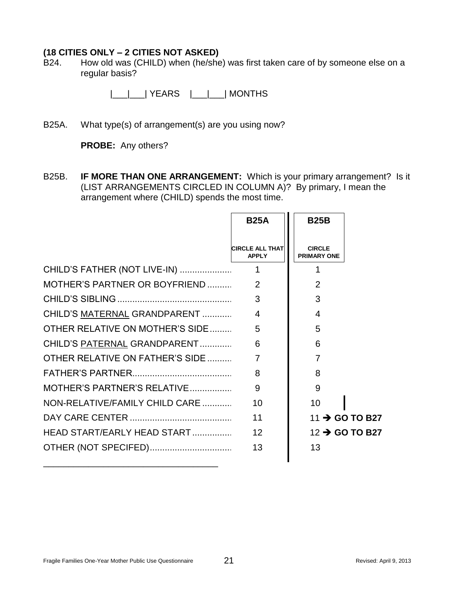B24. How old was (CHILD) when (he/she) was first taken care of by someone else on a regular basis?

|\_\_\_|\_\_\_| YEARS |\_\_\_|\_\_\_| MONTHS

B25A. What type(s) of arrangement(s) are you using now?

**PROBE:** Any others?

B25B. **IF MORE THAN ONE ARRANGEMENT:** Which is your primary arrangement? Is it (LIST ARRANGEMENTS CIRCLED IN COLUMN A)? By primary, I mean the arrangement where (CHILD) spends the most time.

|                                 | <b>B25A</b>                            | <b>B25B</b>                         |
|---------------------------------|----------------------------------------|-------------------------------------|
|                                 | <b>CIRCLE ALL THAT</b><br><b>APPLY</b> | <b>CIRCLE</b><br><b>PRIMARY ONE</b> |
| CHILD'S FATHER (NOT LIVE-IN)    | 1                                      | 1                                   |
| MOTHER'S PARTNER OR BOYFRIEND   | 2                                      | $\overline{2}$                      |
|                                 | 3                                      | 3                                   |
| CHILD'S MATERNAL GRANDPARENT    | $\overline{4}$                         | $\overline{4}$                      |
| OTHER RELATIVE ON MOTHER'S SIDE | 5                                      | 5                                   |
| CHILD'S PATERNAL GRANDPARENT    | 6                                      | 6                                   |
| OTHER RELATIVE ON FATHER'S SIDE | $\overline{7}$                         | 7                                   |
|                                 | 8                                      | 8                                   |
| MOTHER'S PARTNER'S RELATIVE     | 9                                      | 9                                   |
| NON-RELATIVE/FAMILY CHILD CARE  | 10                                     | 10                                  |
|                                 | 11                                     | 11 $\rightarrow$ GO TO B27          |
| HEAD START/EARLY HEAD START     | 12                                     | 12 → GO TO B27                      |
|                                 | 13                                     | 13                                  |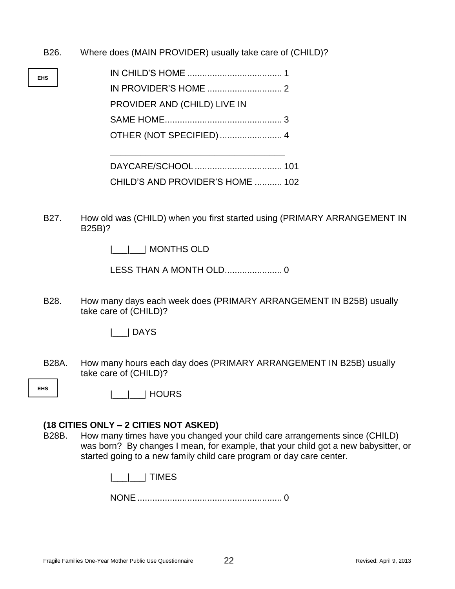- B26. Where does (MAIN PROVIDER) usually take care of (CHILD)?
- **EHS** IN CHILD'S HOME ...................................... 1 IN PROVIDER'S HOME .............................. 2 PROVIDER AND (CHILD) LIVE IN SAME HOME............................................... 3 OTHER (NOT SPECIFIED)......................... 4 \_\_\_\_\_\_\_\_\_\_\_\_\_\_\_\_\_\_\_\_\_\_\_\_\_\_\_\_\_\_\_\_\_\_\_ DAYCARE/SCHOOL ................................... 101 CHILD'S AND PROVIDER'S HOME ........... 102
	- B27. How old was (CHILD) when you first started using (PRIMARY ARRANGEMENT IN B25B)?

|\_\_\_|\_\_\_| MONTHS OLD

LESS THAN A MONTH OLD....................... 0

B28. How many days each week does (PRIMARY ARRANGEMENT IN B25B) usually take care of (CHILD)?

|\_\_\_| DAYS

B28A. How many hours each day does (PRIMARY ARRANGEMENT IN B25B) usually take care of (CHILD)?

**EHS**

|\_\_\_|\_\_\_| HOURS

## **(18 CITIES ONLY – 2 CITIES NOT ASKED)**

B28B. How many times have you changed your child care arrangements since (CHILD) was born? By changes I mean, for example, that your child got a new babysitter, or started going to a new family child care program or day care center.

|\_\_\_|\_\_\_| TIMES

NONE.......................................................... 0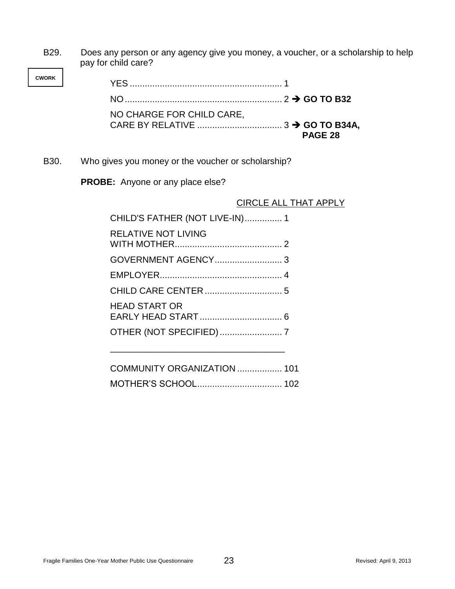B29. Does any person or any agency give you money, a voucher, or a scholarship to help pay for child care?

> YES ............................................................. 1 NO............................................................... 2 **GO TO B32** NO CHARGE FOR CHILD CARE, CARE BY RELATIVE .................................. 3 **GO TO B34A, PAGE 28**

B30. Who gives you money or the voucher or scholarship?

**PROBE:** Anyone or any place else?

**CWORK**

CIRCLE ALL THAT APPLY

| CHILD'S FATHER (NOT LIVE-IN) 1 |  |
|--------------------------------|--|
| <b>RELATIVE NOT LIVING</b>     |  |
|                                |  |
|                                |  |
|                                |  |
| <b>HEAD START OR</b>           |  |
|                                |  |
|                                |  |

| COMMUNITY ORGANIZATION  101 |  |
|-----------------------------|--|
|                             |  |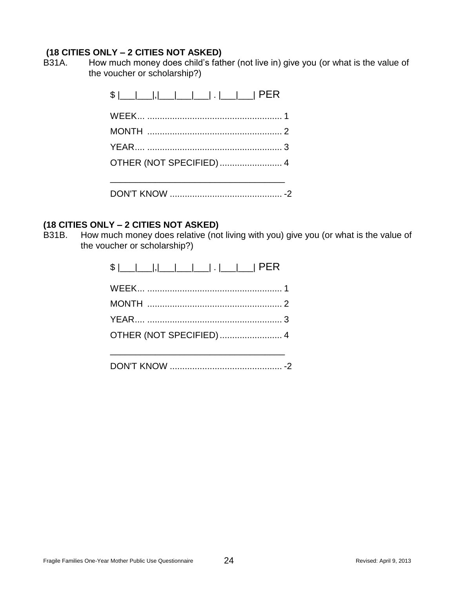B31A. How much money does child's father (not live in) give you (or what is the value of the voucher or scholarship?)

#### **(18 CITIES ONLY – 2 CITIES NOT ASKED)**

B31B. How much money does relative (not living with you) give you (or what is the value of the voucher or scholarship?)

| $\frac{1}{2}$ $\frac{1}{2}$ $\frac{1}{2}$ $\frac{1}{2}$ $\frac{1}{2}$ $\frac{1}{2}$ $\frac{1}{2}$ $\frac{1}{2}$ $\frac{1}{2}$ $\frac{1}{2}$ $\frac{1}{2}$ $\frac{1}{2}$ $\frac{1}{2}$ $\frac{1}{2}$ $\frac{1}{2}$ $\frac{1}{2}$ $\frac{1}{2}$ $\frac{1}{2}$ $\frac{1}{2}$ $\frac{1}{2}$ $\frac{1}{2}$ $\frac{1}{2}$ |
|---------------------------------------------------------------------------------------------------------------------------------------------------------------------------------------------------------------------------------------------------------------------------------------------------------------------|
|                                                                                                                                                                                                                                                                                                                     |
|                                                                                                                                                                                                                                                                                                                     |
|                                                                                                                                                                                                                                                                                                                     |
|                                                                                                                                                                                                                                                                                                                     |
|                                                                                                                                                                                                                                                                                                                     |
|                                                                                                                                                                                                                                                                                                                     |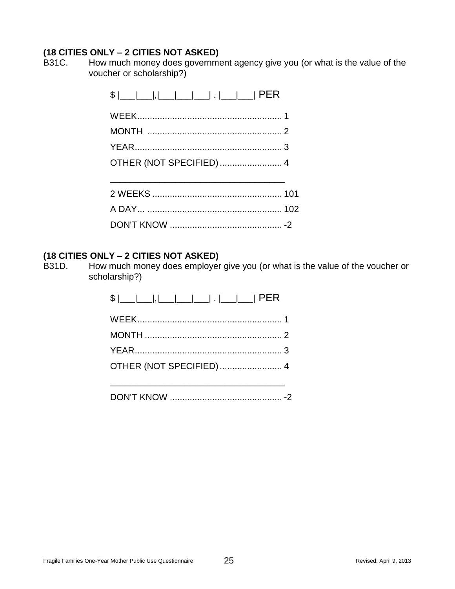B31C. How much money does government agency give you (or what is the value of the voucher or scholarship?)

| OTHER (NOT SPECIFIED) 4 |  |
|-------------------------|--|
|                         |  |
|                         |  |
|                         |  |
|                         |  |

#### **(18 CITIES ONLY – 2 CITIES NOT ASKED)**

B31D. How much money does employer give you (or what is the value of the voucher or scholarship?)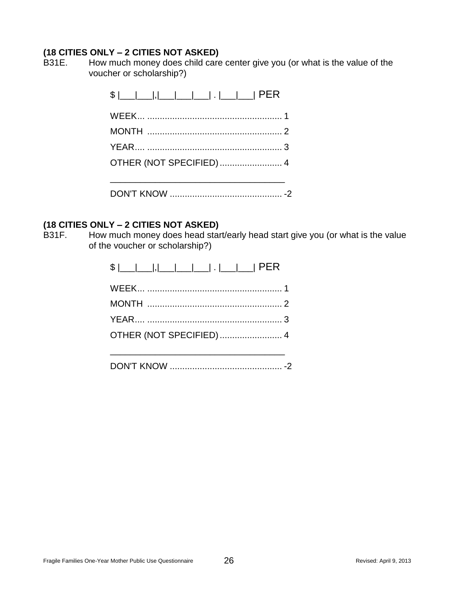B31E. How much money does child care center give you (or what is the value of the voucher or scholarship?)

#### **(18 CITIES ONLY – 2 CITIES NOT ASKED)**

B31F. How much money does head start/early head start give you (or what is the value of the voucher or scholarship?)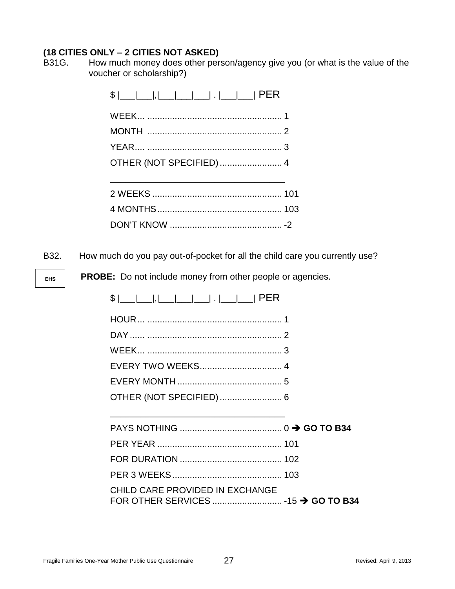B31G. How much money does other person/agency give you (or what is the value of the voucher or scholarship?)

| OTHER (NOT SPECIFIED)  4 |  |
|--------------------------|--|
|                          |  |
|                          |  |

DON'T KNOW ............................................. -2

B32. How much do you pay out-of-pocket for all the child care you currently use?

**EHS**

**PROBE:** Do not include money from other people or agencies.

| <u> ,                 </u>   PER<br>\$ |  |
|----------------------------------------|--|
|                                        |  |
|                                        |  |
|                                        |  |
|                                        |  |
|                                        |  |
|                                        |  |
|                                        |  |
|                                        |  |
|                                        |  |
|                                        |  |
|                                        |  |
| CHILD CARE PROVIDED IN EXCHANGE        |  |
|                                        |  |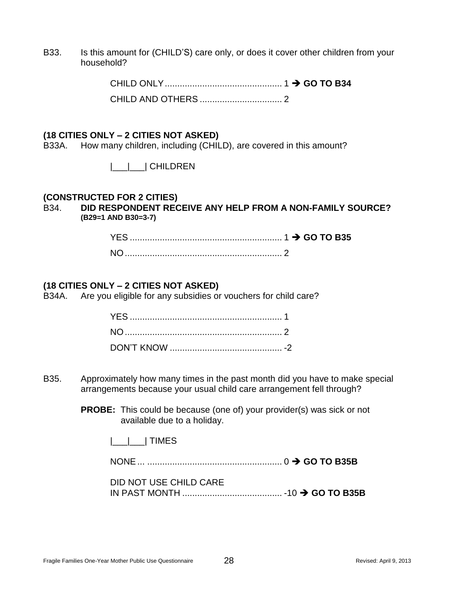B33. Is this amount for (CHILD'S) care only, or does it cover other children from your household?

> CHILD ONLY............................................... 1 **GO TO B34** CHILD AND OTHERS ................................. 2

#### **(18 CITIES ONLY – 2 CITIES NOT ASKED)**

B33A. How many children, including (CHILD), are covered in this amount?

|\_\_\_|\_\_\_| CHILDREN

#### **(CONSTRUCTED FOR 2 CITIES)**

B34. **DID RESPONDENT RECEIVE ANY HELP FROM A NON-FAMILY SOURCE? (B29=1 AND B30=3-7)**

#### **(18 CITIES ONLY – 2 CITIES NOT ASKED)**

B34A. Are you eligible for any subsidies or vouchers for child care?

- B35. Approximately how many times in the past month did you have to make special arrangements because your usual child care arrangement fell through?
	- **PROBE:** This could be because (one of) your provider(s) was sick or not available due to a holiday.
		- |\_\_\_|\_\_\_| TIMES

NONE... ...................................................... 0 **GO TO B35B**

DID NOT USE CHILD CARE IN PAST MONTH ........................................ -10 **GO TO B35B**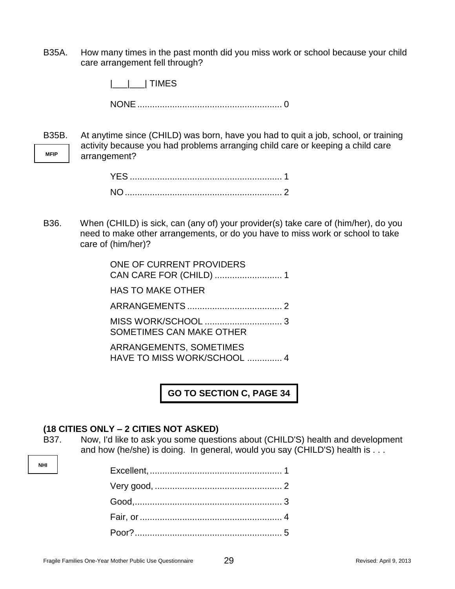B35A. How many times in the past month did you miss work or school because your child care arrangement fell through?

|\_\_\_|\_\_\_| TIMES

NONE.......................................................... 0

**MFIP** B35B. At anytime since (CHILD) was born, have you had to quit a job, school, or training activity because you had problems arranging child care or keeping a child care arrangement?

B36. When (CHILD) is sick, can (any of) your provider(s) take care of (him/her), do you need to make other arrangements, or do you have to miss work or school to take care of (him/her)?

| ONE OF CURRENT PROVIDERS                               |
|--------------------------------------------------------|
| <b>HAS TO MAKE OTHER</b>                               |
|                                                        |
| SOMETIMES CAN MAKE OTHER                               |
| ARRANGEMENTS, SOMETIMES<br>HAVE TO MISS WORK/SCHOOL  4 |

**GO TO SECTION C, PAGE 34**

#### **(18 CITIES ONLY – 2 CITIES NOT ASKED)**

B37. Now, I'd like to ask you some questions about (CHILD'S) health and development and how (he/she) is doing. In general, would you say (CHILD'S) health is . . .

**NHI**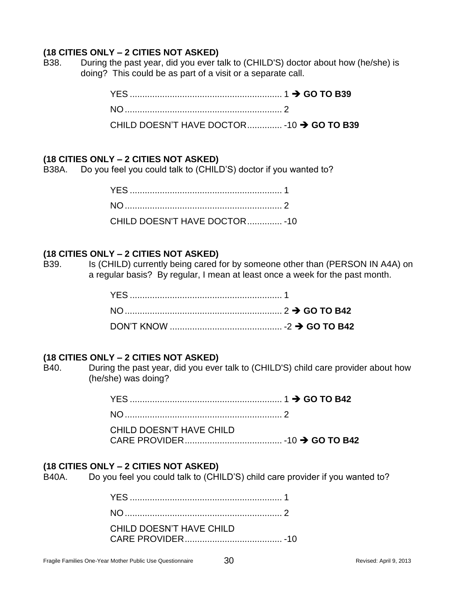B38. During the past year, did you ever talk to (CHILD'S) doctor about how (he/she) is doing? This could be as part of a visit or a separate call.

| CHILD DOESN'T HAVE DOCTOR - 10 → GO TO B39 |  |
|--------------------------------------------|--|

#### **(18 CITIES ONLY – 2 CITIES NOT ASKED)**

B38A. Do you feel you could talk to (CHILD'S) doctor if you wanted to?

| CHILD DOESN'T HAVE DOCTOR - 10 |  |
|--------------------------------|--|

#### **(18 CITIES ONLY – 2 CITIES NOT ASKED)**

B39. Is (CHILD) currently being cared for by someone other than (PERSON IN A4A) on a regular basis? By regular, I mean at least once a week for the past month.

#### **(18 CITIES ONLY – 2 CITIES NOT ASKED)**

B40. During the past year, did you ever talk to (CHILD'S) child care provider about how (he/she) was doing?

> YES ............................................................. 1 **GO TO B42** NO............................................................... 2 CHILD DOESN'T HAVE CHILD

CARE PROVIDER....................................... -10 **GO TO B42**

#### **(18 CITIES ONLY – 2 CITIES NOT ASKED)**

B40A. Do you feel you could talk to (CHILD'S) child care provider if you wanted to?

| CHILD DOESN'T HAVE CHILD |  |
|--------------------------|--|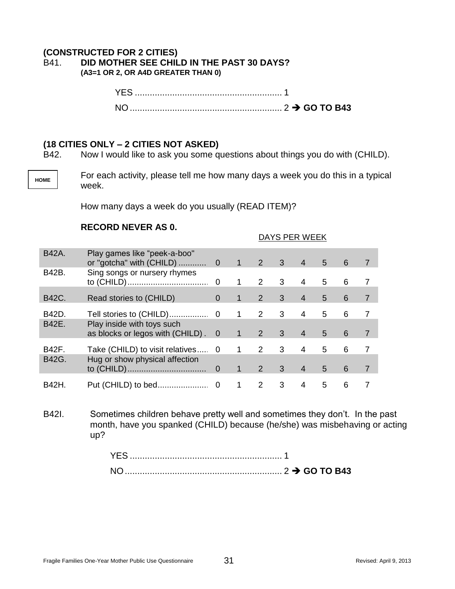### **(CONSTRUCTED FOR 2 CITIES)** B41. **DID MOTHER SEE CHILD IN THE PAST 30 DAYS?**

**(A3=1 OR 2, OR A4D GREATER THAN 0)**

YES ........................................................... 1 NO ............................................................. 2 **GO TO B43**

#### **(18 CITIES ONLY – 2 CITIES NOT ASKED)**

B42. Now I would like to ask you some questions about things you do with (CHILD).

**HOME**

For each activity, please tell me how many days a week you do this in a typical week.

DAYS PER WEEK

How many days a week do you usually (READ ITEM)?

#### **RECORD NEVER AS 0.**

| <b>B42A.</b> | Play games like "peek-a-boo"                                      |          | $\blacktriangleleft$ | $2^{\circ}$ | $\overline{\mathbf{3}}$ | $\overline{4}$ | 5 | 6 |  |
|--------------|-------------------------------------------------------------------|----------|----------------------|-------------|-------------------------|----------------|---|---|--|
| B42B.        | Sing songs or nursery rhymes                                      |          | 1                    | 2           | 3                       | 4              | 5 | 6 |  |
| B42C.        | Read stories to (CHILD)                                           | $\Omega$ | 1                    | 2           | 3                       | $\overline{4}$ | 5 | 6 |  |
| B42D.        |                                                                   |          | 1                    | 2           | 3                       | 4              | 5 | 6 |  |
| B42E.        | Play inside with toys such<br>as blocks or legos with (CHILD) . 0 |          | $\mathbf{1}$         | 2           | $\mathbf{3}$            | $\overline{4}$ | 5 | 6 |  |
| B42F.        | Take (CHILD) to visit relatives 0                                 |          | 1                    | 2           | 3                       | 4              | 5 | 6 |  |
| B42G.        | Hug or show physical affection                                    |          | $\mathbf{1}$         | 2           | 3                       | $\overline{4}$ | 5 | 6 |  |
| <b>B42H</b>  | Put (CHILD) to bed                                                | 0        |                      | 2           | 3                       | 4              | 5 | 6 |  |

B42I. Sometimes children behave pretty well and sometimes they don't. In the past month, have you spanked (CHILD) because (he/she) was misbehaving or acting up?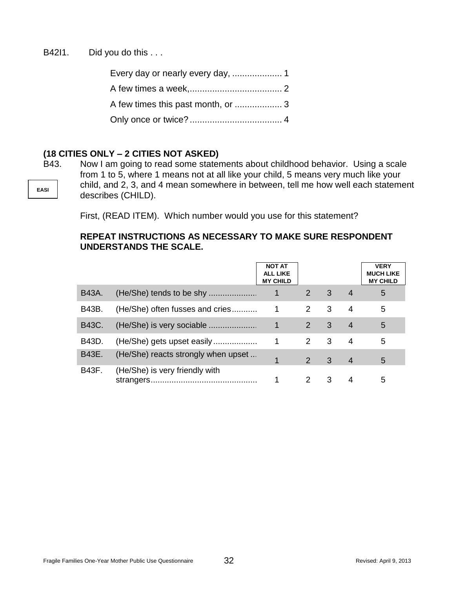B42I1. Did you do this ...

| Every day or nearly every day,  1 |  |
|-----------------------------------|--|
|                                   |  |
|                                   |  |
|                                   |  |

#### **(18 CITIES ONLY – 2 CITIES NOT ASKED)**

**EASI** B43. Now I am going to read some statements about childhood behavior. Using a scale from 1 to 5, where 1 means not at all like your child, 5 means very much like your child, and 2, 3, and 4 mean somewhere in between, tell me how well each statement describes (CHILD).

First, (READ ITEM). Which number would you use for this statement?

#### **REPEAT INSTRUCTIONS AS NECESSARY TO MAKE SURE RESPONDENT UNDERSTANDS THE SCALE.**

|       |                                     | <b>NOT AT</b><br>ALL LIKE<br><b>MY CHILD</b> |               |                         |                | <b>VERY</b><br><b>MUCH LIKE</b><br><b>MY CHILD</b> |
|-------|-------------------------------------|----------------------------------------------|---------------|-------------------------|----------------|----------------------------------------------------|
| B43A. |                                     | $\mathbf 1$                                  | 2             | $\overline{\mathbf{3}}$ | $\overline{4}$ | 5                                                  |
| B43B. | (He/She) often fusses and cries     | $\mathbf{1}$                                 | 2             | 3                       | 4              | 5                                                  |
| B43C. |                                     | $\mathbf{1}$                                 | 2             | 3                       | $\overline{4}$ | 5                                                  |
| B43D. | (He/She) gets upset easily          | 1                                            | 2             | 3                       | 4              | 5                                                  |
| B43E. | (He/She) reacts strongly when upset |                                              | $\mathcal{P}$ | 3                       | 4              | 5                                                  |
| B43F. | (He/She) is very friendly with      |                                              | 2             | 3                       | 4              | 5                                                  |

Fragile Families One-Year Mother Public Use Questionnaire 32 **32** Revised: April 9, 2013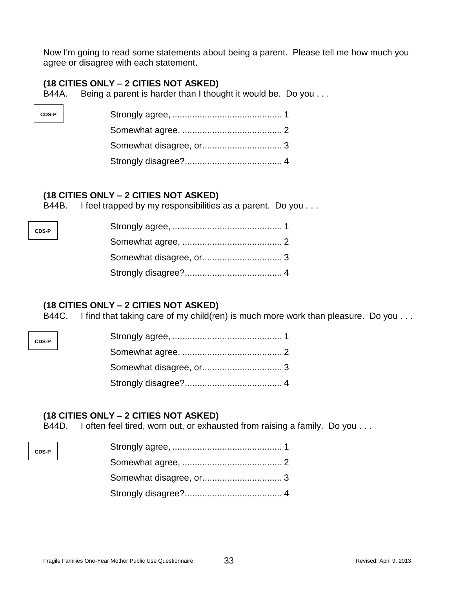Now I'm going to read some statements about being a parent. Please tell me how much you agree or disagree with each statement.

#### **(18 CITIES ONLY – 2 CITIES NOT ASKED)**

CDS-

**CDS-P**

**CDS-P**

**CDS-P**

B44A. Being a parent is harder than I thought it would be. Do you . . .

| $\overline{P}$ |  |
|----------------|--|
|                |  |
|                |  |
|                |  |

#### **(18 CITIES ONLY – 2 CITIES NOT ASKED)**

B44B. I feel trapped by my responsibilities as a parent. Do you ...

#### **(18 CITIES ONLY – 2 CITIES NOT ASKED)**

B44C. I find that taking care of my child(ren) is much more work than pleasure. Do you . . .

#### **(18 CITIES ONLY – 2 CITIES NOT ASKED)**

B44D. I often feel tired, worn out, or exhausted from raising a family. Do you . . .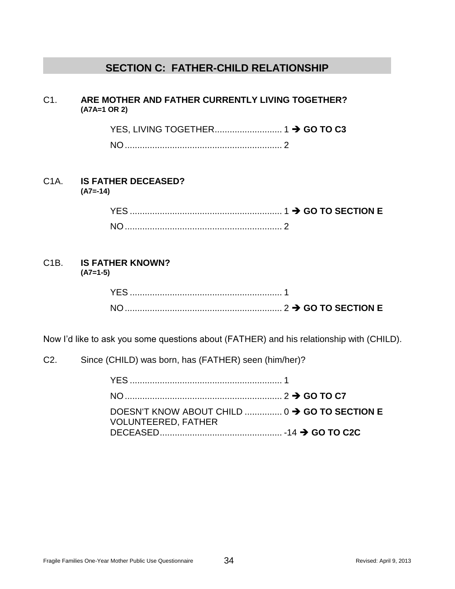## **SECTION C: FATHER-CHILD RELATIONSHIP**

## C1. **ARE MOTHER AND FATHER CURRENTLY LIVING TOGETHER? (A7A=1 OR 2)**

YES, LIVING TOGETHER........................... 1 **GO TO C3**

NO............................................................... 2

#### C1A. **IS FATHER DECEASED? (A7=-14)**

| YES.      |  |
|-----------|--|
| <b>NO</b> |  |

#### C1B. **IS FATHER KNOWN? (A7=1-5)**

| <b>YFS</b>     |  |
|----------------|--|
| N <sub>O</sub> |  |

Now I'd like to ask you some questions about (FATHER) and his relationship with (CHILD).

## C2. Since (CHILD) was born, has (FATHER) seen (him/her)?

| DOESN'T KNOW ABOUT CHILD  0 → GO TO SECTION E<br><b>VOLUNTEERED, FATHER</b> |  |
|-----------------------------------------------------------------------------|--|
|                                                                             |  |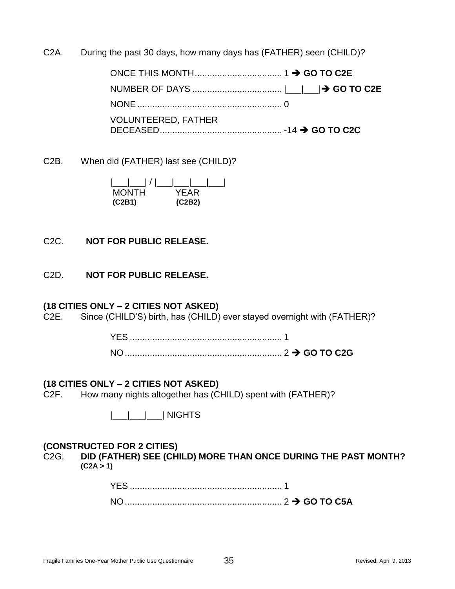C2A. During the past 30 days, how many days has (FATHER) seen (CHILD)?

ONCE THIS MONTH................................... 1 **GO TO C2E** NUMBER OF DAYS .................................... |\_\_\_|\_\_\_| **GO TO C2E** NONE.......................................................... 0 VOLUNTEERED, FATHER DECEASED................................................. -14 **GO TO C2C**

C2B. When did (FATHER) last see (CHILD)?

|\_\_\_|\_\_\_| / |\_\_\_|\_\_\_|\_\_\_|\_\_\_| **MONTH (C2B1) (C2B2)**

## C2C. **NOT FOR PUBLIC RELEASE.**

C2D. **NOT FOR PUBLIC RELEASE.**

## **(18 CITIES ONLY – 2 CITIES NOT ASKED)**

C2E. Since (CHILD'S) birth, has (CHILD) ever stayed overnight with (FATHER)?

## **(18 CITIES ONLY – 2 CITIES NOT ASKED)**

C2F. How many nights altogether has (CHILD) spent with (FATHER)?

|\_\_\_|\_\_\_|\_\_\_| NIGHTS

## **(CONSTRUCTED FOR 2 CITIES)**

C2G. **DID (FATHER) SEE (CHILD) MORE THAN ONCE DURING THE PAST MONTH? (C2A > 1)**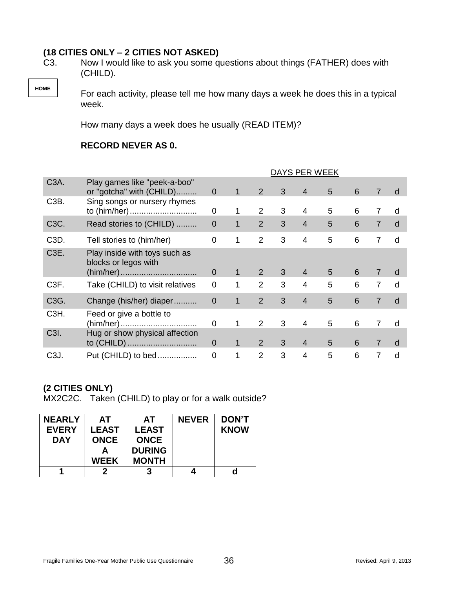C3. Now I would like to ask you some questions about things (FATHER) does with (CHILD).

For each activity, please tell me how many days a week he does this in a typical week.

How many days a week does he usually (READ ITEM)?

#### **RECORD NEVERAS 0.**

|                   |                                                                    | DAYS PER WEEK  |              |                |   |                |   |   |                |   |
|-------------------|--------------------------------------------------------------------|----------------|--------------|----------------|---|----------------|---|---|----------------|---|
| C <sub>3</sub> A. | Play games like "peek-a-boo"<br>or "gotcha" with (CHILD)           | $\overline{0}$ | 1            | 2              | 3 | $\overline{4}$ | 5 | 6 | $\overline{7}$ | d |
| C <sub>3</sub> B. | Sing songs or nursery rhymes<br>to (him/her)                       | 0              | 1            | $\overline{2}$ | 3 | $\overline{4}$ | 5 | 6 | $\overline{7}$ | d |
| C <sub>3</sub> C. | Read stories to (CHILD)                                            | $\mathbf 0$    | $\mathbf 1$  | 2              | 3 | $\overline{4}$ | 5 | 6 | $\overline{7}$ | d |
| C <sub>3</sub> D. | Tell stories to (him/her)                                          | $\mathbf 0$    | 1            | $\overline{2}$ | 3 | $\overline{4}$ | 5 | 6 | 7              | d |
| C <sub>3</sub> E. | Play inside with toys such as<br>blocks or legos with<br>(him/her) | $\Omega$       | 1            | 2              | 3 | $\overline{4}$ | 5 | 6 | $\overline{7}$ | d |
| C <sub>3</sub> F. | Take (CHILD) to visit relatives                                    | $\mathbf 0$    | 1            | $\overline{2}$ | 3 | $\overline{4}$ | 5 | 6 | $\overline{7}$ | d |
| C3G.              | Change (his/her) diaper                                            | $\mathbf 0$    | $\mathbf{1}$ | 2              | 3 | $\overline{4}$ | 5 | 6 | $\overline{7}$ | d |
| C <sub>3</sub> H. | Feed or give a bottle to                                           | $\overline{0}$ | 1            | $\mathcal{P}$  | 3 | $\overline{4}$ | 5 | 6 | $\overline{7}$ | d |
| C3I.              | Hug or show physical affection<br>to (CHILD)                       | $\overline{0}$ | 1            | $\overline{2}$ | 3 | $\overline{4}$ | 5 | 6 | $\overline{7}$ | d |
| C <sub>3</sub> J. | Put (CHILD) to bed                                                 | $\overline{0}$ | 1            | $\mathcal{P}$  | 3 | $\overline{4}$ | 5 | 6 | 7              | d |

## **(2 CITIES ONLY)**

**HOME**

MX2C2C. Taken (CHILD) to play or for a walk outside?

| <b>NEARLY</b> | АT           | AT            | <b>NEVER</b> | <b>DON'T</b> |
|---------------|--------------|---------------|--------------|--------------|
| <b>EVERY</b>  | <b>LEAST</b> | <b>LEAST</b>  |              | <b>KNOW</b>  |
| <b>DAY</b>    | <b>ONCE</b>  | <b>ONCE</b>   |              |              |
|               | А            | <b>DURING</b> |              |              |
|               | <b>WEEK</b>  | <b>MONTH</b>  |              |              |
|               |              |               |              |              |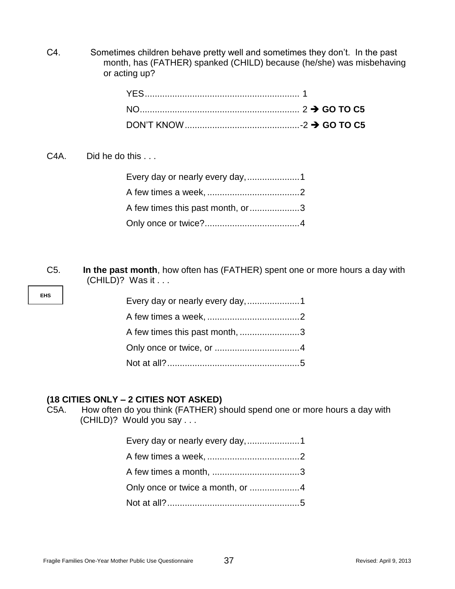C4. Sometimes children behave pretty well and sometimes they don't. In the past month, has (FATHER) spanked (CHILD) because (he/she) was misbehaving or acting up?

C4A. Did he do this ...

**EHS**

| Every day or nearly every day,1   |  |
|-----------------------------------|--|
|                                   |  |
| A few times this past month, or 3 |  |
|                                   |  |

C5. **In the past month**, how often has (FATHER) spent one or more hours a day with (CHILD)? Was it . . .

| Every day or nearly every day,1 |  |
|---------------------------------|--|
|                                 |  |
| A few times this past month, 3  |  |
|                                 |  |
|                                 |  |

## **(18 CITIES ONLY – 2 CITIES NOT ASKED)**

C5A. How often do you think (FATHER) should spend one or more hours a day with (CHILD)? Would you say . . .

| Every day or nearly every day,1  |  |
|----------------------------------|--|
|                                  |  |
|                                  |  |
| Only once or twice a month, or 4 |  |
|                                  |  |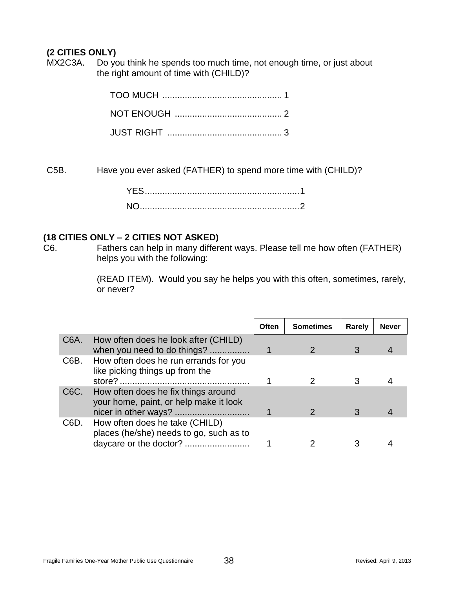## **(2 CITIES ONLY)**

MX2C3A. Do you think he spends too much time, not enough time, or just about the right amount of time with (CHILD)?

C5B. Have you ever asked (FATHER) to spend more time with (CHILD)?

## **(18 CITIES ONLY – 2 CITIES NOT ASKED)**

C6. Fathers can help in many different ways. Please tell me how often (FATHER) helps you with the following:

> (READ ITEM). Would you say he helps you with this often, sometimes, rarely, or never?

|                   |                                                                               | Often | <b>Sometimes</b> | Rarely | <b>Never</b> |
|-------------------|-------------------------------------------------------------------------------|-------|------------------|--------|--------------|
| C <sub>6</sub> A. | How often does he look after (CHILD)<br>when you need to do things?           |       |                  |        |              |
| C6B.              | How often does he run errands for you<br>like picking things up from the      |       |                  | 3      |              |
| C <sub>6</sub> C. | How often does he fix things around<br>your home, paint, or help make it look |       |                  |        |              |
| C <sub>6</sub> D. | How often does he take (CHILD)<br>places (he/she) needs to go, such as to     |       |                  |        |              |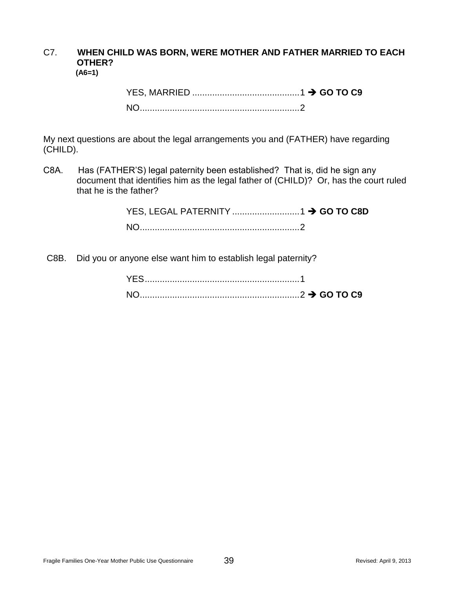#### C7. **WHEN CHILD WAS BORN, WERE MOTHER AND FATHER MARRIED TO EACH OTHER? (A6=1)**

My next questions are about the legal arrangements you and (FATHER) have regarding (CHILD).

C8A. Has (FATHER'S) legal paternity been established? That is, did he sign any document that identifies him as the legal father of (CHILD)? Or, has the court ruled that he is the father?

C8B. Did you or anyone else want him to establish legal paternity?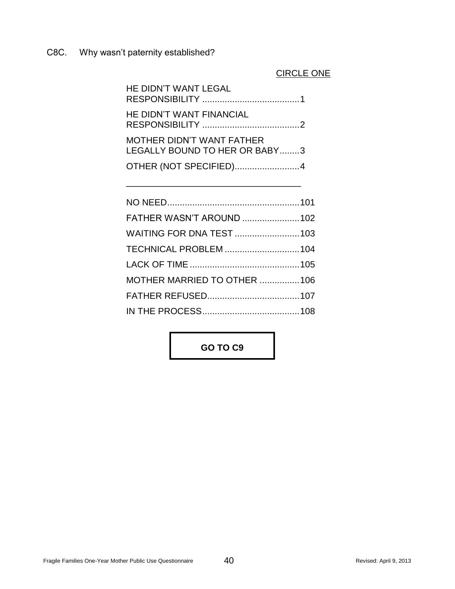C8C. Why wasn't paternity established?

## CIRCLE ONE

| HE DIDN'T WANT LEGAL                                       |
|------------------------------------------------------------|
| HE DIDN'T WANT FINANCIAL                                   |
| MOTHER DIDN'T WANT FATHER<br>LEGALLY BOUND TO HER OR BABY3 |
| OTHER (NOT SPECIFIED)4                                     |

\_\_\_\_\_\_\_\_\_\_\_\_\_\_\_\_\_\_\_\_\_\_\_\_\_\_\_\_\_\_\_\_\_\_\_

| FATHER WASN'T AROUND 102    |  |
|-----------------------------|--|
| WAITING FOR DNA TEST 103    |  |
| TECHNICAL PROBLEM 104       |  |
|                             |  |
| MOTHER MARRIED TO OTHER 106 |  |
|                             |  |
|                             |  |

**GO TO C9**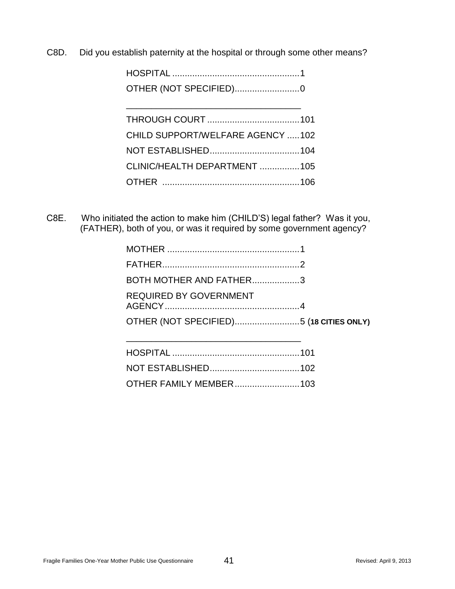C8D. Did you establish paternity at the hospital or through some other means?

| OTHER (NOT SPECIFIED)0           |  |
|----------------------------------|--|
|                                  |  |
| CHILD SUPPORT/WELFARE AGENCY 102 |  |
|                                  |  |
| CLINIC/HEALTH DEPARTMENT 105     |  |
|                                  |  |
|                                  |  |

 C8E. Who initiated the action to make him (CHILD'S) legal father? Was it you, (FATHER), both of you, or was it required by some government agency?

| BOTH MOTHER AND FATHER3                 |  |
|-----------------------------------------|--|
| <b>REQUIRED BY GOVERNMENT</b>           |  |
| OTHER (NOT SPECIFIED)5 (18 CITIES ONLY) |  |
|                                         |  |

| <b>OTHER FAMILY MEMBER103</b> |  |
|-------------------------------|--|

\_\_\_\_\_\_\_\_\_\_\_\_\_\_\_\_\_\_\_\_\_\_\_\_\_\_\_\_\_\_\_\_\_\_\_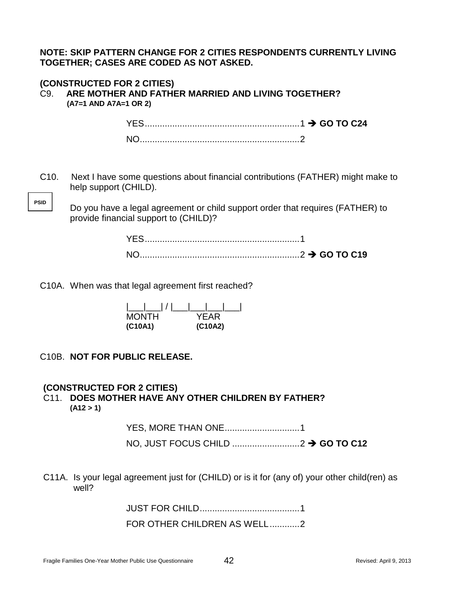**NOTE: SKIP PATTERN CHANGE FOR 2 CITIES RESPONDENTS CURRENTLY LIVING TOGETHER; CASES ARE CODED AS NOT ASKED.** 

#### **(CONSTRUCTED FOR 2 CITIES)** C9. **ARE MOTHER AND FATHER MARRIED AND LIVING TOGETHER? (A7=1 AND A7A=1 OR 2)**

YES..............................................................1 **GO TO C24** NO................................................................2

C10. Next I have some questions about financial contributions (FATHER) might make to help support (CHILD).

Do you have a legal agreement or child support order that requires (FATHER) to provide financial support to (CHILD)?

C10A. When was that legal agreement first reached?

| $\frac{1}{\sqrt{2}}$<br>$\mathcal{F}$ |         |
|---------------------------------------|---------|
| <b>MONTH</b>                          | YFAR    |
| (C10A1)                               | (C10A2) |

C10B. **NOT FOR PUBLIC RELEASE.**

**PSID**

## **(CONSTRUCTED FOR 2 CITIES)**

## C11. **DOES MOTHER HAVE ANY OTHER CHILDREN BY FATHER? (A12 > 1)**

YES, MORE THAN ONE..............................1 NO, JUST FOCUS CHILD ...........................2 **GO TO C12**

C11A. Is your legal agreement just for (CHILD) or is it for (any of) your other child(ren) as well?

JUST FOR CHILD........................................1

FOR OTHER CHILDREN AS WELL............2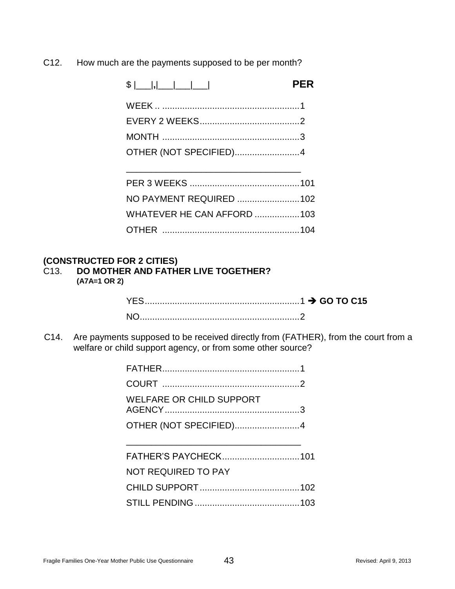C12. How much are the payments supposed to be per month?

|                                   | <b>PER</b> |
|-----------------------------------|------------|
|                                   |            |
|                                   |            |
|                                   |            |
| OTHER (NOT SPECIFIED)4            |            |
|                                   |            |
|                                   |            |
| NO PAYMENT REQUIRED 102           |            |
| <b>WHATEVER HE CAN AFFORD 103</b> |            |
|                                   |            |

# **(CONSTRUCTED FOR 2 CITIES)**

**DO MOTHER AND FATHER LIVE TOGETHER? (A7A=1 OR 2)**

 C14. Are payments supposed to be received directly from (FATHER), from the court from a welfare or child support agency, or from some other source?

| <b>WELFARE OR CHILD SUPPORT</b> |  |
|---------------------------------|--|
| OTHER (NOT SPECIFIED)4          |  |
|                                 |  |
|                                 |  |
| <b>NOT REQUIRED TO PAY</b>      |  |
|                                 |  |
|                                 |  |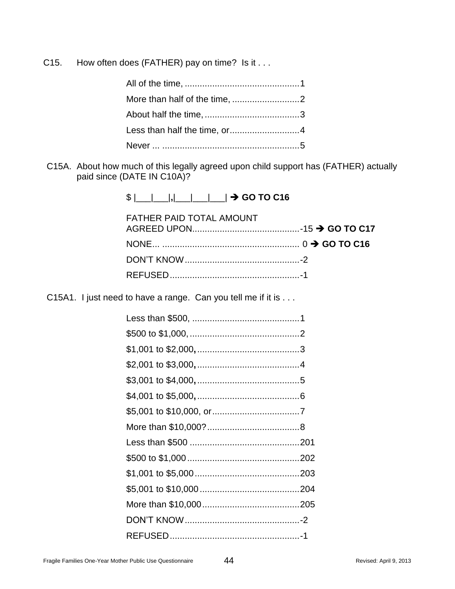C15. How often does (FATHER) pay on time? Is it . . .

C15A. About how much of this legally agreed upon child support has (FATHER) actually paid since (DATE IN C10A)?

| \$  ___ ___ , ___ ___ ___  → GO TO C16 |  |
|----------------------------------------|--|
|----------------------------------------|--|

| <b>FATHER PAID TOTAL AMOUNT</b> |  |
|---------------------------------|--|
|                                 |  |
|                                 |  |
|                                 |  |

C15A1. I just need to have a range. Can you tell me if it is . . .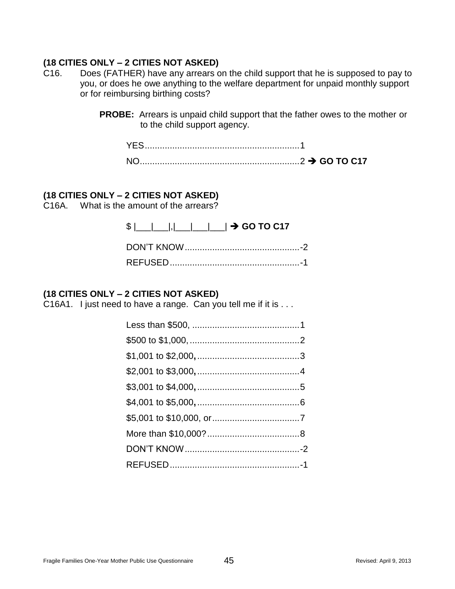- C16. Does (FATHER) have any arrears on the child support that he is supposed to pay to you, or does he owe anything to the welfare department for unpaid monthly support or for reimbursing birthing costs?
	- **PROBE:** Arrears is unpaid child support that the father owes to the mother or to the child support agency.

## **(18 CITIES ONLY – 2 CITIES NOT ASKED)**

C16A. What is the amount of the arrears?

| $\frac{1}{2}$ $\frac{1}{2}$ $\frac{1}{2}$ $\frac{1}{2}$ $\frac{1}{2}$ $\frac{1}{2}$ GO TO C17 |  |
|-----------------------------------------------------------------------------------------------|--|
|                                                                                               |  |
|                                                                                               |  |

## **(18 CITIES ONLY – 2 CITIES NOT ASKED)**

C16A1. I just need to have a range. Can you tell me if it is . . .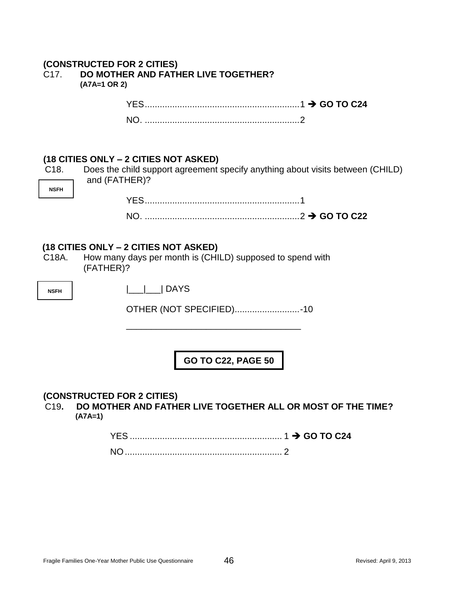| (CONSTRUCTED FOR 2 CITIES)               |
|------------------------------------------|
| C17. DO MOTHER AND FATHER LIVE TOGETHER? |
| $(A7A=1 \text{ OR } 2)$                  |

| $\mathsf{N} \mathsf{C}$ |  |
|-------------------------|--|

|             | $\frac{10}{10}$ of the one that $\frac{2}{10}$ is the state of the state of $\frac{1}{10}$ |                                                                                |
|-------------|--------------------------------------------------------------------------------------------|--------------------------------------------------------------------------------|
| C18.        |                                                                                            | Does the child support agreement specify anything about visits between (CHILD) |
|             | and (FATHER)?                                                                              |                                                                                |
| <b>NSFH</b> |                                                                                            |                                                                                |
|             |                                                                                            |                                                                                |
|             |                                                                                            |                                                                                |

## **(18 CITIES ONLY – 2 CITIES NOT ASKED)**

C18A. How many days per month is (CHILD) supposed to spend with (FATHER)?

**NSFH**

|\_\_\_|\_\_\_| DAYS

OTHER (NOT SPECIFIED)..........................-10

\_\_\_\_\_\_\_\_\_\_\_\_\_\_\_\_\_\_\_\_\_\_\_\_\_\_\_\_\_\_\_\_\_\_\_

**GO TO C22, PAGE 50**

#### **(CONSTRUCTED FOR 2 CITIES)**

 C19**. DO MOTHER AND FATHER LIVE TOGETHER ALL OR MOST OF THE TIME? (A7A=1)**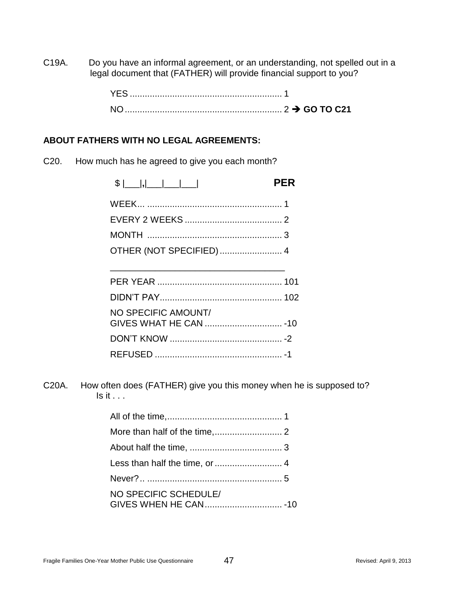C19A. Do you have an informal agreement, or an understanding, not spelled out in a legal document that (FATHER) will provide financial support to you?

## **ABOUT FATHERS WITH NO LEGAL AGREEMENTS:**

C20. How much has he agreed to give you each month?

|                     | <b>PER</b> |
|---------------------|------------|
|                     |            |
|                     |            |
|                     |            |
|                     |            |
|                     |            |
|                     |            |
|                     |            |
| NO SPECIFIC AMOUNT/ |            |
|                     |            |
|                     |            |

C20A. How often does (FATHER) give you this money when he is supposed to?  $Is it...$ 

REFUSED ................................................... -1

| NO SPECIFIC SCHEDULE/ |  |
|-----------------------|--|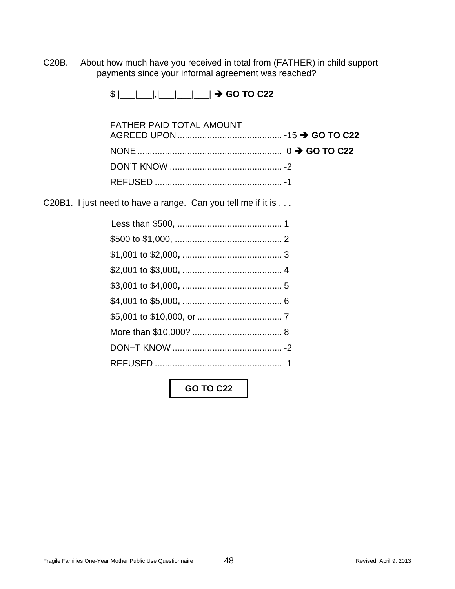C20B. About how much have you received in total from (FATHER) in child support payments since your informal agreement was reached?

 $\frac{1}{2}$   $\frac{1}{2}$   $\frac{1}{2}$   $\frac{1}{2}$   $\frac{1}{2}$   $\frac{1}{2}$  GO TO C22

| <b>FATHER PAID TOTAL AMOUNT</b> |  |
|---------------------------------|--|
|                                 |  |
|                                 |  |
|                                 |  |
|                                 |  |

C20B1. I just need to have a range. Can you tell me if it is . . .

**GO TO C22**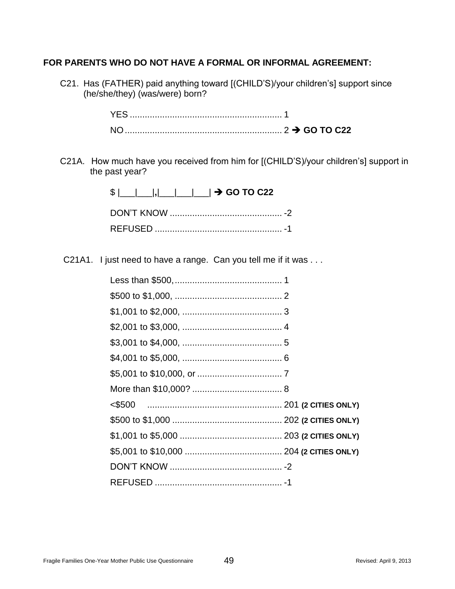## **FOR PARENTS WHO DO NOT HAVE A FORMAL OR INFORMAL AGREEMENT:**

C21. Has (FATHER) paid anything toward [(CHILD'S)/your children's] support since (he/she/they) (was/were) born?

C21A. How much have you received from him for [(CHILD'S)/your children's] support in the past year?

| $\frac{1}{2}$ $\frac{1}{2}$ $\frac{1}{2}$ $\frac{1}{2}$ $\frac{1}{2}$ $\frac{1}{2}$ GO TO C22 |  |
|-----------------------------------------------------------------------------------------------|--|
|                                                                                               |  |
|                                                                                               |  |

C21A1. I just need to have a range. Can you tell me if it was . . .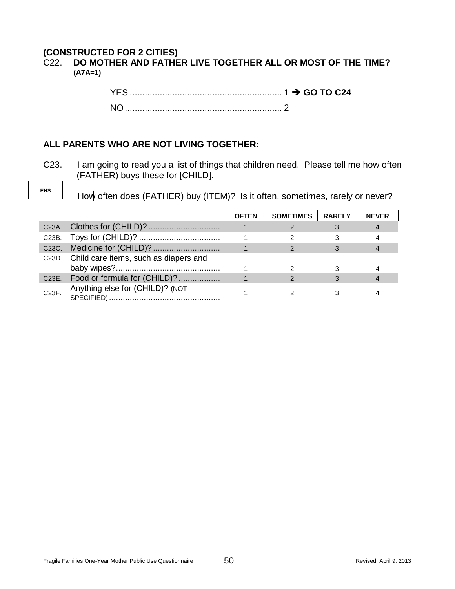## **(CONSTRUCTED FOR 2 CITIES)**

## C22. **DO MOTHER AND FATHER LIVE TOGETHER ALL OR MOST OF THE TIME? (A7A=1)**

## **ALL PARENTS WHO ARE NOT LIVING TOGETHER:**

C23. I am going to read you a list of things that children need. Please tell me how often (FATHER) buys these for [CHILD].

**EHS**

How often does (FATHER) buy (ITEM)? Is it often, sometimes, rarely or never?

|                    |                                             | <b>OFTEN</b> | <b>SOMETIMES</b> | <b>RARELY</b> | <b>NEVER</b> |
|--------------------|---------------------------------------------|--------------|------------------|---------------|--------------|
| C <sub>23</sub> A. |                                             |              |                  |               |              |
| C23B.              |                                             |              |                  |               |              |
|                    |                                             |              |                  |               |              |
|                    | C23D. Child care items, such as diapers and |              |                  |               |              |
|                    |                                             |              |                  |               |              |
| C23E.              | Food or formula for (CHILD)?                |              |                  |               |              |
| C23F.              | Anything else for (CHILD)? (NOT             |              |                  |               |              |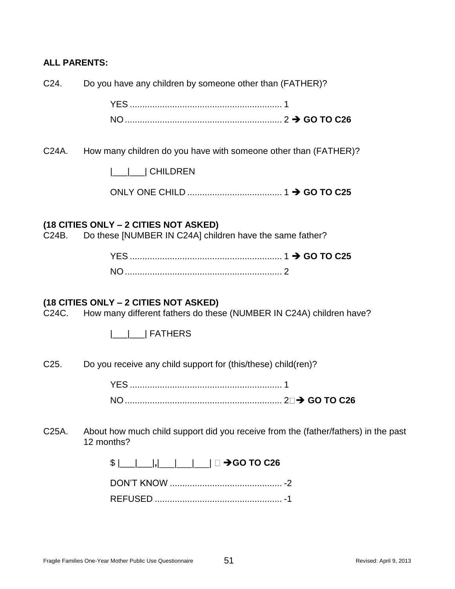## **ALL PARENTS:**

C24. Do you have any children by someone other than (FATHER)?

| YES. |  |
|------|--|
|      |  |

C24A. How many children do you have with someone other than (FATHER)?

|\_\_\_|\_\_\_| CHILDREN

ONLY ONE CHILD ...................................... 1 **GO TO C25**

#### **(18 CITIES ONLY – 2 CITIES NOT ASKED)**

C24B. Do these [NUMBER IN C24A] children have the same father?

| <b>NO</b> |  |
|-----------|--|

## **(18 CITIES ONLY – 2 CITIES NOT ASKED)**

C24C. How many different fathers do these (NUMBER IN C24A) children have?

|\_\_\_|\_\_\_| FATHERS

C25. Do you receive any child support for (this/these) child(ren)?

YES ............................................................. 1 NO............................................................... 2 **GO TO C26**

C25A. About how much child support did you receive from the (father/fathers) in the past 12 months?

\$ <u>| | | | | | | | |</u> □ →GO TO C26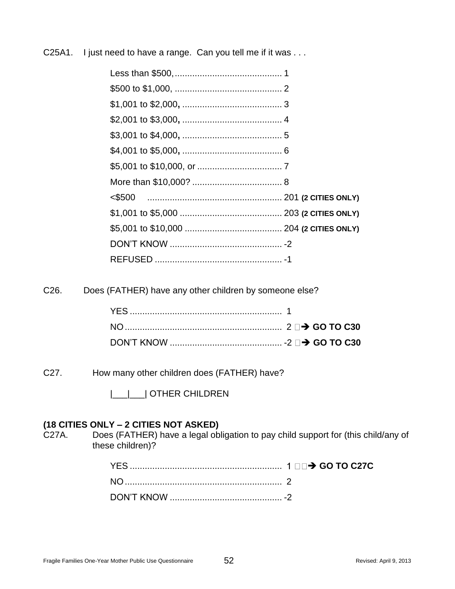C25A1. I just need to have a range. Can you tell me if it was ...

C26. Does (FATHER) have any other children by someone else?

C27. How many other children does (FATHER) have?

|\_\_\_|\_\_\_| OTHER CHILDREN

#### **(18 CITIES ONLY – 2 CITIES NOT ASKED)**

C27A. Does (FATHER) have a legal obligation to pay child support for (this child/any of these children)?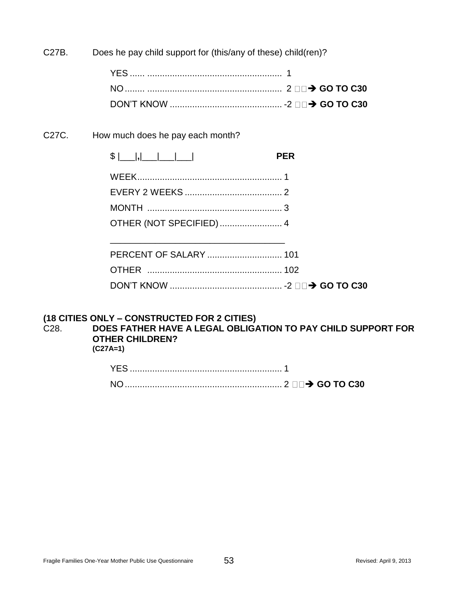C27B. Does he pay child support for (this/any of these) child(ren)?

C27C. How much does he pay each month?

| $$$ $ $ $ $ , $ $ $ $ $ $ $ $ $ $ $ $ $ $ | <b>PFR</b> |
|-------------------------------------------|------------|
|                                           |            |
|                                           |            |
|                                           |            |
| OTHER (NOT SPECIFIED)  4                  |            |
|                                           |            |

## **(18 CITIES ONLY – CONSTRUCTED FOR 2 CITIES)**

C28. **DOES FATHER HAVE A LEGAL OBLIGATION TO PAY CHILD SUPPORT FOR OTHER CHILDREN? (C27A=1)**

| <b>YES</b> |  |
|------------|--|
| <b>NC</b>  |  |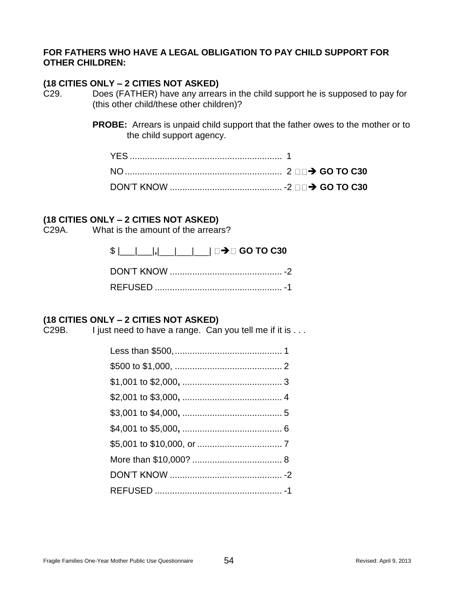## **FOR FATHERS WHO HAVE A LEGAL OBLIGATION TO PAY CHILD SUPPORT FOR OTHER CHILDREN:**

## **(18 CITIES ONLY – 2 CITIES NOT ASKED)**

C29. Does (FATHER) have any arrears in the child support he is supposed to pay for (this other child/these other children)?

> **PROBE:** Arrears is unpaid child support that the father owes to the mother or to the child support agency.

## **(18 CITIES ONLY – 2 CITIES NOT ASKED)**

C29A. What is the amount of the arrears?

| $\frac{1}{2}$ $\frac{1}{2}$ $\frac{1}{2}$ $\frac{1}{2}$ $\frac{1}{2}$ $\frac{1}{2}$ $\frac{1}{2}$ $\frac{1}{2}$ GO TO C30 |  |
|---------------------------------------------------------------------------------------------------------------------------|--|
|                                                                                                                           |  |
|                                                                                                                           |  |

## **(18 CITIES ONLY – 2 CITIES NOT ASKED)**

C29B. I just need to have a range. Can you tell me if it is . . .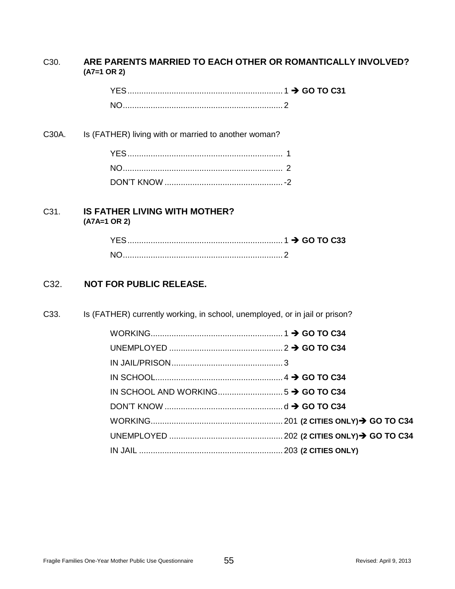#### C30. **ARE PARENTS MARRIED TO EACH OTHER OR ROMANTICALLY INVOLVED? (A7=1 OR 2)**

C30A. Is (FATHER) living with or married to another woman?

#### C31. **IS FATHER LIVING WITH MOTHER? (A7A=1 OR 2)**

| YES. |  |  |
|------|--|--|
|      |  |  |

## C32. **NOT FOR PUBLIC RELEASE.**

C33. Is (FATHER) currently working, in school, unemployed, or in jail or prison?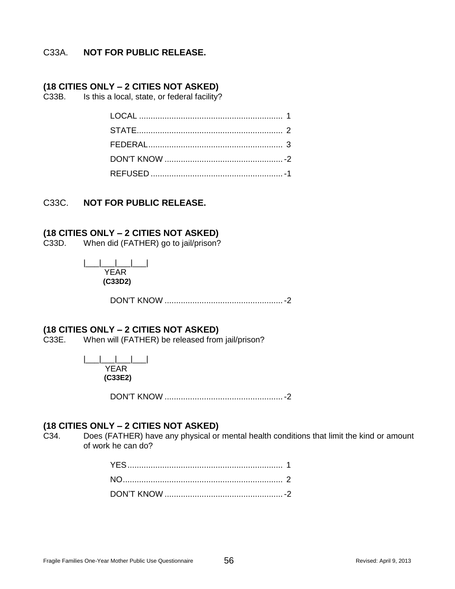## C33A. **NOT FOR PUBLIC RELEASE.**

#### **(18 CITIES ONLY – 2 CITIES NOT ASKED)**

C33B. Is this a local, state, or federal facility?

#### C33C. **NOT FOR PUBLIC RELEASE.**

#### **(18 CITIES ONLY – 2 CITIES NOT ASKED)**

C33D. When did (FATHER) go to jail/prison?

|\_\_\_|\_\_\_|\_\_\_|\_\_\_| YEAR  **(C33D2)**

DON'T KNOW ...................................................-2

#### **(18 CITIES ONLY – 2 CITIES NOT ASKED)**

C33E. When will (FATHER) be released from jail/prison?

|\_\_\_|\_\_\_|\_\_\_|\_\_\_| YEAR **(C33E2)**

DON'T KNOW ...................................................-2

## **(18 CITIES ONLY – 2 CITIES NOT ASKED)**

C34. Does (FATHER) have any physical or mental health conditions that limit the kind or amount of work he can do?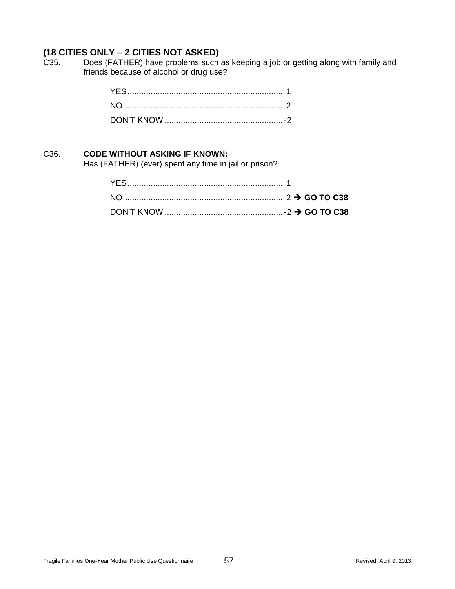C35. Does (FATHER) have problems such as keeping a job or getting along with family and friends because of alcohol or drug use?

#### C36. **CODE WITHOUT ASKING IF KNOWN:**

Has (FATHER) (ever) spent any time in jail or prison?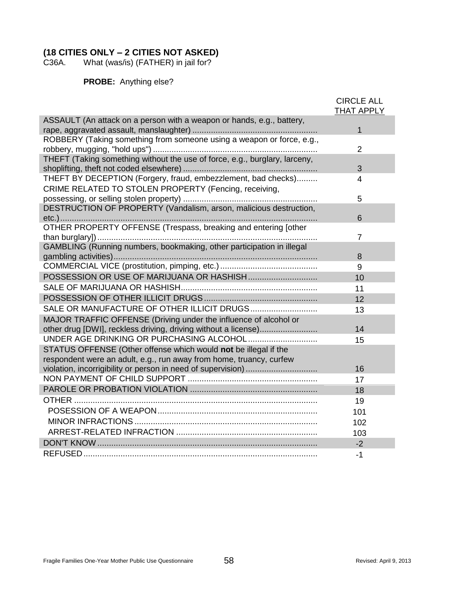What (was/is) (FATHER) in jail for?

**PROBE:** Anything else?

|                                                                            | <b>CIRCLE ALL</b><br><b>THAT APPLY</b> |
|----------------------------------------------------------------------------|----------------------------------------|
| ASSAULT (An attack on a person with a weapon or hands, e.g., battery,      | 1                                      |
| ROBBERY (Taking something from someone using a weapon or force, e.g.,      |                                        |
|                                                                            | $\overline{2}$                         |
| THEFT (Taking something without the use of force, e.g., burglary, larceny, | 3                                      |
| THEFT BY DECEPTION (Forgery, fraud, embezzlement, bad checks)              | 4                                      |
| CRIME RELATED TO STOLEN PROPERTY (Fencing, receiving,                      |                                        |
|                                                                            | 5                                      |
| DESTRUCTION OF PROPERTY (Vandalism, arson, malicious destruction,          | 6                                      |
| OTHER PROPERTY OFFENSE (Trespass, breaking and entering [other             |                                        |
|                                                                            | $\overline{7}$                         |
| GAMBLING (Running numbers, bookmaking, other participation in illegal      |                                        |
|                                                                            | 8                                      |
|                                                                            | 9                                      |
|                                                                            | 10                                     |
|                                                                            | 11                                     |
|                                                                            | 12                                     |
|                                                                            | 13                                     |
| MAJOR TRAFFIC OFFENSE (Driving under the influence of alcohol or           |                                        |
| other drug [DWI], reckless driving, driving without a license)             | 14                                     |
|                                                                            | 15                                     |
| STATUS OFFENSE (Other offense which would not be illegal if the            |                                        |
| respondent were an adult, e.g., run away from home, truancy, curfew        |                                        |
|                                                                            | 16                                     |
|                                                                            | 17                                     |
|                                                                            | 18                                     |
|                                                                            | 19                                     |
|                                                                            | 101                                    |
|                                                                            | 102                                    |
|                                                                            | 103                                    |
|                                                                            | $-2$                                   |
|                                                                            | $-1$                                   |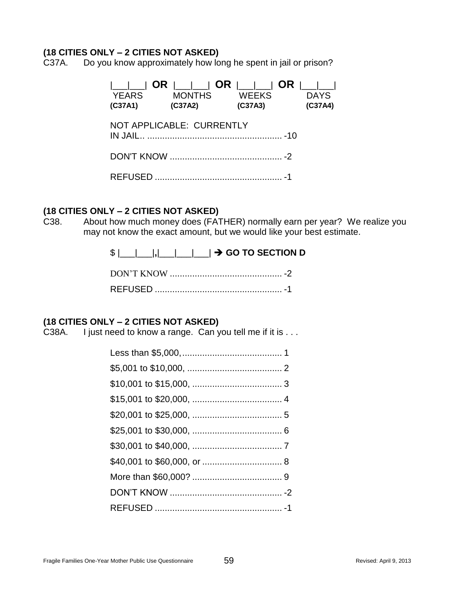C37A. Do you know approximately how long he spent in jail or prison?

|\_\_\_|\_\_\_| **OR** |\_\_\_|\_\_\_| **OR** |\_\_\_|\_\_\_| **OR** |\_\_\_|\_\_\_| YEARS MONTHS WEEKS DAYS **(C37A1) (C37A2) (C37A3) (C37A4)** NOT APPLICABLE: CURRENTLY IN JAIL.. ...................................................... -10 DON'T KNOW ............................................. -2 REFUSED ................................................... -1

#### **(18 CITIES ONLY – 2 CITIES NOT ASKED)**

C38. About how much money does (FATHER) normally earn per year? We realize you may not know the exact amount, but we would like your best estimate.

\$ |\_\_\_|\_\_\_|**,**|\_\_\_|\_\_\_|\_\_\_| **GO TO SECTION D**

## **(18 CITIES ONLY – 2 CITIES NOT ASKED)**

C38A. I just need to know a range. Can you tell me if it is ...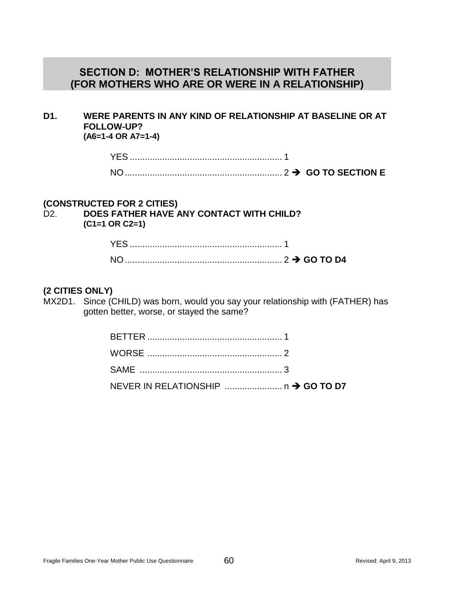## **SECTION D: MOTHER'S RELATIONSHIP WITH FATHER (FOR MOTHERS WHO ARE OR WERE IN A RELATIONSHIP)**

#### **D1. WERE PARENTS IN ANY KIND OF RELATIONSHIP AT BASELINE OR AT FOLLOW-UP? (A6=1-4 OR A7=1-4)**

| <b>YES</b>     |  |  |
|----------------|--|--|
| N <sub>O</sub> |  |  |

## **(CONSTRUCTED FOR 2 CITIES)**

D2. **DOES FATHER HAVE ANY CONTACT WITH CHILD? (C1=1 OR C2=1)**

#### **(2 CITIES ONLY)**

MX2D1. Since (CHILD) was born, would you say your relationship with (FATHER) has gotten better, worse, or stayed the same?

| NEVER IN RELATIONSHIP  n → GO TO D7 |
|-------------------------------------|
|                                     |
|                                     |
|                                     |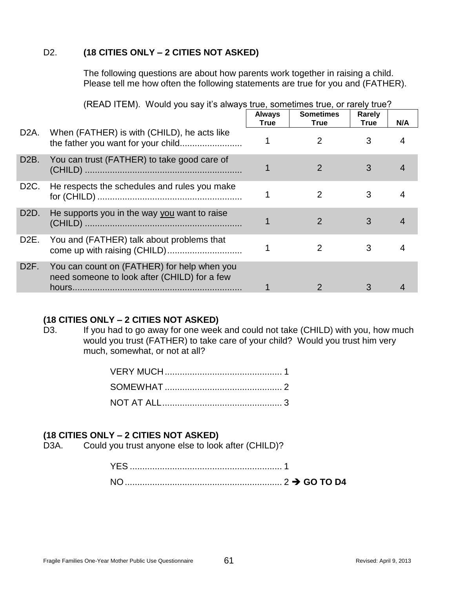The following questions are about how parents work together in raising a child. Please tell me how often the following statements are true for you and (FATHER).

|                   |                                                                                             | <b>Always</b> | <b>Sometimes</b> | Rarely      |     |
|-------------------|---------------------------------------------------------------------------------------------|---------------|------------------|-------------|-----|
|                   |                                                                                             | <b>True</b>   | <b>True</b>      | <b>True</b> | N/A |
| D2A.              | When (FATHER) is with (CHILD), he acts like                                                 |               | 2                | 3           |     |
| D <sub>2</sub> B. | You can trust (FATHER) to take good care of                                                 |               |                  | 3           |     |
| D <sub>2</sub> C. | He respects the schedules and rules you make                                                |               | 2                | 3           |     |
| D <sub>2</sub> D. | He supports you in the way you want to raise                                                |               | 2                | 3           |     |
| D <sub>2</sub> E. | You and (FATHER) talk about problems that<br>come up with raising (CHILD)                   |               |                  | 3           |     |
| D <sub>2</sub> F. | You can count on (FATHER) for help when you<br>need someone to look after (CHILD) for a few |               |                  | 3           |     |

## (READ ITEM). Would you say it's always true, sometimes true, or rarely true?

## **(18 CITIES ONLY – 2 CITIES NOT ASKED)**

D3. If you had to go away for one week and could not take (CHILD) with you, how much would you trust (FATHER) to take care of your child? Would you trust him very much, somewhat, or not at all?

## **(18 CITIES ONLY – 2 CITIES NOT ASKED)**

D3A. Could you trust anyone else to look after (CHILD)?

| <b>YES</b> |  |
|------------|--|
| NO.        |  |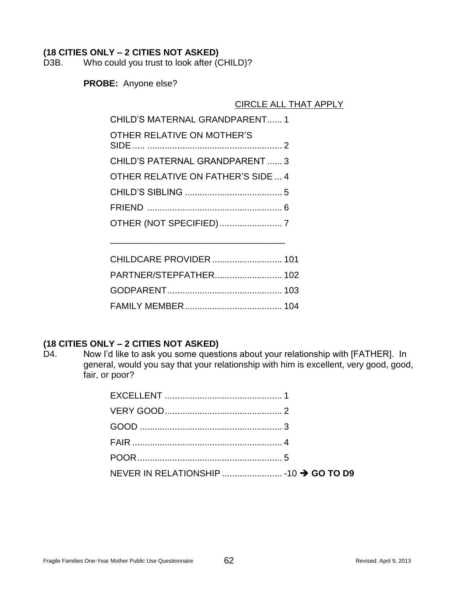D3B. Who could you trust to look after (CHILD)?

**PROBE:** Anyone else?

## CIRCLE ALL THAT APPLY

| CHILD'S MATERNAL GRANDPARENT 1         |
|----------------------------------------|
| OTHER RELATIVE ON MOTHER'S             |
| <b>CHILD'S PATERNAL GRANDPARENT  3</b> |
| OTHER RELATIVE ON FATHER'S SIDE  4     |
|                                        |
|                                        |
|                                        |

\_\_\_\_\_\_\_\_\_\_\_\_\_\_\_\_\_\_\_\_\_\_\_\_\_\_\_\_\_\_\_\_\_\_\_

## **(18 CITIES ONLY – 2 CITIES NOT ASKED)**

D4. Now I'd like to ask you some questions about your relationship with [FATHER]. In general, would you say that your relationship with him is excellent, very good, good, fair, or poor?

| NEVER IN RELATIONSHIP  -10 → GO TO D9 |  |
|---------------------------------------|--|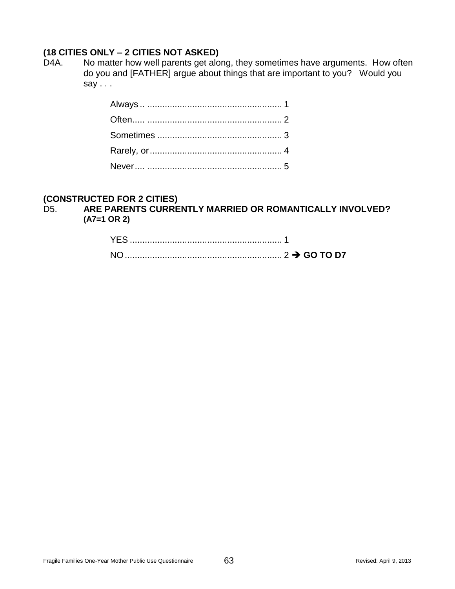D4A. No matter how well parents get along, they sometimes have arguments. How often do you and [FATHER] argue about things that are important to you? Would you say . . .

## **(CONSTRUCTED FOR 2 CITIES)**

D5. **ARE PARENTS CURRENTLY MARRIED OR ROMANTICALLY INVOLVED? (A7=1 OR 2)**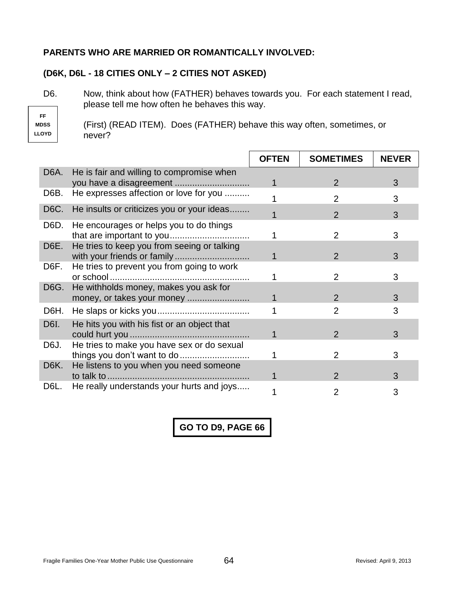## **PARENTS WHO ARE MARRIED OR ROMANTICALLY INVOLVED:**

## **(D6K, D6L - 18 CITIES ONLY – 2 CITIES NOT ASKED)**

D6. Now, think about how (FATHER) behaves towards you. For each statement I read, please tell me how often he behaves this way.

**FF MDSS LLOYD**

(First) (READ ITEM). Does (FATHER) behave this way often, sometimes, or never?

|                   |                                                                            | <b>OFTEN</b> | <b>SOMETIMES</b> | <b>NEVER</b> |
|-------------------|----------------------------------------------------------------------------|--------------|------------------|--------------|
| D <sub>6</sub> A. | He is fair and willing to compromise when                                  |              | $\overline{2}$   | 3            |
| D6B.              | He expresses affection or love for you                                     |              | $\overline{2}$   | 3            |
| D6C.              | He insults or criticizes you or your ideas                                 |              | $\overline{2}$   | 3            |
| D6D.              | He encourages or helps you to do things                                    |              | $\overline{2}$   | 3            |
| D6E.              | He tries to keep you from seeing or talking<br>with your friends or family |              | $\overline{2}$   | 3            |
| D6F.              | He tries to prevent you from going to work                                 |              | 2                | З            |
| D6G.              | He withholds money, makes you ask for<br>money, or takes your money        |              | $\mathcal{P}$    | 3            |
| D6H.              |                                                                            |              | $\overline{2}$   | 3            |
| D6I.              | He hits you with his fist or an object that                                |              | 2                | 3            |
| D6J.              | He tries to make you have sex or do sexual<br>things you don't want to do  |              | 2                | З            |
| D6K.              | He listens to you when you need someone                                    |              | $\overline{2}$   | 3            |
| D6L.              | He really understands your hurts and joys                                  |              | 2                | 3            |

**GO TO D9, PAGE 66**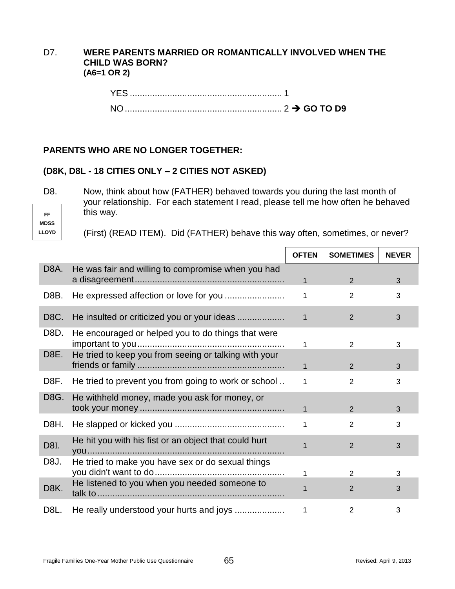## D7. **WERE PARENTS MARRIED OR ROMANTICALLY INVOLVED WHEN THE CHILD WAS BORN? (A6=1 OR 2)**

| . .        |  |  |
|------------|--|--|
| <b>VES</b> |  |  |

## **PARENTS WHO ARE NO LONGER TOGETHER:**

## **(D8K, D8L - 18 CITIES ONLY – 2 CITIES NOT ASKED)**

D8. Now, think about how (FATHER) behaved towards you during the last month of your relationship. For each statement I read, please tell me how often he behaved this way.

**FF MDSS LLOYD**

(First) (READ ITEM). Did (FATHER) behave this way often, sometimes, or never?

|                   |                                                       | <b>OFTEN</b> | <b>SOMETIMES</b> | <b>NEVER</b> |
|-------------------|-------------------------------------------------------|--------------|------------------|--------------|
| D8A.              | He was fair and willing to compromise when you had    | 1            | 2                | 3            |
| D8B.              |                                                       | 1            | 2                | 3            |
| D8C.              |                                                       | $\mathbf{1}$ | 2                | 3            |
| D8D.<br>D8E.      | He encouraged or helped you to do things that were    | 1            | 2                | 3            |
|                   | He tried to keep you from seeing or talking with your | 1            | 2                | 3            |
| D8F.              | He tried to prevent you from going to work or school  | 1            | $\overline{2}$   | 3            |
| D8G.              | He withheld money, made you ask for money, or         | $\mathbf 1$  | $\overline{2}$   | 3            |
| D8H.              |                                                       | 1            | $\mathbf{2}$     | 3            |
| D8I.              | He hit you with his fist or an object that could hurt |              | $\overline{2}$   | 3            |
| D8J.              | He tried to make you have sex or do sexual things     |              | $\overline{2}$   | 3            |
| D <sub>8</sub> K. | He listened to you when you needed someone to         |              | $\overline{2}$   | 3            |
| D8L.              |                                                       |              | $\overline{2}$   | 3            |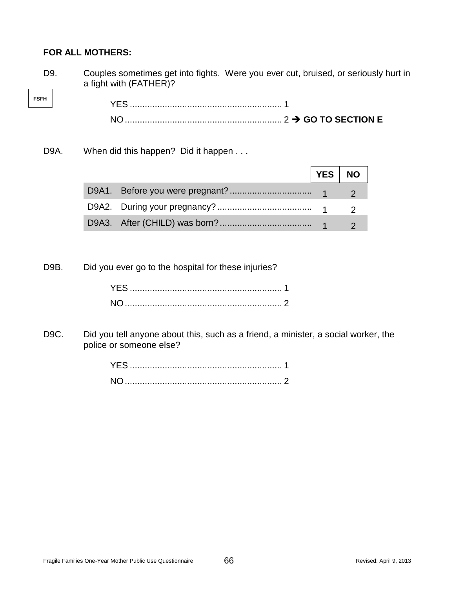## **FOR ALL MOTHERS:**

**FSFH**

D9. Couples sometimes get into fights. Were you ever cut, bruised, or seriously hurt in a fight with (FATHER)?

YES ............................................................. 1 NO............................................................... 2 **GO TO SECTION E**

## D9A. When did this happen? Did it happen . . .

|  | YES   NO |  |
|--|----------|--|
|  |          |  |
|  |          |  |
|  |          |  |

D9B. Did you ever go to the hospital for these injuries?

D9C. Did you tell anyone about this, such as a friend, a minister, a social worker, the police or someone else?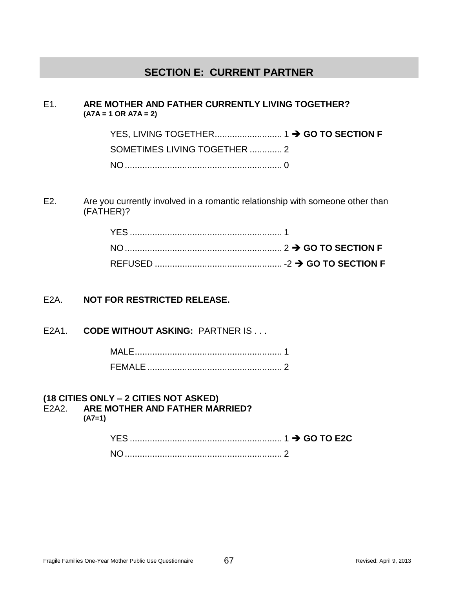## **SECTION E: CURRENT PARTNER**

#### E1. **ARE MOTHER AND FATHER CURRENTLY LIVING TOGETHER? (A7A = 1 OR A7A = 2)**

YES, LIVING TOGETHER........................... 1 **GO TO SECTION F** SOMETIMES LIVING TOGETHER ............. 2 NO............................................................... 0

E2. Are you currently involved in a romantic relationship with someone other than (FATHER)?

## E2A. **NOT FOR RESTRICTED RELEASE.**

E2A1. **CODE WITHOUT ASKING:** PARTNER IS . . .

#### **(18 CITIES ONLY – 2 CITIES NOT ASKED)**

E2A2. **ARE MOTHER AND FATHER MARRIED?** 

**(A7=1)**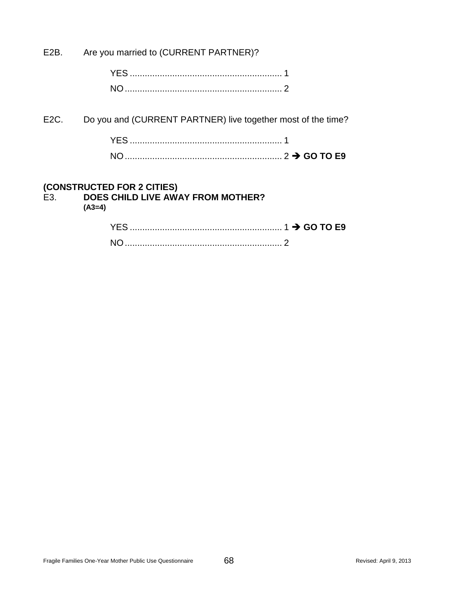E2B. Are you married to (CURRENT PARTNER)?

| <b>NO</b> |  |
|-----------|--|

E2C. Do you and (CURRENT PARTNER) live together most of the time?

## **(CONSTRUCTED FOR 2 CITIES)**

# E3. **DOES CHILD LIVE AWAY FROM MOTHER?**

**(A3=4)**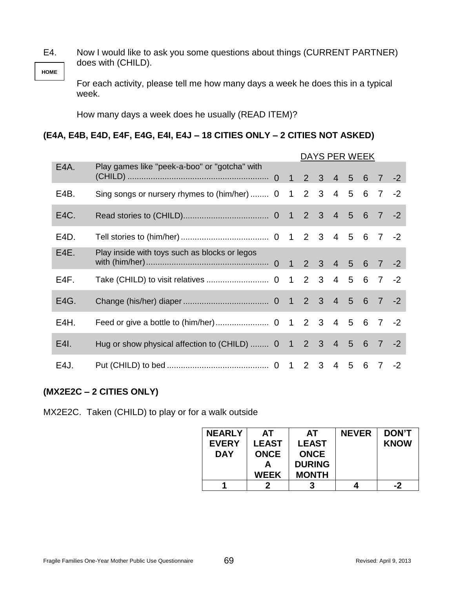**HOME** E4. Now I would like to ask you some questions about things (CURRENT PARTNER) does with (CHILD).

For each activity, please tell me how many days a week he does this in a typical week.

How many days a week does he usually (READ ITEM)?

## **(E4A, E4B, E4D, E4F, E4G, E4I, E4J – 18 CITIES ONLY – 2 CITIES NOT ASKED)**

|                   |                                                               |  | DAYS PER WEEK |  |  |  |  |     |      |
|-------------------|---------------------------------------------------------------|--|---------------|--|--|--|--|-----|------|
| E <sub>4</sub> A. | Play games like "peek-a-boo" or "gotcha" with                 |  |               |  |  |  |  |     |      |
| E4B.              | Sing songs or nursery rhymes to (him/her)  0 1 2 3 4 5 6 7    |  |               |  |  |  |  |     | $-2$ |
| E4C.              |                                                               |  |               |  |  |  |  |     |      |
| E4D.              |                                                               |  |               |  |  |  |  |     |      |
| E4E.              | Play inside with toys such as blocks or legos                 |  |               |  |  |  |  |     |      |
| E4F.              |                                                               |  |               |  |  |  |  |     |      |
| E4G.              |                                                               |  |               |  |  |  |  |     |      |
| E4H.              |                                                               |  |               |  |  |  |  |     |      |
| E4I.              | Hug or show physical affection to (CHILD)  0 1 2 3 4 5 6 7 -2 |  |               |  |  |  |  |     |      |
| E4J.              |                                                               |  |               |  |  |  |  | 6 7 | $-2$ |

## **(MX2E2C – 2 CITIES ONLY)**

MX2E2C. Taken (CHILD) to play or for a walk outside

| <b>NEARLY</b> | AT.          | AТ            | <b>NEVER</b> | <b>DON'T</b> |
|---------------|--------------|---------------|--------------|--------------|
| <b>EVERY</b>  | <b>LEAST</b> | <b>LEAST</b>  |              | <b>KNOW</b>  |
| <b>DAY</b>    | <b>ONCE</b>  | <b>ONCE</b>   |              |              |
|               |              | <b>DURING</b> |              |              |
|               | <b>WEEK</b>  | <b>MONTH</b>  |              |              |
|               |              |               |              | -2           |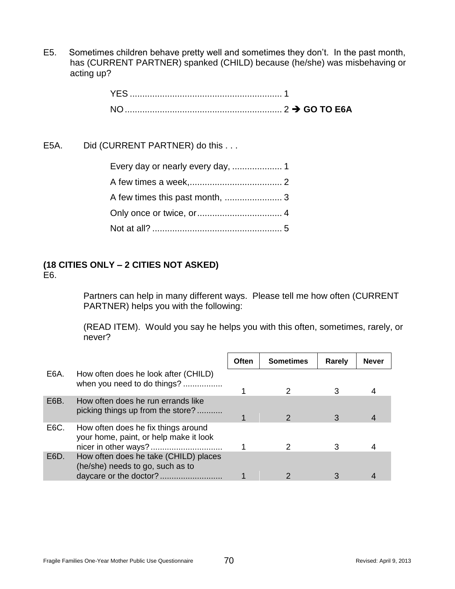E5. Sometimes children behave pretty well and sometimes they don't. In the past month, has (CURRENT PARTNER) spanked (CHILD) because (he/she) was misbehaving or acting up?

E5A. Did (CURRENT PARTNER) do this . . .

### **(18 CITIES ONLY – 2 CITIES NOT ASKED)** E6.

Partners can help in many different ways. Please tell me how often (CURRENT PARTNER) helps you with the following:

(READ ITEM). Would you say he helps you with this often, sometimes, rarely, or never?

|      |                                                                               | Often | <b>Sometimes</b> | Rarely | <b>Never</b> |
|------|-------------------------------------------------------------------------------|-------|------------------|--------|--------------|
| E6A. | How often does he look after (CHILD)<br>when you need to do things?           |       |                  |        |              |
| E6B. | How often does he run errands like<br>picking things up from the store?       |       |                  |        |              |
| E6C. | How often does he fix things around<br>your home, paint, or help make it look |       |                  |        |              |
| E6D. | How often does he take (CHILD) places<br>(he/she) needs to go, such as to     |       |                  |        |              |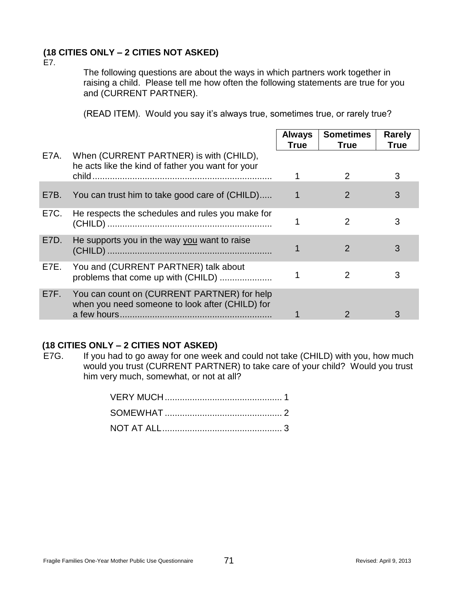### **(18 CITIES ONLY – 2 CITIES NOT ASKED)**

E7.

The following questions are about the ways in which partners work together in raising a child. Please tell me how often the following statements are true for you and (CURRENT PARTNER).

(READ ITEM). Would you say it's always true, sometimes true, or rarely true?

|      |                                                                                                | <b>Always</b><br>True | <b>Sometimes</b><br><b>True</b> | <b>Rarely</b><br><b>True</b> |
|------|------------------------------------------------------------------------------------------------|-----------------------|---------------------------------|------------------------------|
| E7A. | When (CURRENT PARTNER) is with (CHILD),<br>he acts like the kind of father you want for your   |                       |                                 |                              |
|      |                                                                                                |                       | 2                               | 3                            |
| E7B. | You can trust him to take good care of (CHILD)                                                 |                       | $\overline{2}$                  | 3                            |
| E7C. | He respects the schedules and rules you make for                                               |                       | 2                               | 3                            |
| E7D. | He supports you in the way you want to raise                                                   |                       | $\mathcal{P}$                   | 3                            |
| E7E. | You and (CURRENT PARTNER) talk about<br>problems that come up with (CHILD)                     |                       | 2                               | 3                            |
| E7F. | You can count on (CURRENT PARTNER) for help<br>when you need someone to look after (CHILD) for |                       |                                 | З                            |

### **(18 CITIES ONLY – 2 CITIES NOT ASKED)**

E7G. If you had to go away for one week and could not take (CHILD) with you, how much would you trust (CURRENT PARTNER) to take care of your child? Would you trust him very much, somewhat, or not at all?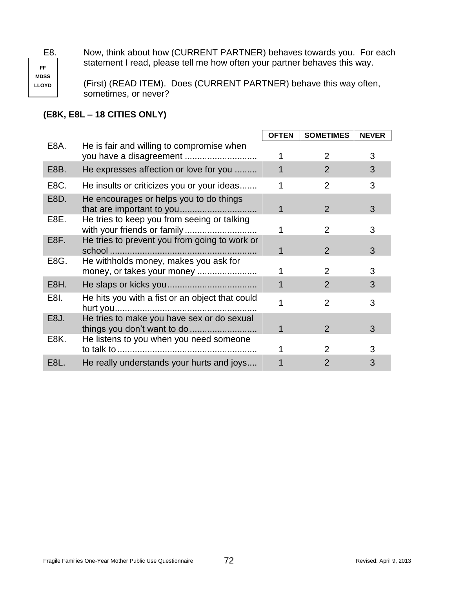E8. Now, think about how (CURRENT PARTNER) behaves towards you. For each statement I read, please tell me how often your partner behaves this way.

**FF MDSS LLOYD**

(First) (READ ITEM). Does (CURRENT PARTNER) behave this way often, sometimes, or never?

### **(E8K, E8L – 18 CITIES ONLY)**

|                   |                                                                      | <b>OFTEN</b> | <b>SOMETIMES</b> | <b>NEVER</b> |
|-------------------|----------------------------------------------------------------------|--------------|------------------|--------------|
| E8A.              | He is fair and willing to compromise when<br>you have a disagreement |              | 2                | 3            |
| E <sub>8</sub> B. | He expresses affection or love for you                               |              | 2                | 3            |
| E8C.              | He insults or criticizes you or your ideas                           |              | $\overline{2}$   | 3            |
| E8D.              | He encourages or helps you to do things                              |              | 2                | 3            |
| E8E.              | He tries to keep you from seeing or talking                          |              | 2                | 3            |
| E <sub>8</sub> F. | He tries to prevent you from going to work or                        |              | $\mathcal{P}$    | 3            |
| E8G.              | He withholds money, makes you ask for<br>money, or takes your money  |              | 2                | 3            |
| E <sub>8</sub> H. |                                                                      |              | 2                | 3            |
| E8I.              | He hits you with a fist or an object that could                      |              | 2                | 3            |
| E <sub>8</sub> J. | He tries to make you have sex or do sexual                           |              | $\mathcal{P}$    | 3            |
| E8K.              | He listens to you when you need someone                              |              | 2                | 3            |
| E8L.              | He really understands your hurts and joys                            |              | 2                | 3            |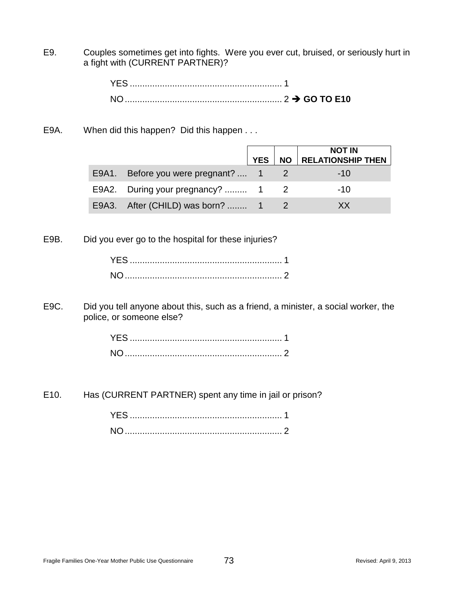E9. Couples sometimes get into fights. Were you ever cut, bruised, or seriously hurt in a fight with (CURRENT PARTNER)?

E9A. When did this happen? Did this happen . . .

|                                    |            |           | <b>NOT IN</b>            |
|------------------------------------|------------|-----------|--------------------------|
|                                    | <b>YES</b> | <b>NO</b> | <b>RELATIONSHIP THEN</b> |
| E9A1. Before you were pregnant?  1 |            |           | $-1()$                   |
| E9A2. During your pregnancy?  1 2  |            |           | $-10$                    |
| E9A3. After (CHILD) was born?  1   |            |           | ХX                       |

E9B. Did you ever go to the hospital for these injuries?

E9C. Did you tell anyone about this, such as a friend, a minister, a social worker, the police, or someone else?

E10. Has (CURRENT PARTNER) spent any time in jail or prison?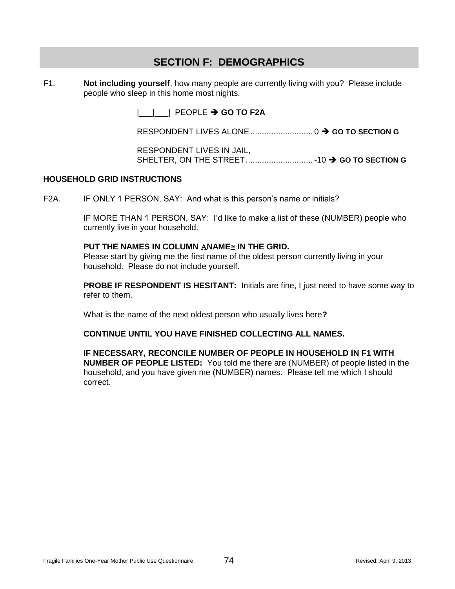# **SECTION F: DEMOGRAPHICS**

F1. **Not including yourself**, how many people are currently living with you? Please include people who sleep in this home most nights.

|\_\_\_|\_\_\_| PEOPLE **GO TO F2A**

RESPONDENT LIVES ALONE........................... 0 **GO TO SECTION G**

RESPONDENT LIVES IN JAIL, SHELTER, ON THE STREET.............................-10 **GO TO SECTION G**

### **HOUSEHOLD GRID INSTRUCTIONS**

F2A. IF ONLY 1 PERSON, SAY: And what is this person's name or initials?

IF MORE THAN 1 PERSON, SAY: I'd like to make a list of these (NUMBER) people who currently live in your household.

#### **PUT THE NAMES IN COLUMN ANAME IN THE GRID.**

Please start by giving me the first name of the oldest person currently living in your household. Please do not include yourself.

**PROBE IF RESPONDENT IS HESITANT:** Initials are fine, I just need to have some way to refer to them.

What is the name of the next oldest person who usually lives here**?**

### **CONTINUE UNTIL YOU HAVE FINISHED COLLECTING ALL NAMES.**

**IF NECESSARY, RECONCILE NUMBER OF PEOPLE IN HOUSEHOLD IN F1 WITH NUMBER OF PEOPLE LISTED:** You told me there are (NUMBER) of people listed in the household, and you have given me (NUMBER) names. Please tell me which I should correct.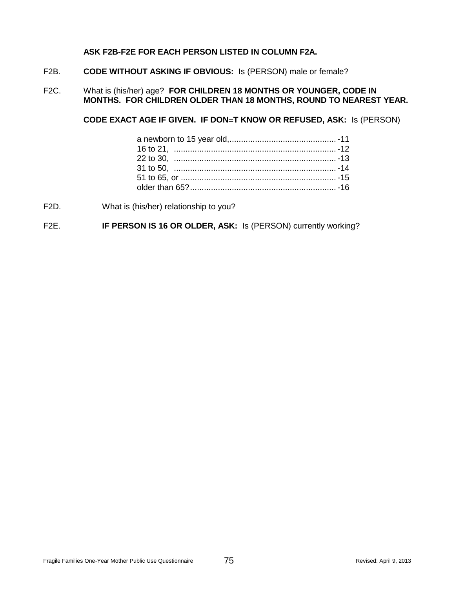### **ASK F2B-F2E FOR EACH PERSON LISTED IN COLUMN F2A.**

- F2B. **CODE WITHOUT ASKING IF OBVIOUS:** Is (PERSON) male or female?
- F2C. What is (his/her) age? **FOR CHILDREN 18 MONTHS OR YOUNGER, CODE IN MONTHS. FOR CHILDREN OLDER THAN 18 MONTHS, ROUND TO NEAREST YEAR.**

**CODE EXACT AGE IF GIVEN. IF DONT KNOW OR REFUSED, ASK:** Is (PERSON)

- F2D. What is (his/her) relationship to you?
- F2E. **IF PERSON IS 16 OR OLDER, ASK:** Is (PERSON) currently working?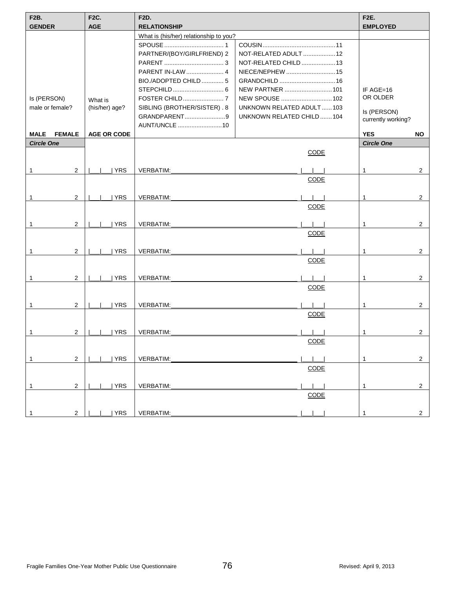| <b>F2B.</b><br><b>GENDER</b> | <b>F2C.</b><br><b>AGE</b> | <b>F2D.</b><br><b>RELATIONSHIP</b>     |                                 | <b>F2E.</b><br><b>EMPLOYED</b> |  |
|------------------------------|---------------------------|----------------------------------------|---------------------------------|--------------------------------|--|
|                              |                           | What is (his/her) relationship to you? |                                 |                                |  |
|                              |                           |                                        |                                 |                                |  |
|                              |                           | PARTNER/(BOY/GIRLFRIEND) 2             | NOT-RELATED ADULT  12           |                                |  |
|                              |                           |                                        | NOT-RELATED CHILD  13           |                                |  |
|                              |                           | PARENT IN-LAW  4                       | NIECE/NEPHEW 15                 |                                |  |
|                              |                           | BIO./ADOPTED CHILD 5                   |                                 |                                |  |
|                              |                           |                                        | <b>NEW PARTNER</b> 101          | IF $AGE=16$                    |  |
| Is (PERSON)                  | What is                   |                                        | NEW SPOUSE 102                  | OR OLDER                       |  |
| male or female?              | (his/her) age?            | SIBLING (BROTHER/SISTER). 8            | <b>UNKNOWN RELATED ADULT103</b> |                                |  |
|                              |                           | GRANDPARENT9                           | UNKNOWN RELATED CHILD104        | Is (PERSON)                    |  |
|                              |                           | AUNT/UNCLE 10                          |                                 | currently working?             |  |
| MALE<br><b>FEMALE</b>        | <b>AGE OR CODE</b>        |                                        |                                 | <b>YES</b><br>NO.              |  |
| <b>Circle One</b>            |                           |                                        |                                 | <b>Circle One</b>              |  |
|                              |                           |                                        | <b>CODE</b>                     |                                |  |
|                              |                           |                                        |                                 |                                |  |
| $\overline{2}$<br>1          | YRS                       | <b>VERBATIM:</b>                       |                                 | $\overline{2}$<br>1            |  |
|                              |                           |                                        | <b>CODE</b>                     |                                |  |
| $\overline{2}$<br>1          | <b>YRS</b>                | VERBATIM:                              |                                 | $\overline{2}$<br>1            |  |
|                              |                           |                                        | <b>CODE</b>                     |                                |  |
|                              |                           |                                        |                                 |                                |  |
| 2<br>1                       | YRS                       | VERBATIM:                              |                                 | $\overline{2}$<br>1            |  |
|                              |                           |                                        | <b>CODE</b>                     |                                |  |
|                              |                           |                                        |                                 |                                |  |
| $\overline{2}$               | YRS                       | <b>VERBATIM:</b>                       |                                 | $\overline{2}$<br>1            |  |
|                              |                           |                                        | <b>CODE</b>                     |                                |  |
| 2<br>1                       | <b>YRS</b>                | <b>VERBATIM:</b>                       |                                 | $\overline{2}$<br>1            |  |
|                              |                           |                                        | <b>CODE</b>                     |                                |  |
|                              |                           |                                        |                                 |                                |  |
| 2<br>1                       | <b>YRS</b>                | VERBATIM:                              |                                 | $\overline{2}$<br>1            |  |
|                              |                           |                                        | <b>CODE</b>                     |                                |  |
|                              |                           |                                        |                                 |                                |  |
| $\overline{2}$               | <b>YRS</b>                | VERBATIM:                              |                                 | $\overline{2}$                 |  |
|                              |                           |                                        | CODE                            |                                |  |
|                              |                           |                                        |                                 |                                |  |
| $\overline{2}$<br>1          | <b>YRS</b>                | VERBATIM:                              |                                 | $\overline{2}$                 |  |
|                              |                           |                                        | <b>CODE</b>                     |                                |  |
| $\overline{2}$<br>1          | YRS                       | VERBATIM:                              |                                 | $\overline{2}$                 |  |
|                              |                           |                                        | <b>CODE</b>                     |                                |  |
|                              |                           |                                        |                                 |                                |  |
| $\overline{2}$               | YRS                       | VERBATIM:                              |                                 | 2                              |  |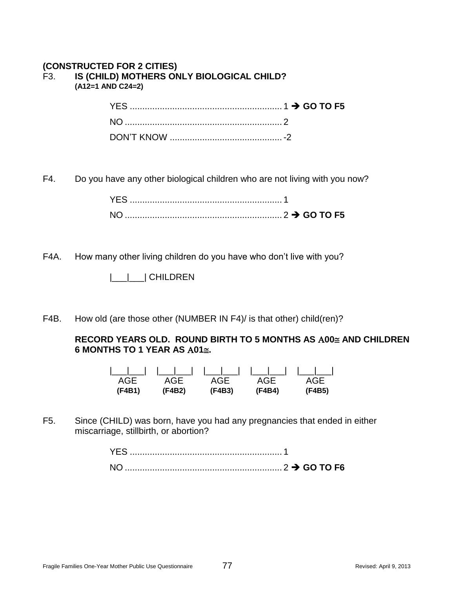### **(CONSTRUCTED FOR 2 CITIES)** F3. **IS (CHILD) MOTHERS ONLY BIOLOGICAL CHILD? (A12=1 AND C24=2)**

F4. Do you have any other biological children who are not living with you now?

| YFS. |  |
|------|--|
|      |  |

F4A. How many other living children do you have who don't live with you?

|\_\_\_|\_\_\_| CHILDREN

F4B. How old (are those other (NUMBER IN F4)/ is that other) child(ren)?

**RECORD YEARS OLD. ROUND BIRTH TO 5 MONTHS AS A00≅ AND CHILDREN 6 MONTHS TO 1 YEAR AS 01.**

| AGE    |        |        | AGE AGE AGE AGE |        |
|--------|--------|--------|-----------------|--------|
| (F4B1) | (F4B2) | (F4B3) | (F4B4)          | (F4B5) |

F5. Since (CHILD) was born, have you had any pregnancies that ended in either miscarriage, stillbirth, or abortion?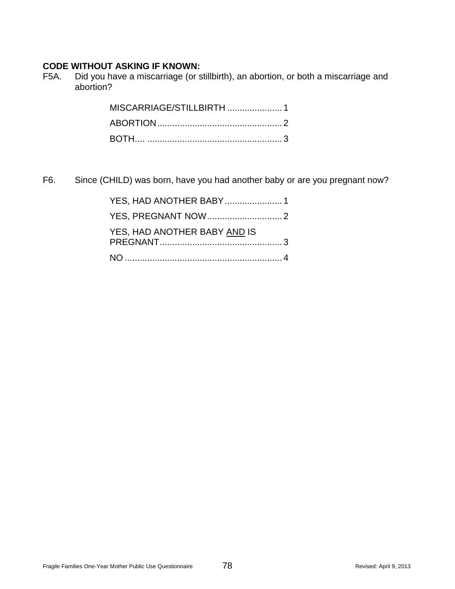### **CODE WITHOUT ASKING IF KNOWN:**

F5A. Did you have a miscarriage (or stillbirth), an abortion, or both a miscarriage and abortion?

F6. Since (CHILD) was born, have you had another baby or are you pregnant now?

| YES, HAD ANOTHER BABY 1      |  |
|------------------------------|--|
|                              |  |
| YES, HAD ANOTHER BABY AND IS |  |
|                              |  |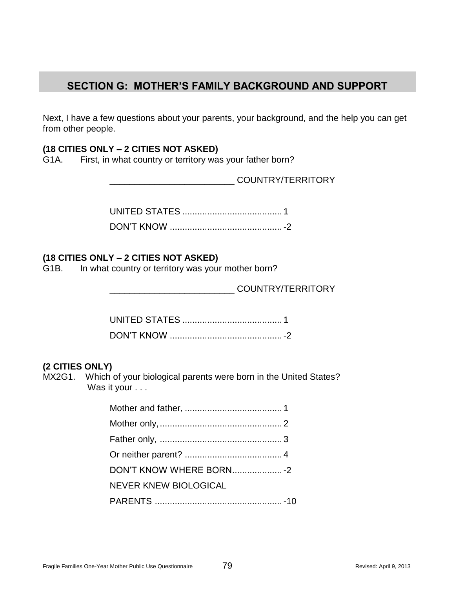# **SECTION G: MOTHER'S FAMILY BACKGROUND AND SUPPORT**

Next, I have a few questions about your parents, your background, and the help you can get from other people.

### **(18 CITIES ONLY – 2 CITIES NOT ASKED)**

G1A. First, in what country or territory was your father born?

\_\_\_\_\_\_\_\_\_\_\_\_\_\_\_\_\_\_\_\_\_\_\_\_\_ COUNTRY/TERRITORY

### **(18 CITIES ONLY – 2 CITIES NOT ASKED)**

G1B. In what country or territory was your mother born?

\_\_\_\_\_\_\_\_\_\_\_\_\_\_\_\_\_\_\_\_\_\_\_\_\_ COUNTRY/TERRITORY

### **(2 CITIES ONLY)**

MX2G1. Which of your biological parents were born in the United States? Was it your . . .

| DON'T KNOW WHERE BORN - 2 |  |
|---------------------------|--|
| NEVER KNEW BIOLOGICAL     |  |
|                           |  |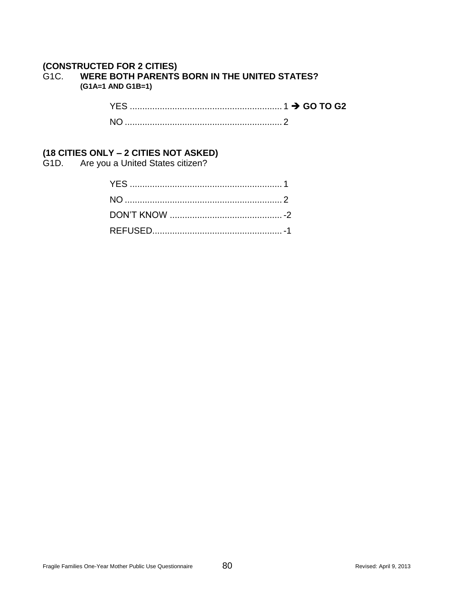### **(CONSTRUCTED FOR 2 CITIES)** G1C. **WERE BOTH PARENTS BORN IN THE UNITED STATES? (G1A=1 AND G1B=1)**

| N <sub>O</sub> |  |
|----------------|--|

### **(18 CITIES ONLY – 2 CITIES NOT ASKED)**

G1D. Are you a United States citizen?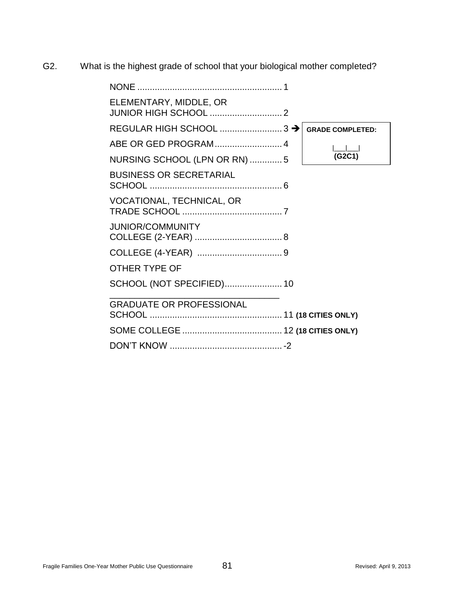G2. What is the highest grade of school that your biological mother completed?

| ELEMENTARY, MIDDLE, OR          |                         |
|---------------------------------|-------------------------|
|                                 | <b>GRADE COMPLETED:</b> |
|                                 |                         |
| NURSING SCHOOL (LPN OR RN) 5    | (G2C1)                  |
| <b>BUSINESS OR SECRETARIAL</b>  |                         |
| VOCATIONAL, TECHNICAL, OR       |                         |
| <b>JUNIOR/COMMUNITY</b>         |                         |
|                                 |                         |
| <b>OTHER TYPE OF</b>            |                         |
| SCHOOL (NOT SPECIFIED) 10       |                         |
| <b>GRADUATE OR PROFESSIONAL</b> |                         |
|                                 |                         |
|                                 |                         |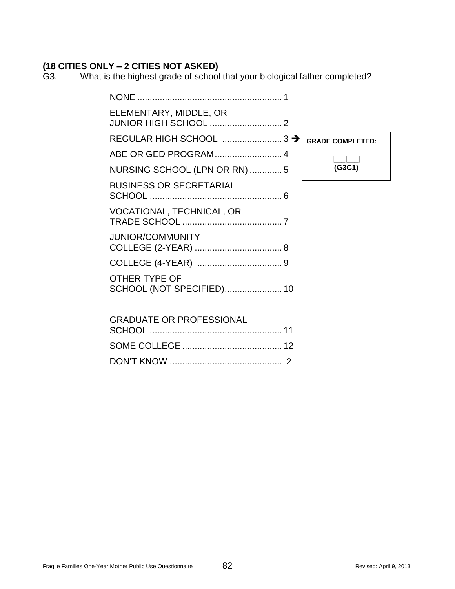# **(18 CITIES ONLY – 2 CITIES NOT ASKED)**

What is the highest grade of school that your biological father completed?

| <b>NONE</b>                                |                         |
|--------------------------------------------|-------------------------|
| ELEMENTARY, MIDDLE, OR                     |                         |
| REGULAR HIGH SCHOOL  3 >                   | <b>GRADE COMPLETED:</b> |
|                                            |                         |
| NURSING SCHOOL (LPN OR RN) 5               | (G3C1)                  |
| <b>BUSINESS OR SECRETARIAL</b>             |                         |
| VOCATIONAL, TECHNICAL, OR                  |                         |
| <b>JUNIOR/COMMUNITY</b>                    |                         |
|                                            |                         |
| OTHER TYPE OF<br>SCHOOL (NOT SPECIFIED) 10 |                         |
| <b>GRADUATE OR PROFESSIONAL</b>            |                         |
|                                            |                         |
|                                            |                         |
|                                            |                         |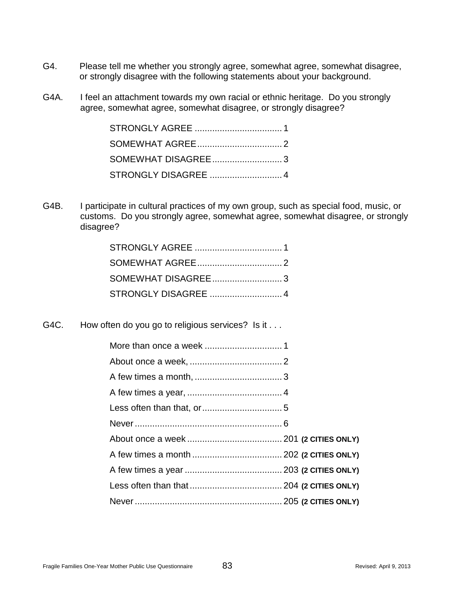- G4. Please tell me whether you strongly agree, somewhat agree, somewhat disagree, or strongly disagree with the following statements about your background.
- G4A. I feel an attachment towards my own racial or ethnic heritage. Do you strongly agree, somewhat agree, somewhat disagree, or strongly disagree?

G4B. I participate in cultural practices of my own group, such as special food, music, or customs. Do you strongly agree, somewhat agree, somewhat disagree, or strongly disagree?

G4C. How often do you go to religious services? Is it . . .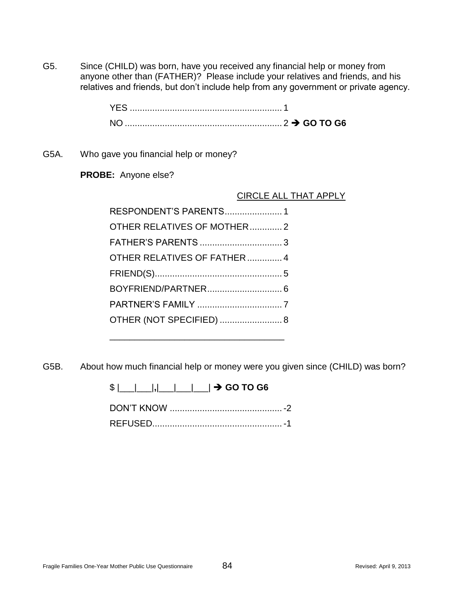G5. Since (CHILD) was born, have you received any financial help or money from anyone other than (FATHER)? Please include your relatives and friends, and his relatives and friends, but don't include help from any government or private agency.

| <b>NO</b> |  |
|-----------|--|

G5A. Who gave you financial help or money?

**PROBE:** Anyone else?

CIRCLE ALL THAT APPLY

| RESPONDENT'S PARENTS 1       |
|------------------------------|
| OTHER RELATIVES OF MOTHER2   |
|                              |
| OTHER RELATIVES OF FATHER  4 |
|                              |
|                              |
|                              |
| OTHER (NOT SPECIFIED)  8     |

\_\_\_\_\_\_\_\_\_\_\_\_\_\_\_\_\_\_\_\_\_\_\_\_\_\_\_\_\_\_\_\_\_\_\_

G5B. About how much financial help or money were you given since (CHILD) was born?

\$ |\_\_\_|\_\_\_|**,**|\_\_\_|\_\_\_|\_\_\_| **GO TO G6**

DON'T KNOW .............................................-2 REFUSED....................................................-1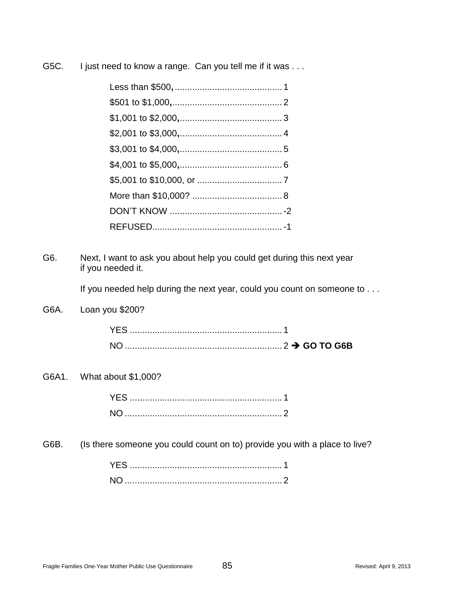| G5C. | I just need to know a range. Can you tell me if it was |
|------|--------------------------------------------------------|
|      |                                                        |

G6. Next, I want to ask you about help you could get during this next year if you needed it.

If you needed help during the next year, could you count on someone to . . .

G6A. Loan you \$200?

G6A1. What about \$1,000?

G6B. (Is there someone you could count on to) provide you with a place to live?

| NO. |  |
|-----|--|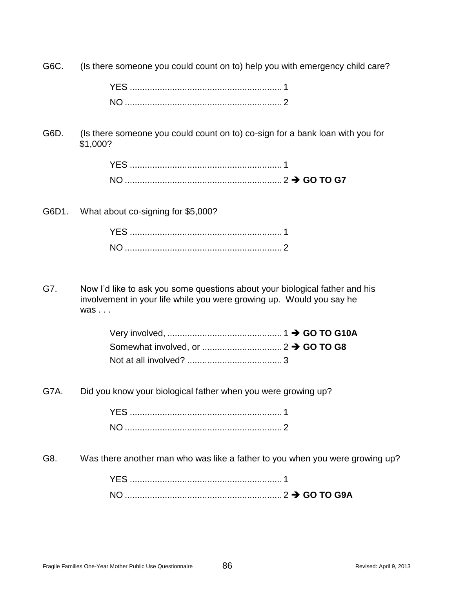G6C. (Is there someone you could count on to) help you with emergency child care?

G6D. (Is there someone you could count on to) co-sign for a bank loan with you for \$1,000?

G6D1. What about co-signing for \$5,000?

G7. Now I'd like to ask you some questions about your biological father and his involvement in your life while you were growing up. Would you say he was . . .

G7A. Did you know your biological father when you were growing up?

G8. Was there another man who was like a father to you when you were growing up?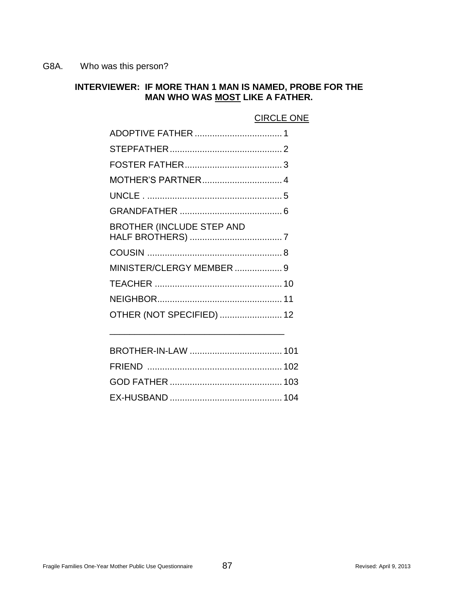G8A. Who was this person?

### **INTERVIEWER: IF MORE THAN 1 MAN IS NAMED, PROBE FOR THE MAN WHO WAS MOST LIKE A FATHER.**

### CIRCLE ONE

| MOTHER'S PARTNER 4               |  |
|----------------------------------|--|
|                                  |  |
|                                  |  |
| <b>BROTHER (INCLUDE STEP AND</b> |  |
|                                  |  |
| MINISTER/CLERGY MEMBER  9        |  |
|                                  |  |
|                                  |  |
| OTHER (NOT SPECIFIED)  12        |  |
|                                  |  |

\_\_\_\_\_\_\_\_\_\_\_\_\_\_\_\_\_\_\_\_\_\_\_\_\_\_\_\_\_\_\_\_\_\_\_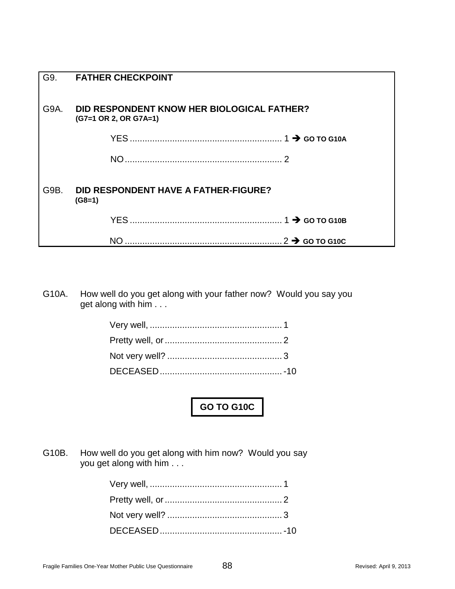| G9.  | <b>FATHER CHECKPOINT</b>                                            |
|------|---------------------------------------------------------------------|
| G9A. | DID RESPONDENT KNOW HER BIOLOGICAL FATHER?<br>(G7=1 OR 2, OR G7A=1) |
|      |                                                                     |
|      |                                                                     |
| G9B. | <b>DID RESPONDENT HAVE A FATHER-FIGURE?</b><br>$(G8=1)$             |
|      |                                                                     |
|      | NΟ                                                                  |

G10A. How well do you get along with your father now? Would you say you get along with him . . .

**GO TO G10C**

G10B. How well do you get along with him now? Would you say you get along with him . . .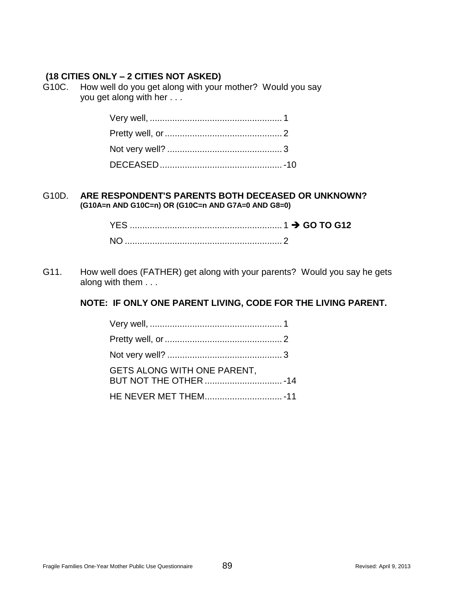### **(18 CITIES ONLY – 2 CITIES NOT ASKED)**

G10C. How well do you get along with your mother? Would you say you get along with her . . .

### G10D. **ARE RESPONDENT'S PARENTS BOTH DECEASED OR UNKNOWN? (G10A=n AND G10C=n) OR (G10C=n AND G7A=0 AND G8=0)**

| <b>YFS</b> |  |
|------------|--|
|            |  |

G11. How well does (FATHER) get along with your parents? Would you say he gets along with them . . .

### **NOTE: IF ONLY ONE PARENT LIVING, CODE FOR THE LIVING PARENT.**

| GETS ALONG WITH ONE PARENT. |  |
|-----------------------------|--|
|                             |  |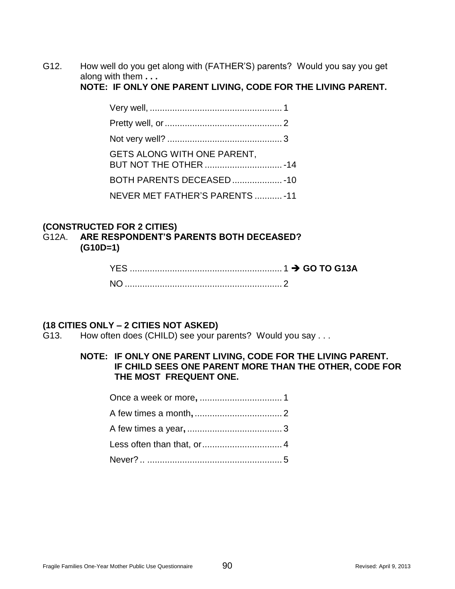G12. How well do you get along with (FATHER'S) parents? Would you say you get along with them **. . .**

**NOTE: IF ONLY ONE PARENT LIVING, CODE FOR THE LIVING PARENT.**

| GETS ALONG WITH ONE PARENT,<br>BUT NOT THE OTHER  - 14 |  |
|--------------------------------------------------------|--|
| BOTH PARENTS DECEASED - 10                             |  |
| NEVER MET FATHER'S PARENTS  - 11                       |  |

### **(CONSTRUCTED FOR 2 CITIES)**

G12A. **ARE RESPONDENT'S PARENTS BOTH DECEASED? (G10D=1)**

### **(18 CITIES ONLY – 2 CITIES NOT ASKED)**

G13. How often does (CHILD) see your parents? Would you say . . .

### **NOTE: IF ONLY ONE PARENT LIVING, CODE FOR THE LIVING PARENT. IF CHILD SEES ONE PARENT MORE THAN THE OTHER, CODE FOR THE MOST FREQUENT ONE.**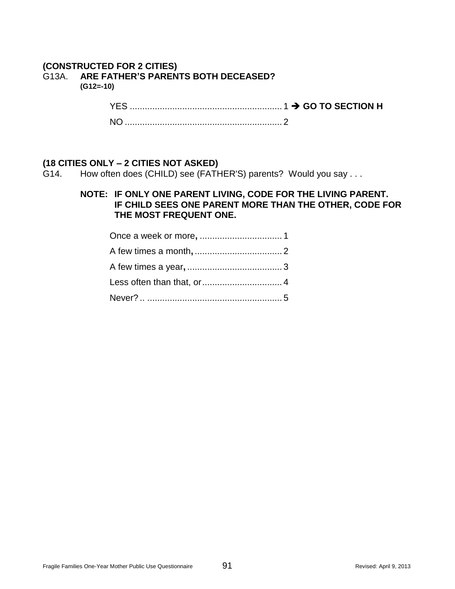# **(CONSTRUCTED FOR 2 CITIES)**

# G13A. **ARE FATHER'S PARENTS BOTH DECEASED?**

**(G12=-10)**

YES ............................................................. 1 **GO TO SECTION H**

NO ............................................................... 2

### **(18 CITIES ONLY – 2 CITIES NOT ASKED)**

G14. How often does (CHILD) see (FATHER'S) parents? Would you say . . .

### **NOTE: IF ONLY ONE PARENT LIVING, CODE FOR THE LIVING PARENT. IF CHILD SEES ONE PARENT MORE THAN THE OTHER, CODE FOR THE MOST FREQUENT ONE.**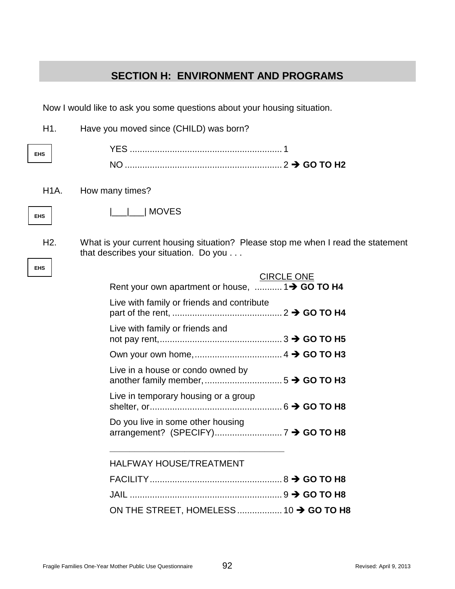# **SECTION H: ENVIRONMENT AND PROGRAMS**

Now I would like to ask you some questions about your housing situation.

| H1.               | Have you moved since (CHILD) was born?                                                                                    |  |
|-------------------|---------------------------------------------------------------------------------------------------------------------------|--|
| <b>EHS</b>        |                                                                                                                           |  |
|                   |                                                                                                                           |  |
| H <sub>1</sub> A. | How many times?                                                                                                           |  |
| <b>EHS</b>        | <b>MOVES</b>                                                                                                              |  |
| H <sub>2</sub> .  | What is your current housing situation? Please stop me when I read the statement<br>that describes your situation. Do you |  |
| <b>EHS</b>        | <b>CIRCLE ONE</b><br>Rent your own apartment or house,  1> GO TO H4                                                       |  |
|                   | Live with family or friends and contribute                                                                                |  |
|                   | Live with family or friends and                                                                                           |  |
|                   |                                                                                                                           |  |
|                   | Live in a house or condo owned by                                                                                         |  |
|                   | Live in temporary housing or a group                                                                                      |  |
|                   | Do you live in some other housing                                                                                         |  |
|                   | <b>HALFWAY HOUSE/TREATMENT</b>                                                                                            |  |
|                   |                                                                                                                           |  |
|                   |                                                                                                                           |  |
|                   | ON THE STREET, HOMELESS  10 $\rightarrow$ GO TO H8                                                                        |  |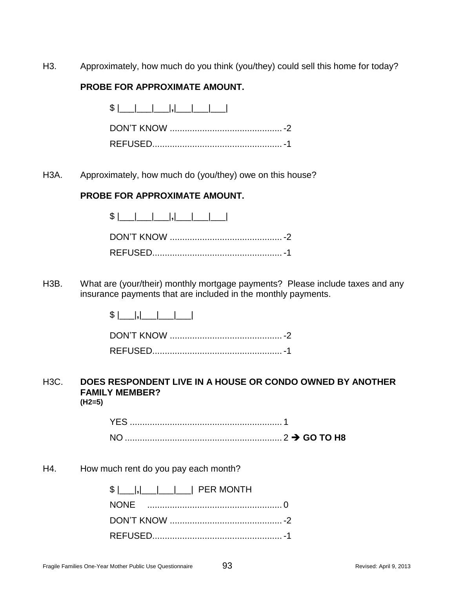H3. Approximately, how much do you think (you/they) could sell this home for today?

### **PROBE FOR APPROXIMATE AMOUNT.**

H3A. Approximately, how much do (you/they) owe on this house?

### **PROBE FOR APPROXIMATE AMOUNT.**

\$ |\_\_\_|\_\_\_|\_\_\_|**,**|\_\_\_|\_\_\_|\_\_\_| DON'T KNOW .............................................-2 REFUSED....................................................-1

H3B. What are (your/their) monthly mortgage payments? Please include taxes and any insurance payments that are included in the monthly payments.

> $$$   $|$   $|$ ,  $|$   $|$   $|$   $|$   $|$   $|$   $|$ DON'T KNOW .............................................-2 REFUSED....................................................-1

### H3C. **DOES RESPONDENT LIVE IN A HOUSE OR CONDO OWNED BY ANOTHER FAMILY MEMBER? (H2=5)**

H4. How much rent do you pay each month?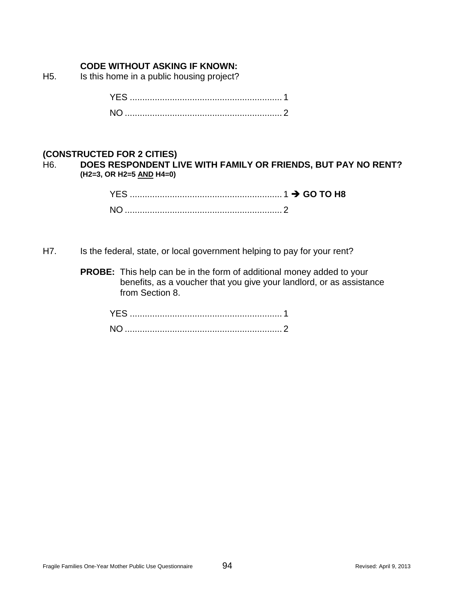### **CODE WITHOUT ASKING IF KNOWN:**

H5. Is this home in a public housing project?

| NO. |  |
|-----|--|

### **(CONSTRUCTED FOR 2 CITIES)**

H6. **DOES RESPONDENT LIVE WITH FAMILY OR FRIENDS, BUT PAY NO RENT? (H2=3, OR H2=5 AND H4=0)**

| $\frac{1}{2}$ GO TO H8<br>YFS. |  |  |  |
|--------------------------------|--|--|--|
|                                |  |  |  |

- H7. Is the federal, state, or local government helping to pay for your rent?
	- **PROBE:** This help can be in the form of additional money added to your benefits, as a voucher that you give your landlord, or as assistance from Section 8.

| YES. |  |
|------|--|
|      |  |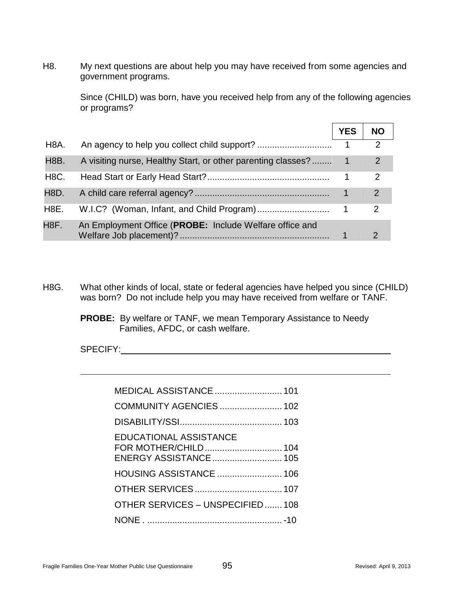H8. My next questions are about help you may have received from some agencies and government programs.

> Since (CHILD) was born, have you received help from any of the following agencies or programs?

|                   |                                                              | <b>YES</b> | <b>NO</b>      |
|-------------------|--------------------------------------------------------------|------------|----------------|
| H <sub>8</sub> A. |                                                              |            | $\overline{2}$ |
| H8B.              | A visiting nurse, Healthy Start, or other parenting classes? |            | $\overline{2}$ |
| H <sub>8</sub> C. |                                                              |            | 2              |
| H8D.              |                                                              |            | 2              |
| H <sub>8</sub> E. |                                                              |            | $\mathcal{P}$  |
| H <sub>8</sub> F. | An Employment Office (PROBE: Include Welfare office and      |            |                |

H8G. What other kinds of local, state or federal agencies have helped you since (CHILD) was born? Do not include help you may have received from welfare or TANF.

> **PROBE:** By welfare or TANF, we mean Temporary Assistance to Needy Families, AFDC, or cash welfare.

SPECIFY:

| <b>MEDICAL ASSISTANCE  101</b>                         |
|--------------------------------------------------------|
| COMMUNITY AGENCIES  102                                |
|                                                        |
| <b>EDUCATIONAL ASSISTANCE</b><br>ENERGY ASSISTANCE 105 |
| <b>HOUSING ASSISTANCE  106</b>                         |
|                                                        |
| OTHER SERVICES - UNSPECIFIED 108                       |
|                                                        |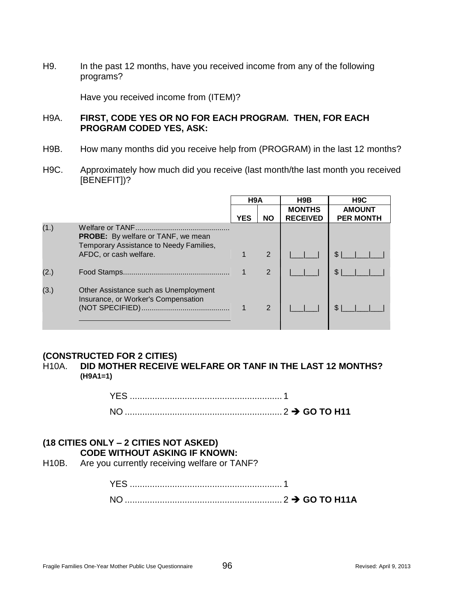H9. In the past 12 months, have you received income from any of the following programs?

Have you received income from (ITEM)?

### H9A. **FIRST, CODE YES OR NO FOR EACH PROGRAM. THEN, FOR EACH PROGRAM CODED YES, ASK:**

- H9B. How many months did you receive help from (PROGRAM) in the last 12 months?
- H9C. Approximately how much did you receive (last month/the last month you received [BENEFIT])?

|      |                                                                                      | H <sub>9</sub> A |                |                                  |                                   |  |  | H9B | H <sub>9</sub> C |
|------|--------------------------------------------------------------------------------------|------------------|----------------|----------------------------------|-----------------------------------|--|--|-----|------------------|
|      |                                                                                      | <b>YES</b>       | <b>NO</b>      | <b>MONTHS</b><br><b>RECEIVED</b> | <b>AMOUNT</b><br><b>PER MONTH</b> |  |  |     |                  |
| (1.) | <b>PROBE:</b> By welfare or TANF, we mean<br>Temporary Assistance to Needy Families, |                  |                |                                  |                                   |  |  |     |                  |
|      | AFDC, or cash welfare.                                                               |                  | $\overline{2}$ |                                  |                                   |  |  |     |                  |
| (2.) |                                                                                      |                  | $\overline{2}$ |                                  | $\mathbb{S}$                      |  |  |     |                  |
| (3.) | Other Assistance such as Unemployment<br>Insurance, or Worker's Compensation         |                  | 2              |                                  |                                   |  |  |     |                  |

### **(CONSTRUCTED FOR 2 CITIES)**

H10A. **DID MOTHER RECEIVE WELFARE OR TANF IN THE LAST 12 MONTHS? (H9A1=1)**

> YES ............................................................. 1 NO ............................................................... 2 **GO TO H11**

## **(18 CITIES ONLY – 2 CITIES NOT ASKED) CODE WITHOUT ASKING IF KNOWN:**

H10B. Are you currently receiving welfare or TANF?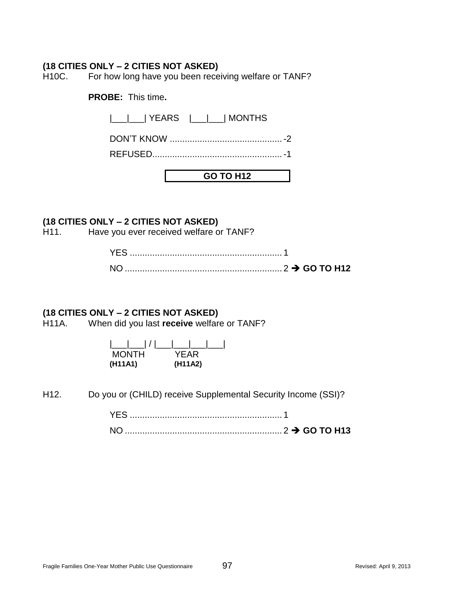### **(18 CITIES ONLY – 2 CITIES NOT ASKED)**

H10C. For how long have you been receiving welfare or TANF?

**PROBE:** This time**.**

|\_\_\_|\_\_\_| YEARS |\_\_\_|\_\_\_| MONTHS

DON'T KNOW .............................................-2

REFUSED....................................................-1

**GO TO H12**

### **(18 CITIES ONLY – 2 CITIES NOT ASKED)**

H11. Have you ever received welfare or TANF?

### **(18 CITIES ONLY – 2 CITIES NOT ASKED)**

H11A. When did you last **receive** welfare or TANF?

| <b>MONTH</b> | YFAR    |
|--------------|---------|
| (H11A1)      | (H11A2) |

H12. Do you or (CHILD) receive Supplemental Security Income (SSI)?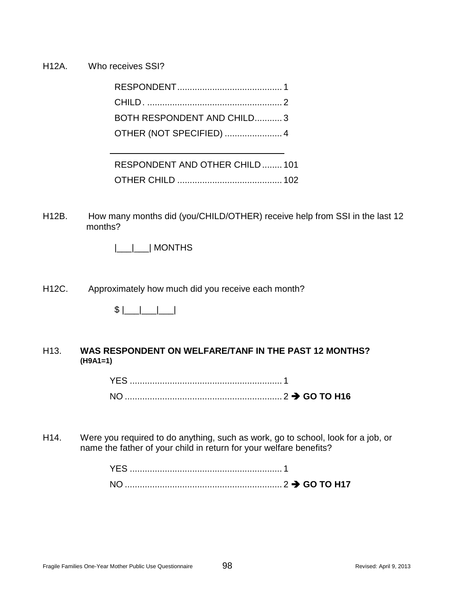H12A. Who receives SSI?

| BOTH RESPONDENT AND CHILD3             |  |
|----------------------------------------|--|
| OTHER (NOT SPECIFIED)  4               |  |
|                                        |  |
| <b>DECDONIDENT AND OTHED CHILD 101</b> |  |

| RESPUNDENT AND UTHER UHILD  TUT |  |
|---------------------------------|--|
|                                 |  |

- H12B. How many months did (you/CHILD/OTHER) receive help from SSI in the last 12 months?
	- |\_\_\_|\_\_\_| MONTHS
- H12C. Approximately how much did you receive each month?



### H13. **WAS RESPONDENT ON WELFARE/TANF IN THE PAST 12 MONTHS? (H9A1=1)**

| <b>NO</b> |  |
|-----------|--|

H14. Were you required to do anything, such as work, go to school, look for a job, or name the father of your child in return for your welfare benefits?

| N <sub>O</sub> |  |
|----------------|--|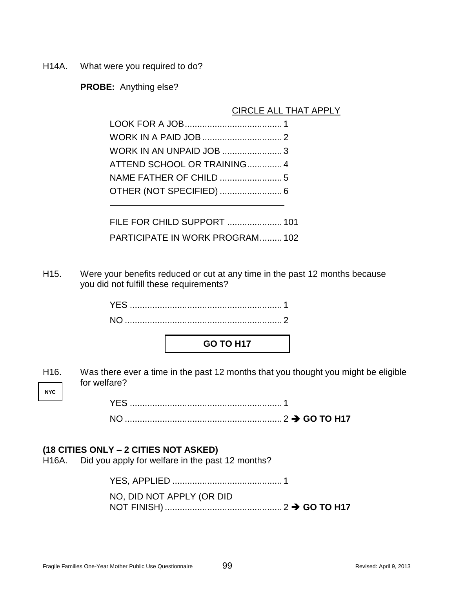H14A. What were you required to do?

**PROBE:** Anything else?

### CIRCLE ALL THAT APPLY

| ATTEND SCHOOL OR TRAINING 4 |  |
|-----------------------------|--|
|                             |  |
|                             |  |
|                             |  |

FILE FOR CHILD SUPPORT ...................... 101 PARTICIPATE IN WORK PROGRAM......... 102

H15. Were your benefits reduced or cut at any time in the past 12 months because you did not fulfill these requirements?

| <b>GO TO H17</b> |
|------------------|

**NYC** H16. Was there ever a time in the past 12 months that you thought you might be eligible for welfare?

> YES ............................................................. 1 NO ............................................................... 2 **GO TO H17**

### **(18 CITIES ONLY – 2 CITIES NOT ASKED)**

H16A. Did you apply for welfare in the past 12 months?

YES, APPLIED ............................................ 1 NO, DID NOT APPLY (OR DID NOT FINISH) ............................................... 2 **GO TO H17**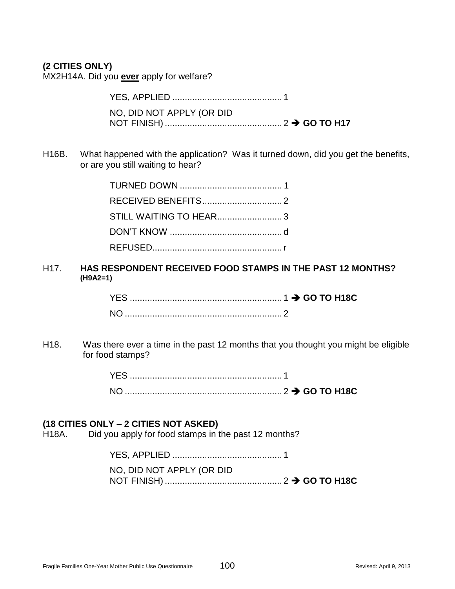### **(2 CITIES ONLY)**

MX2H14A. Did you **ever** apply for welfare?

YES, APPLIED ............................................ 1 NO, DID NOT APPLY (OR DID NOT FINISH) ............................................... 2 **GO TO H17**

H16B. What happened with the application? Was it turned down, did you get the benefits, or are you still waiting to hear?

H17. **HAS RESPONDENT RECEIVED FOOD STAMPS IN THE PAST 12 MONTHS? (H9A2=1)**

H18. Was there ever a time in the past 12 months that you thought you might be eligible for food stamps?

### **(18 CITIES ONLY – 2 CITIES NOT ASKED)**

H18A. Did you apply for food stamps in the past 12 months?

YES, APPLIED ............................................ 1

NO, DID NOT APPLY (OR DID

NOT FINISH) ............................................... 2 **GO TO H18C**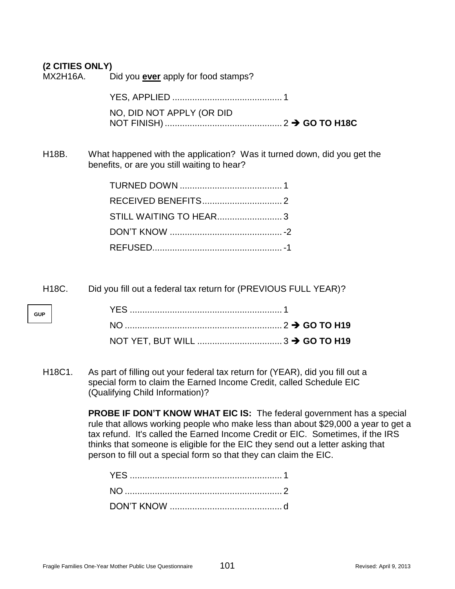### **(2 CITIES ONLY)**

MX2H16A. Did you **ever** apply for food stamps?

YES, APPLIED ............................................ 1 NO, DID NOT APPLY (OR DID NOT FINISH) ............................................... 2 **GO TO H18C**

H18B. What happened with the application? Was it turned down, did you get the benefits, or are you still waiting to hear?

| STILL WAITING TO HEAR3 |
|------------------------|
|                        |
|                        |

H18C. Did you fill out a federal tax return for (PREVIOUS FULL YEAR)?

**GUP**

H18C1. As part of filling out your federal tax return for (YEAR), did you fill out a special form to claim the Earned Income Credit, called Schedule EIC (Qualifying Child Information)?

> **PROBE IF DON'T KNOW WHAT EIC IS:** The federal government has a special rule that allows working people who make less than about \$29,000 a year to get a tax refund. It's called the Earned Income Credit or EIC. Sometimes, if the IRS thinks that someone is eligible for the EIC they send out a letter asking that person to fill out a special form so that they can claim the EIC.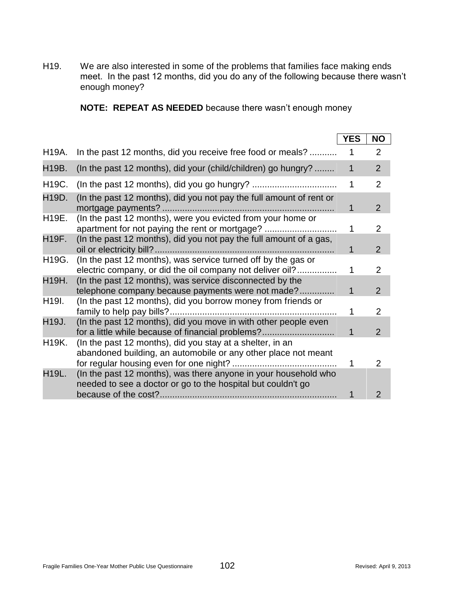H19. We are also interested in some of the problems that families face making ends meet. In the past 12 months, did you do any of the following because there wasn't enough money?

**NOTE: REPEAT AS NEEDED** because there wasn't enough money

|                    |                                                                                                                                 | <b>YES</b>   | <b>NO</b>      |
|--------------------|---------------------------------------------------------------------------------------------------------------------------------|--------------|----------------|
| H19A.              | In the past 12 months, did you receive free food or meals?                                                                      | 1            | 2              |
| H19B.              | (In the past 12 months), did your (child/children) go hungry?                                                                   | $\mathbf{1}$ | $\overline{2}$ |
| H19C.              |                                                                                                                                 | $\mathbf 1$  | 2              |
| H19D.              | (In the past 12 months), did you not pay the full amount of rent or                                                             | 1            | 2              |
| H19E.              | (In the past 12 months), were you evicted from your home or<br>apartment for not paying the rent or mortgage?                   | 1            | $\overline{2}$ |
| H19F.              | (In the past 12 months), did you not pay the full amount of a gas,                                                              | 1            | 2              |
| H19G.              | (In the past 12 months), was service turned off by the gas or<br>electric company, or did the oil company not deliver oil?      | 1            | 2              |
| H19H.              | (In the past 12 months), was service disconnected by the<br>telephone company because payments were not made?                   | 1            | 2              |
| H <sub>19</sub> I. | (In the past 12 months), did you borrow money from friends or                                                                   | 1            | 2              |
| H19J.              | (In the past 12 months), did you move in with other people even<br>for a little while because of financial problems?            | 1            | 2              |
| H19K.              | (In the past 12 months), did you stay at a shelter, in an<br>abandoned building, an automobile or any other place not meant     |              |                |
| <b>H19L.</b>       | (In the past 12 months), was there anyone in your household who<br>needed to see a doctor or go to the hospital but couldn't go | 1            | 2              |
|                    |                                                                                                                                 |              | $\overline{2}$ |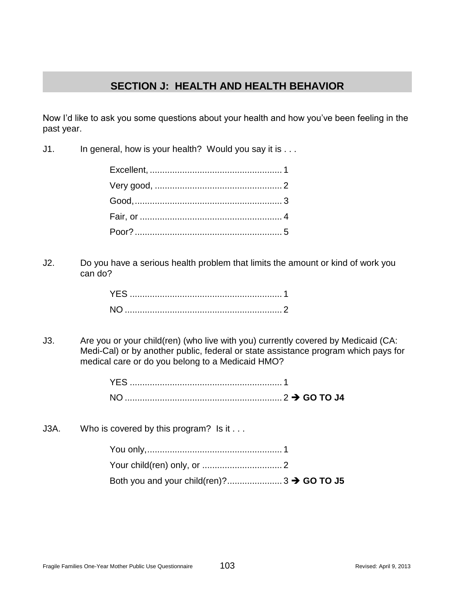# **SECTION J: HEALTH AND HEALTH BEHAVIOR**

Now I'd like to ask you some questions about your health and how you've been feeling in the past year.

J1. In general, how is your health? Would you say it is . . .

J2. Do you have a serious health problem that limits the amount or kind of work you can do?

J3. Are you or your child(ren) (who live with you) currently covered by Medicaid (CA: Medi-Cal) or by another public, federal or state assistance program which pays for medical care or do you belong to a Medicaid HMO?

J3A. Who is covered by this program? Is it ...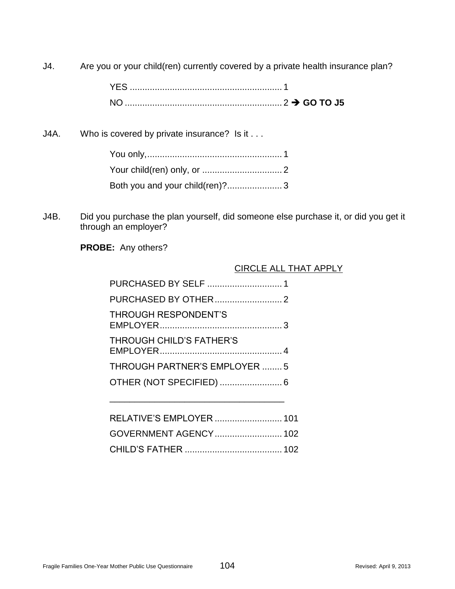J4. Are you or your child(ren) currently covered by a private health insurance plan?

J4A. Who is covered by private insurance? Is it . . .

J4B. Did you purchase the plan yourself, did someone else purchase it, or did you get it through an employer?

**PROBE:** Any others?

### CIRCLE ALL THAT APPLY

| PURCHASED BY SELF  1                |
|-------------------------------------|
|                                     |
| <b>THROUGH RESPONDENT'S</b>         |
| THROUGH CHILD'S FATHER'S            |
| <b>THROUGH PARTNER'S EMPLOYER 5</b> |
| OTHER (NOT SPECIFIED)  6            |
|                                     |
|                                     |

| RELATIVE'S EMPLOYER  101 |  |
|--------------------------|--|
|                          |  |
|                          |  |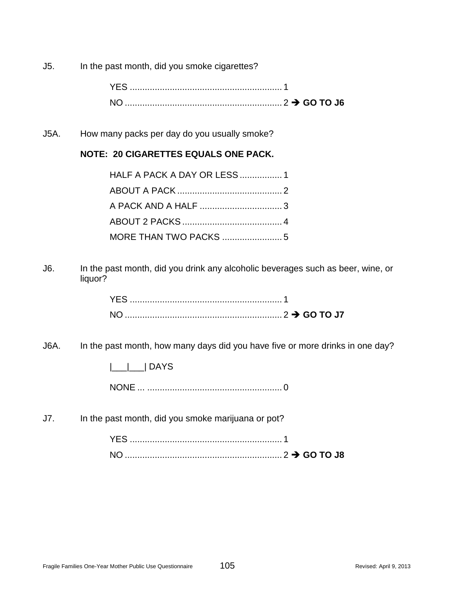J5. In the past month, did you smoke cigarettes?

J5A. How many packs per day do you usually smoke?

### **NOTE: 20 CIGARETTES EQUALS ONE PACK.**

| HALF A PACK A DAY OR LESS  1 |  |
|------------------------------|--|
|                              |  |
|                              |  |
|                              |  |
|                              |  |

J6. In the past month, did you drink any alcoholic beverages such as beer, wine, or liquor?

| YFS. |  |
|------|--|
|      |  |

J6A. In the past month, how many days did you have five or more drinks in one day?

|\_\_\_|\_\_\_| DAYS

NONE ... ...................................................... 0

J7. In the past month, did you smoke marijuana or pot?

| <b>NC</b> |  |  |
|-----------|--|--|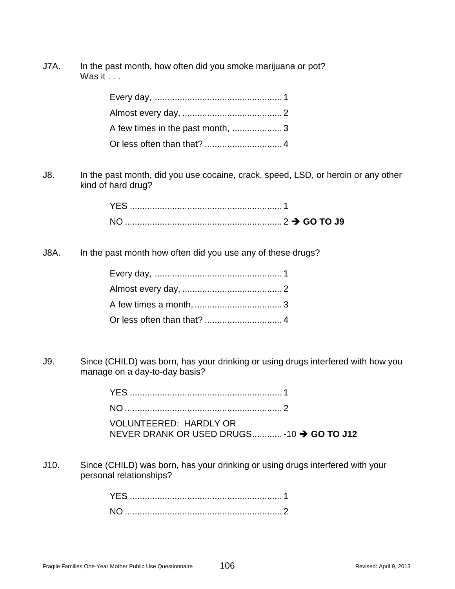J7A. In the past month, how often did you smoke marijuana or pot? Was it  $\ldots$ 

| A few times in the past month, 3 |  |
|----------------------------------|--|
|                                  |  |

J8. In the past month, did you use cocaine, crack, speed, LSD, or heroin or any other kind of hard drug?

| NO. |  |
|-----|--|

J8A. In the past month how often did you use any of these drugs?

J9. Since (CHILD) was born, has your drinking or using drugs interfered with how you manage on a day-to-day basis?

> YES ............................................................. 1 NO ............................................................... 2 VOLUNTEERED: HARDLY OR NEVER DRANK OR USED DRUGS............ -10 **→ GO TO J12**

- 
- J10. Since (CHILD) was born, has your drinking or using drugs interfered with your personal relationships?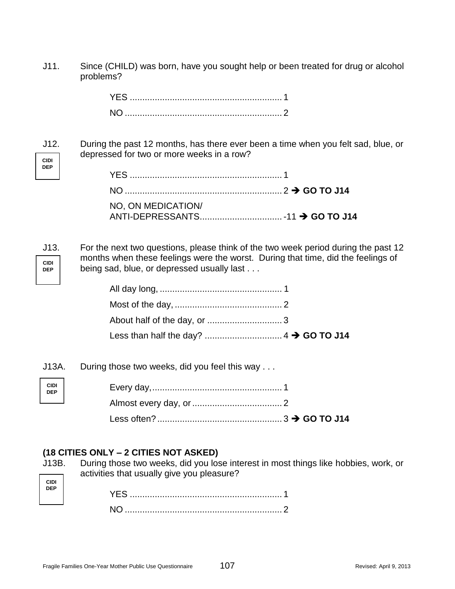J11. Since (CHILD) was born, have you sought help or been treated for drug or alcohol problems?

**CIDI** J12. During the past 12 months, has there ever been a time when you felt sad, blue, or depressed for two or more weeks in a row?

| NO, ON MEDICATION/ |  |
|--------------------|--|
|                    |  |

**CIDI**

**DEP**

**DEP**

J13. For the next two questions, please think of the two week period during the past 12 months when these feelings were the worst. During that time, did the feelings of being sad, blue, or depressed usually last . . .

J13A. During those two weeks, did you feel this way . . .

## **(18 CITIES ONLY – 2 CITIES NOT ASKED)**

J13B. During those two weeks, did you lose interest in most things like hobbies, work, or activities that usually give you pleasure?

| CIDI<br>DEP |  |
|-------------|--|
|             |  |

**CIDI DEP**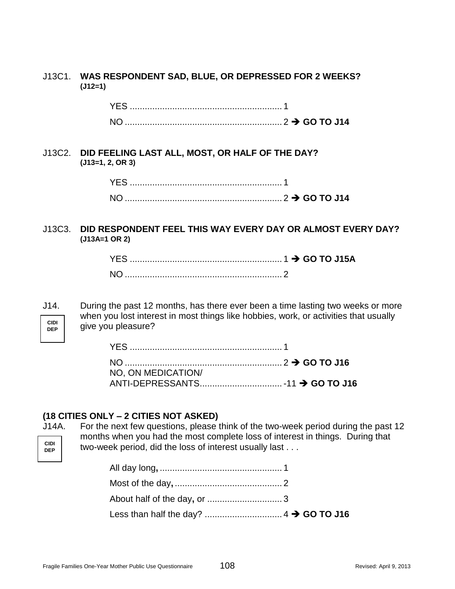#### J13C1. **WAS RESPONDENT SAD, BLUE, OR DEPRESSED FOR 2 WEEKS? (J12=1)**

| YES. |  |
|------|--|
| NO.  |  |

#### J13C2. **DID FEELING LAST ALL, MOST, OR HALF OF THE DAY? (J13=1, 2, OR 3)**

| NC |  |
|----|--|

#### J13C3. **DID RESPONDENT FEEL THIS WAY EVERY DAY OR ALMOST EVERY DAY? (J13A=1 OR 2)**

**CIDI DEP** J14. During the past 12 months, has there ever been a time lasting two weeks or more when you lost interest in most things like hobbies, work, or activities that usually give you pleasure?

| NO, ON MEDICATION/ |  |
|--------------------|--|
|                    |  |

## **(18 CITIES ONLY – 2 CITIES NOT ASKED)**

**CIDI DEP** J14A. For the next few questions, please think of the two-week period during the past 12 months when you had the most complete loss of interest in things. During that two-week period, did the loss of interest usually last . . .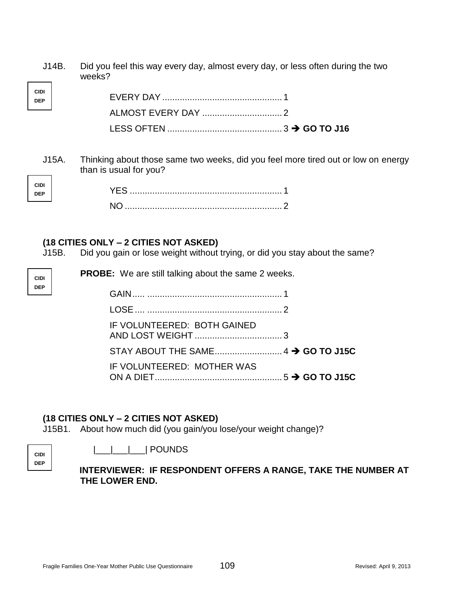J14B. Did you feel this way every day, almost every day, or less often during the two weeks?

| <b>CIDI</b><br>.<br>DEP |  |
|-------------------------|--|
|                         |  |
|                         |  |
|                         |  |

J15A. Thinking about those same two weeks, did you feel more tired out or low on energy than is usual for you?

## **(18 CITIES ONLY – 2 CITIES NOT ASKED)**

**CIDI DEP**

**CIDI DEP**

**CIDI DEP**

J15B. Did you gain or lose weight without trying, or did you stay about the same?

| <b>PROBE:</b> We are still talking about the same 2 weeks. |  |
|------------------------------------------------------------|--|
|                                                            |  |
|                                                            |  |
| IF VOLUNTEERED: BOTH GAINED                                |  |
|                                                            |  |
| IF VOLUNTEERED: MOTHER WAS                                 |  |

# **(18 CITIES ONLY – 2 CITIES NOT ASKED)**

J15B1. About how much did (you gain/you lose/your weight change)?

|\_\_\_|\_\_\_|\_\_\_| POUNDS

**INTERVIEWER: IF RESPONDENT OFFERS A RANGE, TAKE THE NUMBER AT THE LOWER END.**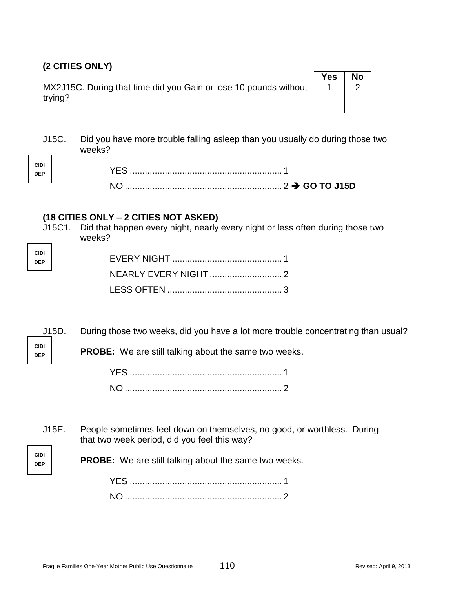# **(2 CITIES ONLY)**

MX2J15C. During that time did you Gain or lose 10 pounds without trying?

| Yes | No<br>.<br>/ |
|-----|--------------|
|     |              |

J15C. Did you have more trouble falling asleep than you usually do during those two weeks?

## **(18 CITIES ONLY – 2 CITIES NOT ASKED)**

J15C1. Did that happen every night, nearly every night or less often during those two weeks? ٦

| CIDI<br>DEP |  |
|-------------|--|
|             |  |
|             |  |

J15D. During those two weeks, did you have a lot more trouble concentrating than usual?

**CIDI DEP**

**CIDI DEP**

**PROBE:** We are still talking about the same two weeks.

J15E. People sometimes feel down on themselves, no good, or worthless. During that two week period, did you feel this way?

**CIDI DEP**

**PROBE:** We are still talking about the same two weeks.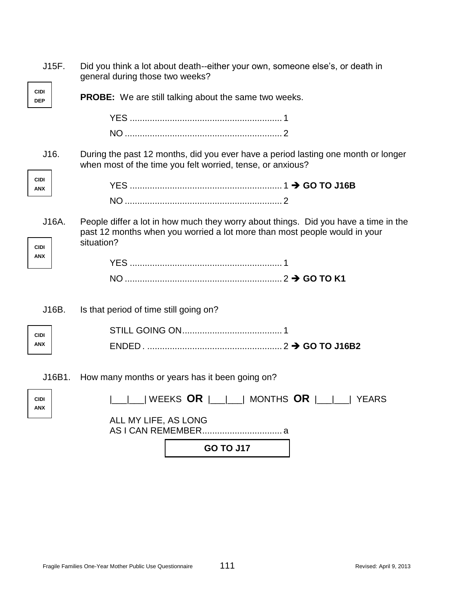| J15F.                     | Did you think a lot about death--either your own, someone else's, or death in<br>general during those two weeks?                                                               |
|---------------------------|--------------------------------------------------------------------------------------------------------------------------------------------------------------------------------|
| <b>CIDI</b><br><b>DEP</b> | <b>PROBE:</b> We are still talking about the same two weeks.                                                                                                                   |
|                           |                                                                                                                                                                                |
|                           |                                                                                                                                                                                |
| J16.                      | During the past 12 months, did you ever have a period lasting one month or longer<br>when most of the time you felt worried, tense, or anxious?                                |
| <b>CIDI</b><br>ANX        |                                                                                                                                                                                |
|                           |                                                                                                                                                                                |
| J16A.<br><b>CIDI</b>      | People differ a lot in how much they worry about things. Did you have a time in the<br>past 12 months when you worried a lot more than most people would in your<br>situation? |
| ANX                       |                                                                                                                                                                                |
|                           |                                                                                                                                                                                |
| J16B.                     | Is that period of time still going on?                                                                                                                                         |
| <b>CIDI</b>               |                                                                                                                                                                                |
| ANX                       |                                                                                                                                                                                |
| J16B1.                    | How many months or years has it been going on?                                                                                                                                 |
| <b>CIDI</b><br><b>ANX</b> |                                                                                                                                                                                |
|                           | ALL MY LIFE, AS LONG                                                                                                                                                           |
|                           | <b>GO TO J17</b>                                                                                                                                                               |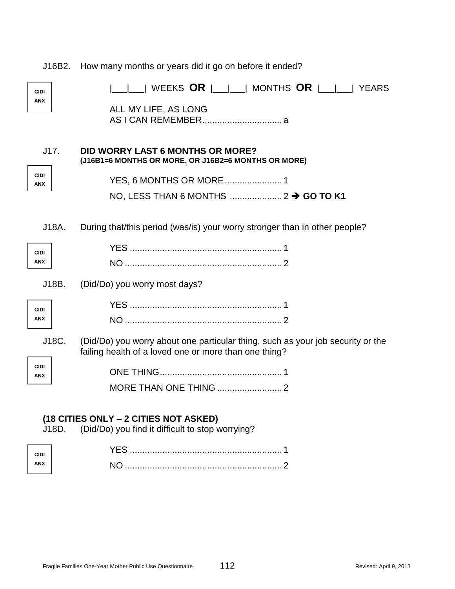| J16B2.                                | How many months or years did it go on before it ended?                                                                                   |  |
|---------------------------------------|------------------------------------------------------------------------------------------------------------------------------------------|--|
| <b>CIDI</b><br><b>ANX</b>             | WEEKS OR  __ __  MONTHS OR  __ __  YEARS<br>ALL MY LIFE, AS LONG                                                                         |  |
| J17.<br><b>CIDI</b><br><b>ANX</b>     | <b>DID WORRY LAST 6 MONTHS OR MORE?</b><br>(J16B1=6 MONTHS OR MORE, OR J16B2=6 MONTHS OR MORE)                                           |  |
| J18A.                                 | During that/this period (was/is) your worry stronger than in other people?                                                               |  |
| <b>CIDI</b><br><b>ANX</b>             |                                                                                                                                          |  |
| J18B.                                 | (Did/Do) you worry most days?                                                                                                            |  |
| <b>CIDI</b><br><b>ANX</b>             |                                                                                                                                          |  |
| J18C.<br><b>CIDI</b>                  | (Did/Do) you worry about one particular thing, such as your job security or the<br>failing health of a loved one or more than one thing? |  |
| <b>ANX</b>                            |                                                                                                                                          |  |
| (18 CITIES ONLY – 2 CITIES NOT ASKED) |                                                                                                                                          |  |

J18D. (Did/Do) you find it difficult to stop worrying?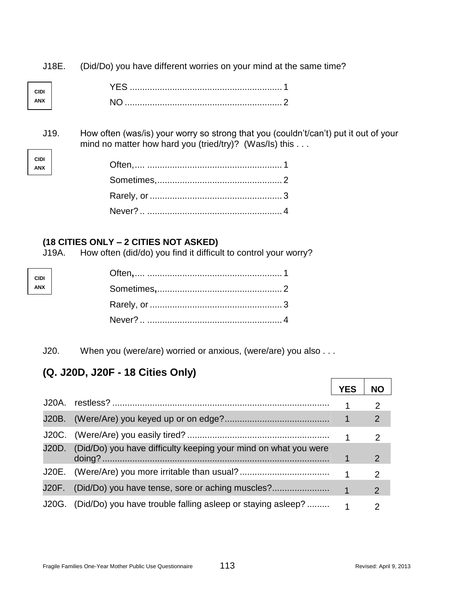J18E. (Did/Do) you have different worries on your mind at the same time?

| <b>ANX</b> |  |
|------------|--|

J19. How often (was/is) your worry so strong that you (couldn't/can't) put it out of your mind no matter how hard you (tried/try)? (Was/Is) this . . .

# **(18 CITIES ONLY – 2 CITIES NOT ASKED)**

**CIDI ANX**

**CIDI ANX**

J19A. How often (did/do) you find it difficult to control your worry?

J20. When you (were/are) worried or anxious, (were/are) you also . . .

# **(Q. J20D, J20F - 18 Cities Only)**

|                                                                       | YES                  |   |
|-----------------------------------------------------------------------|----------------------|---|
|                                                                       |                      |   |
|                                                                       |                      | 2 |
|                                                                       | $\blacktriangleleft$ | 2 |
| J20D. (Did/Do) you have difficulty keeping your mind on what you were |                      | 2 |
| J20E. (Were/Are) you more irritable than usual?                       |                      | 2 |
| J20F. (Did/Do) you have tense, sore or aching muscles?                | $\overline{1}$       | 2 |
| J20G. (Did/Do) you have trouble falling asleep or staying asleep?     |                      | າ |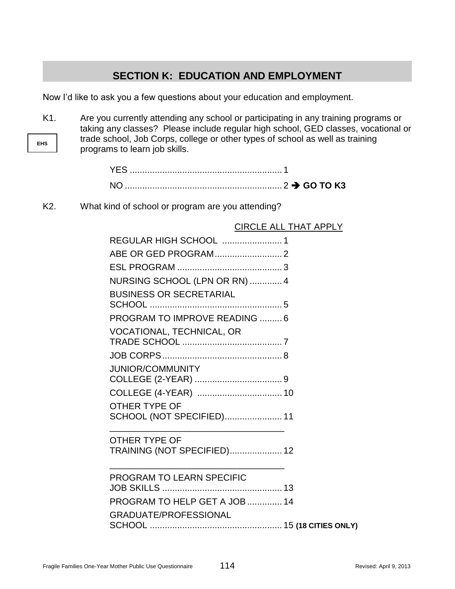# **SECTION K: EDUCATION AND EMPLOYMENT**

Now I'd like to ask you a few questions about your education and employment.

**EHS** K1. Are you currently attending any school or participating in any training programs or taking any classes? Please include regular high school, GED classes, vocational or trade school, Job Corps, college or other types of school as well as training programs to learn job skills.

| YES. |  |
|------|--|
| NO.  |  |

K2. What kind of school or program are you attending?

|                                | VINULL ALL THAT AF |
|--------------------------------|--------------------|
| REGULAR HIGH SCHOOL  1         |                    |
|                                |                    |
|                                |                    |
| NURSING SCHOOL (LPN OR RN)  4  |                    |
| <b>BUSINESS OR SECRETARIAL</b> |                    |
|                                |                    |
| PROGRAM TO IMPROVE READING  6  |                    |
| VOCATIONAL, TECHNICAL, OR      |                    |
|                                |                    |
|                                |                    |
| <b>JUNIOR/COMMUNITY</b>        |                    |
|                                |                    |
|                                |                    |
| <b>OTHER TYPE OF</b>           |                    |
| SCHOOL (NOT SPECIFIED) 11      |                    |
| <b>OTHER TYPE OF</b>           |                    |
| TRAINING (NOT SPECIFIED) 12    |                    |
| PROGRAM TO LEARN SPECIFIC      |                    |
|                                |                    |
| PROGRAM TO HELP GET A JOB  14  |                    |
| <b>GRADUATE/PROFESSIONAL</b>   |                    |

CIRCLE ALL THAT APPLY

SCHOOL ..................................................... 15 **(18 CITIES ONLY)**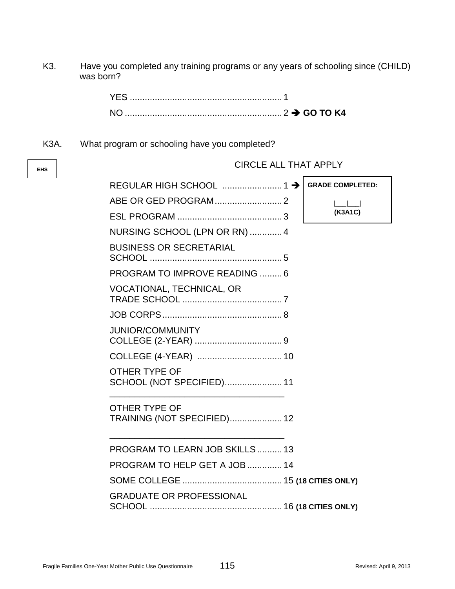K3. Have you completed any training programs or any years of schooling since (CHILD) was born?

| <b>YES</b> |  |
|------------|--|
| NO         |  |

K3A. What program or schooling have you completed?

**EHS**

| <b>CIRCLE ALL THAT APPLY</b>                        |                         |
|-----------------------------------------------------|-------------------------|
|                                                     | <b>GRADE COMPLETED:</b> |
|                                                     | <b>Committee</b>        |
|                                                     | (K3A1C)                 |
| NURSING SCHOOL (LPN OR RN)  4                       |                         |
| <b>BUSINESS OR SECRETARIAL</b>                      |                         |
| PROGRAM TO IMPROVE READING 6                        |                         |
| <b>VOCATIONAL, TECHNICAL, OR</b>                    |                         |
|                                                     |                         |
| <b>JUNIOR/COMMUNITY</b>                             |                         |
|                                                     |                         |
| OTHER TYPE OF<br>SCHOOL (NOT SPECIFIED) 11          |                         |
| <b>OTHER TYPE OF</b><br>TRAINING (NOT SPECIFIED) 12 |                         |
| PROGRAM TO LEARN JOB SKILLS  13                     |                         |
| PROGRAM TO HELP GET A JOB  14                       |                         |
|                                                     |                         |
| <b>GRADUATE OR PROFESSIONAL</b>                     |                         |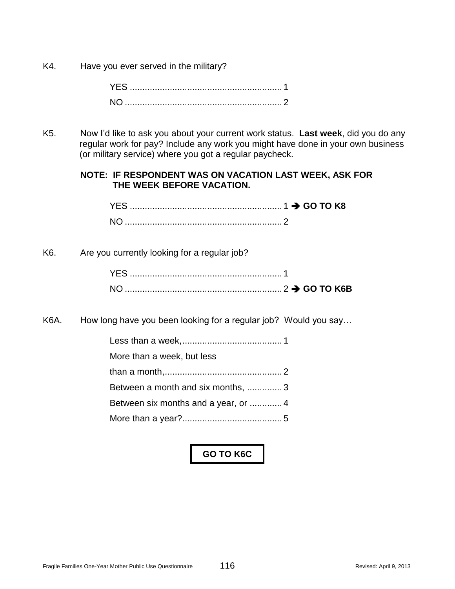K4. Have you ever served in the military?

K5. Now I'd like to ask you about your current work status. **Last week**, did you do any regular work for pay? Include any work you might have done in your own business (or military service) where you got a regular paycheck.

## **NOTE: IF RESPONDENT WAS ON VACATION LAST WEEK, ASK FOR THE WEEK BEFORE VACATION.**

| YES. |  |
|------|--|
| NO.  |  |

K6. Are you currently looking for a regular job?

K6A. How long have you been looking for a regular job? Would you say…

| More than a week, but less        |
|-----------------------------------|
|                                   |
| Between a month and six months, 3 |
|                                   |
|                                   |
|                                   |

# **GO TO K6C**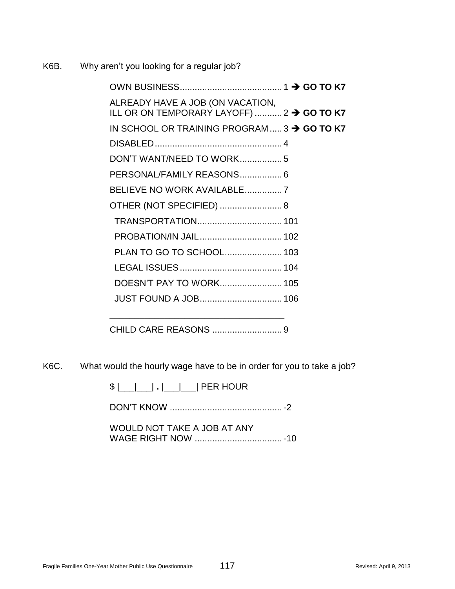K6B. Why aren't you looking for a regular job?

| ALREADY HAVE A JOB (ON VACATION,<br>ILL OR ON TEMPORARY LAYOFF)  2 $\rightarrow$ GO TO K7 |  |  |
|-------------------------------------------------------------------------------------------|--|--|
| IN SCHOOL OR TRAINING PROGRAM  3 $\rightarrow$ GO TO K7                                   |  |  |
|                                                                                           |  |  |
| DON'T WANT/NEED TO WORK5                                                                  |  |  |
| PERSONAL/FAMILY REASONS 6                                                                 |  |  |
|                                                                                           |  |  |
| OTHER (NOT SPECIFIED)  8                                                                  |  |  |
|                                                                                           |  |  |
| PROBATION/IN JAIL 102                                                                     |  |  |
| PLAN TO GO TO SCHOOL 103                                                                  |  |  |
|                                                                                           |  |  |
|                                                                                           |  |  |
| <b>JUST FOUND A JOB 106</b>                                                               |  |  |
|                                                                                           |  |  |
|                                                                                           |  |  |

CHILD CARE REASONS ............................ 9

K6C. What would the hourly wage have to be in order for you to take a job?

\$ |\_\_\_|\_\_\_| **.** |\_\_\_|\_\_\_| PER HOUR

DON'T KNOW .............................................-2

WOULD NOT TAKE A JOB AT ANY WAGE RIGHT NOW ...................................-10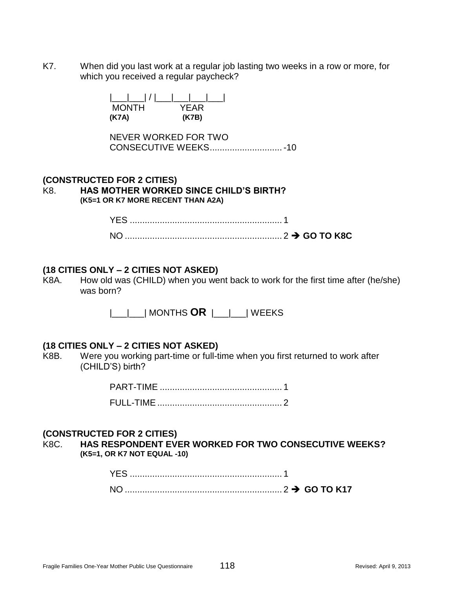K7. When did you last work at a regular job lasting two weeks in a row or more, for which you received a regular paycheck?

> |\_\_\_|\_\_\_| / |\_\_\_|\_\_\_|\_\_\_|\_\_\_| MONTH YEAR **(K7A) (K7B)**

NEVER WORKED FOR TWO CONSECUTIVE WEEKS.............................-10

#### **(CONSTRUCTED FOR 2 CITIES)** K8. **HAS MOTHER WORKED SINCE CHILD'S BIRTH? (K5=1 OR K7 MORE RECENT THAN A2A)**

#### **(18 CITIES ONLY – 2 CITIES NOT ASKED)**

K8A. How old was (CHILD) when you went back to work for the first time after (he/she) was born?

|\_\_\_|\_\_\_| MONTHS **OR** |\_\_\_|\_\_\_| WEEKS

#### **(18 CITIES ONLY – 2 CITIES NOT ASKED)**

K8B. Were you working part-time or full-time when you first returned to work after (CHILD'S) birth?

#### **(CONSTRUCTED FOR 2 CITIES)**

K8C. **HAS RESPONDENT EVER WORKED FOR TWO CONSECUTIVE WEEKS? (K5=1, OR K7 NOT EQUAL -10)**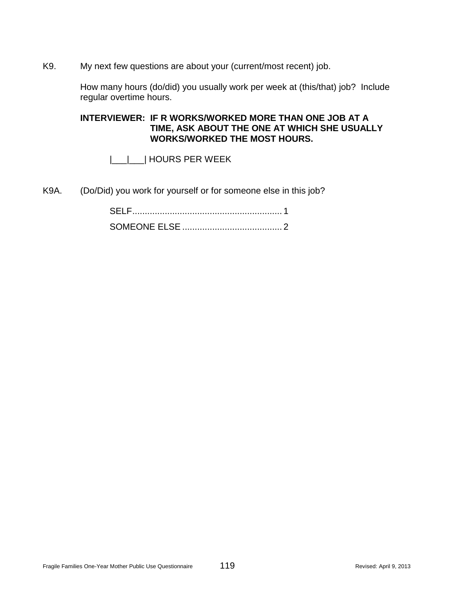K9. My next few questions are about your (current/most recent) job.

How many hours (do/did) you usually work per week at (this/that) job? Include regular overtime hours.

## **INTERVIEWER: IF R WORKS/WORKED MORE THAN ONE JOB AT A TIME, ASK ABOUT THE ONE AT WHICH SHE USUALLY WORKS/WORKED THE MOST HOURS.**

|\_\_\_|\_\_\_| HOURS PER WEEK

K9A. (Do/Did) you work for yourself or for someone else in this job?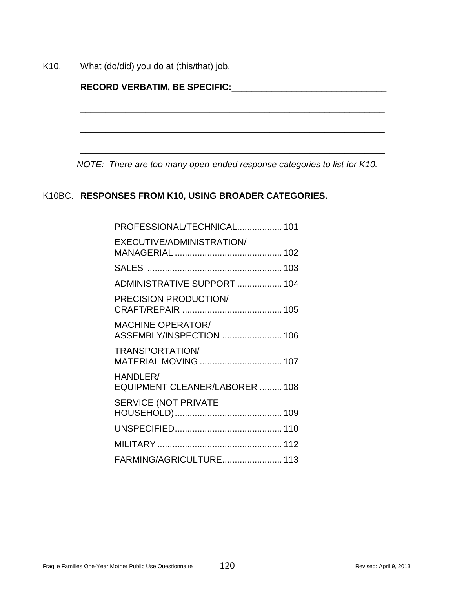K10. What (do/did) you do at (this/that) job.

| RECORD VERBATIM, BE SPECIFIC:_____ |  |  |  |  |
|------------------------------------|--|--|--|--|
|                                    |  |  |  |  |
|                                    |  |  |  |  |
|                                    |  |  |  |  |
|                                    |  |  |  |  |
|                                    |  |  |  |  |

# *NOTE: There are too many open-ended response categories to list for K10.*

# K10BC. **RESPONSES FROM K10, USING BROADER CATEGORIES.**

| PROFESSIONAL/TECHNICAL 101                           |
|------------------------------------------------------|
| EXECUTIVE/ADMINISTRATION/                            |
|                                                      |
| ADMINISTRATIVE SUPPORT  104                          |
| PRECISION PRODUCTION/                                |
| <b>MACHINE OPERATOR/</b><br>ASSEMBLY/INSPECTION  106 |
| TRANSPORTATION/<br>MATERIAL MOVING  107              |
| HANDLER/<br>EQUIPMENT CLEANER/LABORER  108           |
| <b>SERVICE (NOT PRIVATE</b>                          |
|                                                      |
|                                                      |
| FARMING/AGRICULTURE 113                              |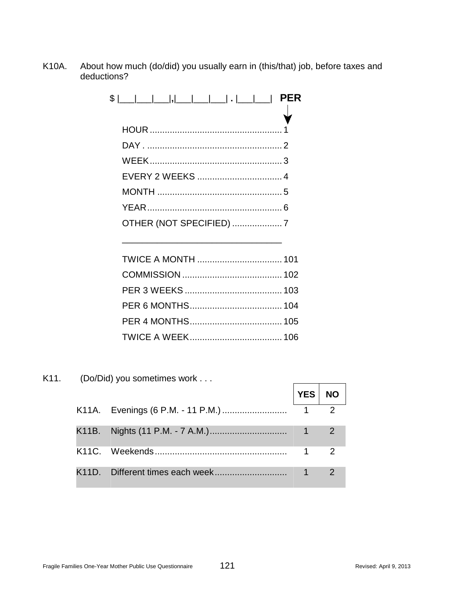K10A. About how much (do/did) you usually earn in (this/that) job, before taxes and deductions?

| OTHER (NOT SPECIFIED) 7 |  |
|-------------------------|--|
|                         |  |

 $\frac{1}{\sqrt{2}}$  ,  $\frac{1}{\sqrt{2}}$  ,  $\frac{1}{\sqrt{2}}$  ,  $\frac{1}{\sqrt{2}}$  ,  $\frac{1}{\sqrt{2}}$  ,  $\frac{1}{\sqrt{2}}$  ,  $\frac{1}{\sqrt{2}}$  ,  $\frac{1}{\sqrt{2}}$  ,  $\frac{1}{\sqrt{2}}$  ,  $\frac{1}{\sqrt{2}}$  ,  $\frac{1}{\sqrt{2}}$  ,  $\frac{1}{\sqrt{2}}$  ,  $\frac{1}{\sqrt{2}}$  ,  $\frac{1}{\sqrt{2}}$  ,  $\frac{1}{\sqrt{2}}$ 

K11. (Do/Did) you sometimes work . . .

|  | YES NO |  |
|--|--------|--|
|  |        |  |
|  |        |  |
|  |        |  |
|  |        |  |

 $\overline{a}$ 

 $\overline{\phantom{0}}$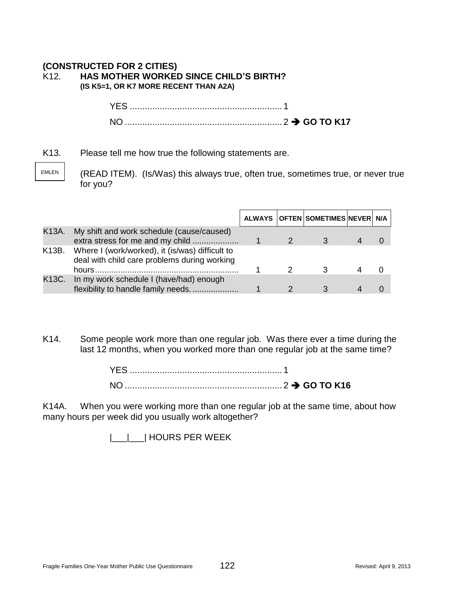# **(CONSTRUCTED FOR 2 CITIES)** K12. **HAS MOTHER WORKED SINCE CHILD'S BIRTH?**

**(IS K5=1, OR K7 MORE RECENT THAN A2A)**

YES ............................................................. 1 NO ............................................................... 2 **GO TO K17**

K13. Please tell me how true the following statements are.

EMLEN

(READ ITEM). (Is/Was) this always true, often true, sometimes true, or never true for you?

|       |                                                                                                       |  | ALWAYS OFTEN SOMETIMES NEVER N/A |  |
|-------|-------------------------------------------------------------------------------------------------------|--|----------------------------------|--|
| K13A. | My shift and work schedule (cause/caused)<br>extra stress for me and my child                         |  |                                  |  |
|       | K13B. Where I (work/worked), it (is/was) difficult to<br>deal with child care problems during working |  |                                  |  |
| K13C. | In my work schedule I (have/had) enough<br>flexibility to handle family needs                         |  |                                  |  |

K14. Some people work more than one regular job. Was there ever a time during the last 12 months, when you worked more than one regular job at the same time?

K14A. When you were working more than one regular job at the same time, about how many hours per week did you usually work altogether?

|\_\_\_|\_\_\_| HOURS PER WEEK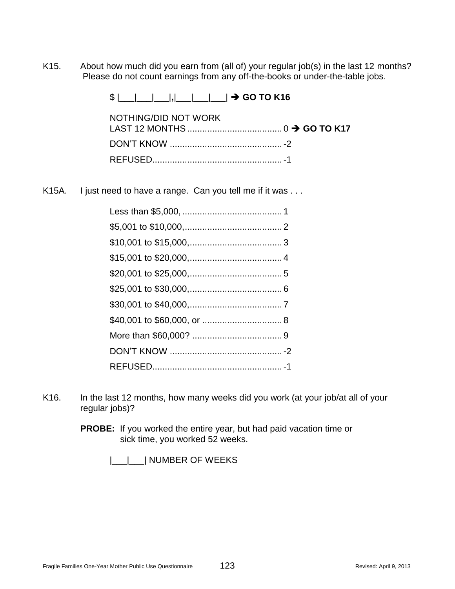K15. About how much did you earn from (all of) your regular job(s) in the last 12 months? Please do not count earnings from any off-the-books or under-the-table jobs.

\$ |\_\_\_|\_\_\_|\_\_\_|**,**|\_\_\_|\_\_\_|\_\_\_| **GO TO K16**

| NOTHING/DID NOT WORK |  |
|----------------------|--|
|                      |  |
|                      |  |

K15A. I just need to have a range. Can you tell me if it was ...

- K16. In the last 12 months, how many weeks did you work (at your job/at all of your regular jobs)?
	- **PROBE:** If you worked the entire year, but had paid vacation time or sick time, you worked 52 weeks.

|\_\_\_|\_\_\_| NUMBER OF WEEKS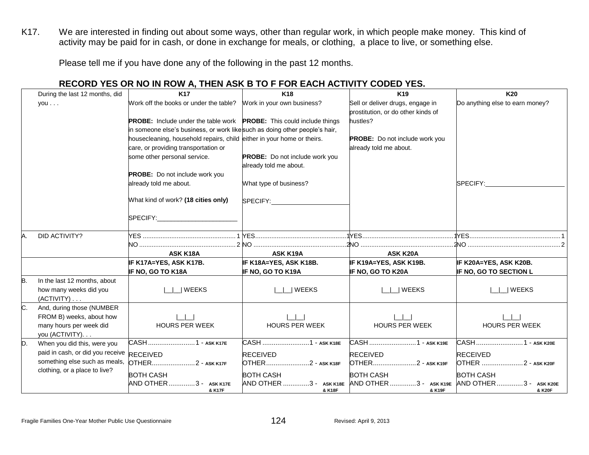K17. We are interested in finding out about some ways, other than regular work, in which people make money. This kind of activity may be paid for in cash, or done in exchange for meals, or clothing, a place to live, or something else.

Please tell me if you have done any of the following in the past 12 months.

## **RECORD YES OR NO IN ROW A, THEN ASK B TO F FOR EACH ACTIVITY CODED YES.**

|    | During the last 12 months, did                | <b>K17</b>                                                                         | <b>K18</b>                                                                     | K <sub>19</sub>                                                        | K20                             |
|----|-----------------------------------------------|------------------------------------------------------------------------------------|--------------------------------------------------------------------------------|------------------------------------------------------------------------|---------------------------------|
|    | you                                           | Work off the books or under the table? Work in your own business?                  |                                                                                | Sell or deliver drugs, engage in<br>prostitution, or do other kinds of | Do anything else to earn money? |
|    |                                               | <b>PROBE:</b> Include under the table work <b>PROBE:</b> This could include things |                                                                                | hustles?                                                               |                                 |
|    |                                               | in someone else's business, or work like such as doing other people's hair,        |                                                                                |                                                                        |                                 |
|    |                                               | housecleaning, household repairs, child either in your home or theirs.             |                                                                                | PROBE: Do not include work you                                         |                                 |
|    |                                               | care, or providing transportation or                                               |                                                                                | already told me about.                                                 |                                 |
|    |                                               | some other personal service.                                                       | PROBE: Do not include work you<br>already told me about.                       |                                                                        |                                 |
|    |                                               | PROBE: Do not include work you                                                     |                                                                                |                                                                        |                                 |
|    |                                               | already told me about.                                                             | What type of business?                                                         |                                                                        | SPECIFY:                        |
|    |                                               | What kind of work? (18 cities only)                                                | SPECIFY:                                                                       |                                                                        |                                 |
|    |                                               | SPECIFY:__________________________                                                 |                                                                                |                                                                        |                                 |
| Α. | DID ACTIVITY?                                 |                                                                                    |                                                                                |                                                                        |                                 |
|    |                                               |                                                                                    |                                                                                |                                                                        |                                 |
|    |                                               | <b>ASK K18A</b>                                                                    | ASK K19A                                                                       | <b>ASK K20A</b>                                                        |                                 |
|    |                                               | IF K17A=YES, ASK K17B.                                                             | IF K18A=YES, ASK K18B.                                                         | IF K19A=YES, ASK K19B.                                                 | IF K20A=YES, ASK K20B.          |
|    |                                               | IF NO, GO TO K18A                                                                  | IF NO, GO TO K19A                                                              | IF NO, GO TO K20A                                                      | IF NO, GO TO SECTION L          |
| B. | In the last 12 months, about                  |                                                                                    |                                                                                |                                                                        |                                 |
|    | how many weeks did you<br>$(ACTIVITY) \ldots$ | $\Box$ WEEKS                                                                       | $\Box$ WEEKS                                                                   | $\Box$ WEEKS                                                           | WEEKS                           |
| C. | And, during those (NUMBER                     |                                                                                    |                                                                                |                                                                        |                                 |
|    | FROM B) weeks, about how                      |                                                                                    |                                                                                |                                                                        |                                 |
|    | many hours per week did                       | <b>HOURS PER WEEK</b>                                                              | <b>HOURS PER WEEK</b>                                                          | <b>HOURS PER WEEK</b>                                                  | <b>HOURS PER WEEK</b>           |
|    | you (ACTIVITY).                               |                                                                                    |                                                                                |                                                                        |                                 |
| D. | When you did this, were you                   | CASH1 - ASK K17E                                                                   | CASH 1 - ASK K18E                                                              | CASH 1 - ASK K19E                                                      | CASH  1 - ASK K20E              |
|    | paid in cash, or did you receive RECEIVED     |                                                                                    | <b>RECEIVED</b>                                                                | <b>RECEIVED</b>                                                        | <b>RECEIVED</b>                 |
|    | something else such as meals,                 | OTHER2 - ASK K17F                                                                  | OTHER2 - ASK K18F                                                              | OTHER2 - ASK K19F                                                      | OTHER 2 - ASK K20F              |
|    | clothing, or a place to live?                 | <b>BOTH CASH</b>                                                                   | <b>BOTH CASH</b>                                                               | <b>BOTH CASH</b>                                                       | <b>BOTH CASH</b>                |
|    |                                               | AND OTHER 3 - ASK K17E<br>& K17F                                                   | AND OTHER 3 - ASK K18E AND OTHER 3 - ASK K19E AND OTHER 3 - ASK K20E<br>& K18F | & K19F                                                                 | & K20F                          |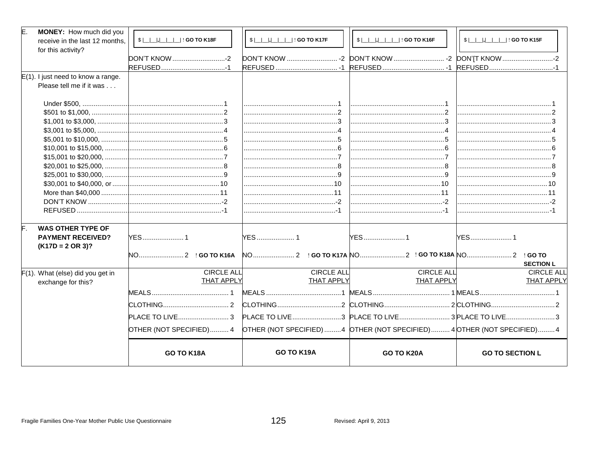| E.<br>MONEY: How much did you                                     |                                                                                                 |                              |                              |                                             |
|-------------------------------------------------------------------|-------------------------------------------------------------------------------------------------|------------------------------|------------------------------|---------------------------------------------|
| receive in the last 12 months,                                    | \$ _ _ , _ _ _  : GO TO K18F                                                                    | \$ _ _ , _ _ _  : GO TO K17F | \$ _ _ , _ _ _  : GO TO K16F | \$                               GO TO K15F |
| for this activity?                                                |                                                                                                 |                              |                              |                                             |
|                                                                   | DON'T KNOW -2                                                                                   |                              |                              |                                             |
|                                                                   |                                                                                                 |                              |                              |                                             |
| $E(1)$ . I just need to know a range.<br>Please tell me if it was |                                                                                                 |                              |                              |                                             |
|                                                                   |                                                                                                 |                              |                              |                                             |
|                                                                   |                                                                                                 |                              |                              |                                             |
|                                                                   |                                                                                                 |                              |                              |                                             |
|                                                                   |                                                                                                 |                              |                              |                                             |
|                                                                   |                                                                                                 |                              |                              |                                             |
|                                                                   |                                                                                                 |                              |                              |                                             |
|                                                                   |                                                                                                 |                              |                              |                                             |
|                                                                   |                                                                                                 |                              |                              |                                             |
|                                                                   |                                                                                                 |                              |                              |                                             |
|                                                                   |                                                                                                 |                              |                              |                                             |
|                                                                   |                                                                                                 |                              |                              |                                             |
|                                                                   |                                                                                                 |                              |                              |                                             |
|                                                                   |                                                                                                 |                              |                              |                                             |
|                                                                   |                                                                                                 |                              |                              |                                             |
| <b>WAS OTHER TYPE OF</b>                                          |                                                                                                 |                              |                              |                                             |
| <b>PAYMENT RECEIVED?</b>                                          | <b>YES1</b>                                                                                     | <b>YES</b> 1                 | YES1                         |                                             |
| $(K17D = 2 \text{ OR } 3)?$                                       |                                                                                                 |                              |                              |                                             |
|                                                                   |                                                                                                 |                              |                              |                                             |
|                                                                   |                                                                                                 |                              |                              | <b>SECTION L</b>                            |
| $F(1)$ . What (else) did you get in                               | <b>CIRCLE ALL</b>                                                                               | <b>CIRCLE ALL</b>            | <b>CIRCLE ALL</b>            | <b>CIRCLE ALL</b>                           |
| exchange for this?                                                | <b>THAT APPLY</b>                                                                               | <b>THAT APPLY</b>            | <b>THAT APPLY</b>            | <b>THAT APPLY</b>                           |
|                                                                   |                                                                                                 |                              |                              |                                             |
|                                                                   |                                                                                                 |                              |                              |                                             |
|                                                                   |                                                                                                 |                              |                              |                                             |
|                                                                   | OTHER (NOT SPECIFIED) 4 OTHER (NOT SPECIFIED) 4 OTHER (NOT SPECIFIED) 4 OTHER (NOT SPECIFIED) 4 |                              |                              |                                             |
|                                                                   | <b>GO TO K18A</b>                                                                               | GO TO K19A                   | GO TO K20A                   | <b>GO TO SECTION L</b>                      |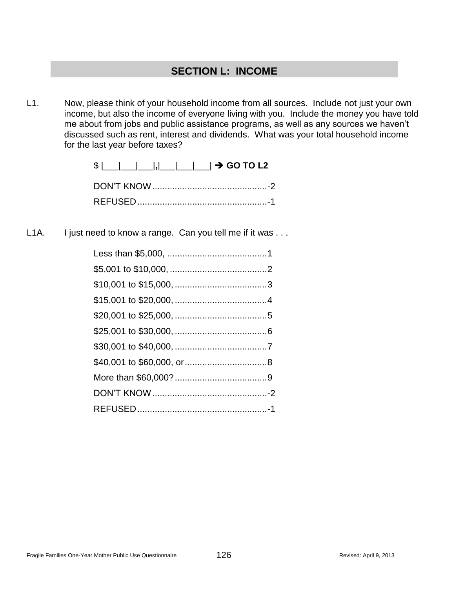# **SECTION L: INCOME**

L1. Now, please think of your household income from all sources. Include not just your own income, but also the income of everyone living with you. Include the money you have told me about from jobs and public assistance programs, as well as any sources we haven't discussed such as rent, interest and dividends. What was your total household income for the last year before taxes?

\$ |\_\_\_|\_\_\_|\_\_\_|**,**|\_\_\_|\_\_\_|\_\_\_| **GO TO L2**

L1A. I just need to know a range. Can you tell me if it was ...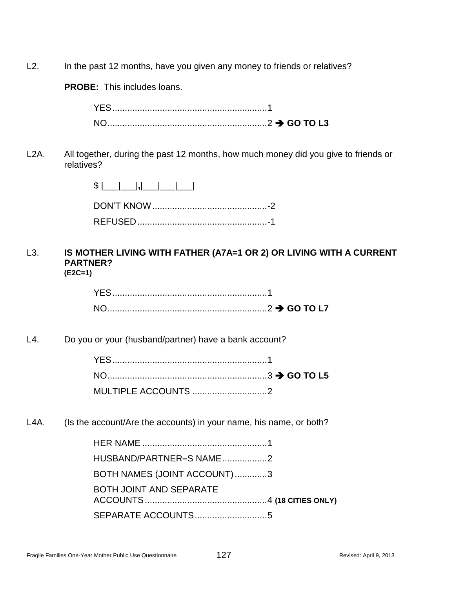L2. In the past 12 months, have you given any money to friends or relatives?

**PROBE:** This includes loans.

L2A. All together, during the past 12 months, how much money did you give to friends or relatives?

L3. **IS MOTHER LIVING WITH FATHER (A7A=1 OR 2) OR LIVING WITH A CURRENT PARTNER?**

**(E2C=1)**

L4. Do you or your (husband/partner) have a bank account?

| MULTIPLE ACCOUNTS 2 |  |
|---------------------|--|

L4A. (Is the account/Are the accounts) in your name, his name, or both?

| HUSBAND/PARTNER=S NAME2     |  |
|-----------------------------|--|
| BOTH NAMES (JOINT ACCOUNT)3 |  |
| BOTH JOINT AND SEPARATE     |  |
| SEPARATE ACCOUNTS5          |  |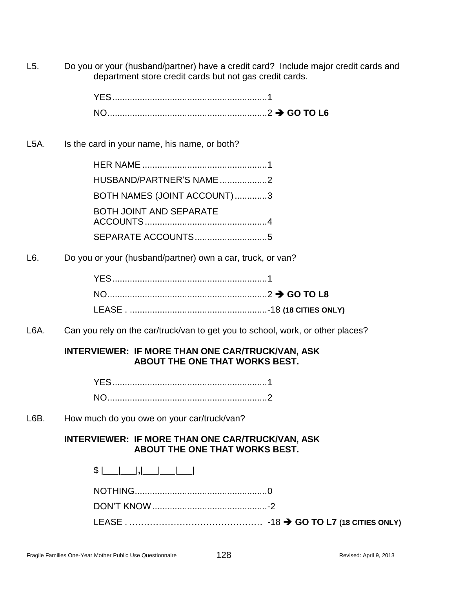L5. Do you or your (husband/partner) have a credit card? Include major credit cards and department store credit cards but not gas credit cards.

| NO. |  |
|-----|--|

L5A. Is the card in your name, his name, or both?

| HUSBAND/PARTNER'S NAME 2       |  |
|--------------------------------|--|
| BOTH NAMES (JOINT ACCOUNT)3    |  |
| <b>BOTH JOINT AND SEPARATE</b> |  |
|                                |  |

L6. Do you or your (husband/partner) own a car, truck, or van?

L6A. Can you rely on the car/truck/van to get you to school, work, or other places?

# **INTERVIEWER: IF MORE THAN ONE CAR/TRUCK/VAN, ASK ABOUT THE ONE THAT WORKS BEST.**

L6B. How much do you owe on your car/truck/van?

# **INTERVIEWER: IF MORE THAN ONE CAR/TRUCK/VAN, ASK ABOUT THE ONE THAT WORKS BEST.**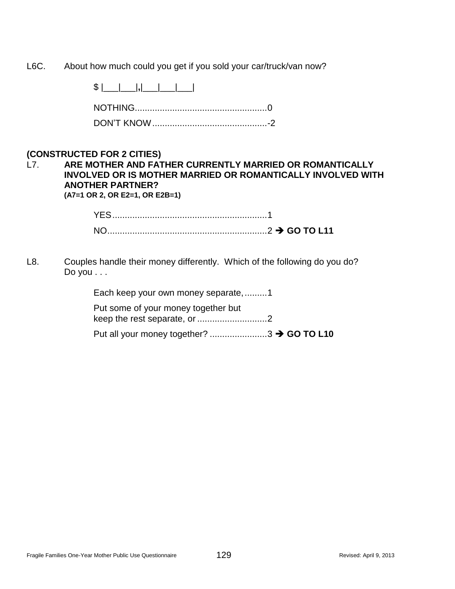L6C. About how much could you get if you sold your car/truck/van now?

\$ |\_\_\_|\_\_\_|**,**|\_\_\_|\_\_\_|\_\_\_|

# **(CONSTRUCTED FOR 2 CITIES)**

#### L7. **ARE MOTHER AND FATHER CURRENTLY MARRIED OR ROMANTICALLY INVOLVED OR IS MOTHER MARRIED OR ROMANTICALLY INVOLVED WITH ANOTHER PARTNER? (A7=1 OR 2, OR E2=1, OR E2B=1)**

L8. Couples handle their money differently. Which of the following do you do? Do you . . .

| Put some of your money together but |  |
|-------------------------------------|--|
| Each keep your own money separate,1 |  |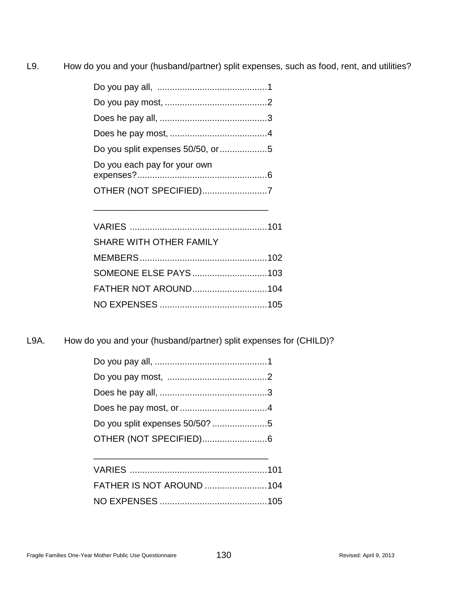L9. How do you and your (husband/partner) split expenses, such as food, rent, and utilities?

| Do you split expenses 50/50, or 5 |  |
|-----------------------------------|--|
| Do you each pay for your own      |  |
| OTHER (NOT SPECIFIED)7            |  |
|                                   |  |

| SHARE WITH OTHER FAMILY |  |
|-------------------------|--|
|                         |  |
| SOMEONE ELSE PAYS103    |  |
|                         |  |
|                         |  |

L9A. How do you and your (husband/partner) split expenses for (CHILD)?

| OTHER (NOT SPECIFIED)6 |  |
|------------------------|--|
|                        |  |

| <b>FATHER IS NOT AROUND 104</b> |  |
|---------------------------------|--|
|                                 |  |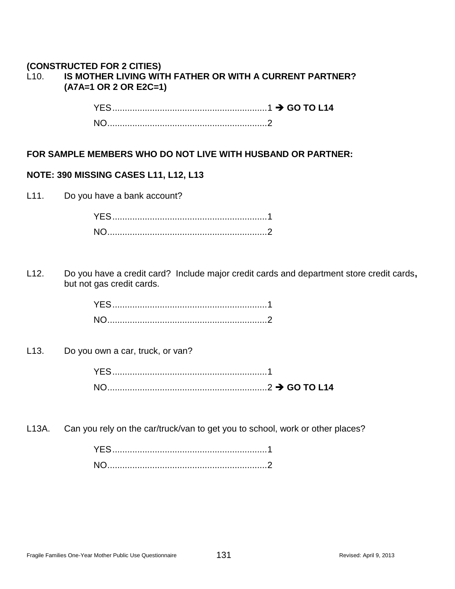#### **(CONSTRUCTED FOR 2 CITIES)** L10. **IS MOTHER LIVING WITH FATHER OR WITH A CURRENT PARTNER? (A7A=1 OR 2 OR E2C=1)**

YES..............................................................1 **GO TO L14** NO................................................................2

## **FOR SAMPLE MEMBERS WHO DO NOT LIVE WITH HUSBAND OR PARTNER:**

#### **NOTE: 390 MISSING CASES L11, L12, L13**

L11. Do you have a bank account?

L12. Do you have a credit card? Include major credit cards and department store credit cards**,** but not gas credit cards.

L13. Do you own a car, truck, or van?

| YES. |  |
|------|--|
| NO.  |  |

L13A. Can you rely on the car/truck/van to get you to school, work or other places?